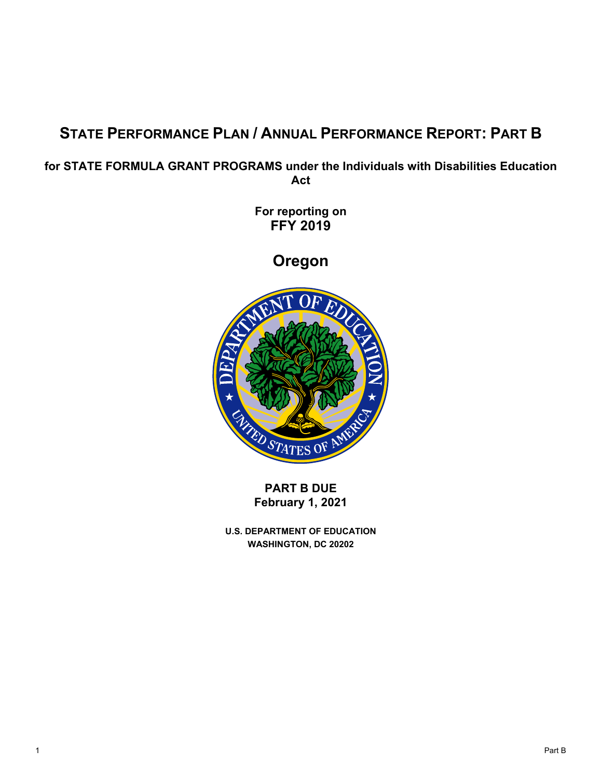# **STATE PERFORMANCE PLAN / ANNUAL PERFORMANCE REPORT: PART B**

**for STATE FORMULA GRANT PROGRAMS under the Individuals with Disabilities Education Act** 

> **For reporting on FFY 2019**

> > **Oregon**



**PART B DUE February 1, 2021** 

**U.S. DEPARTMENT OF EDUCATION WASHINGTON, DC 20202**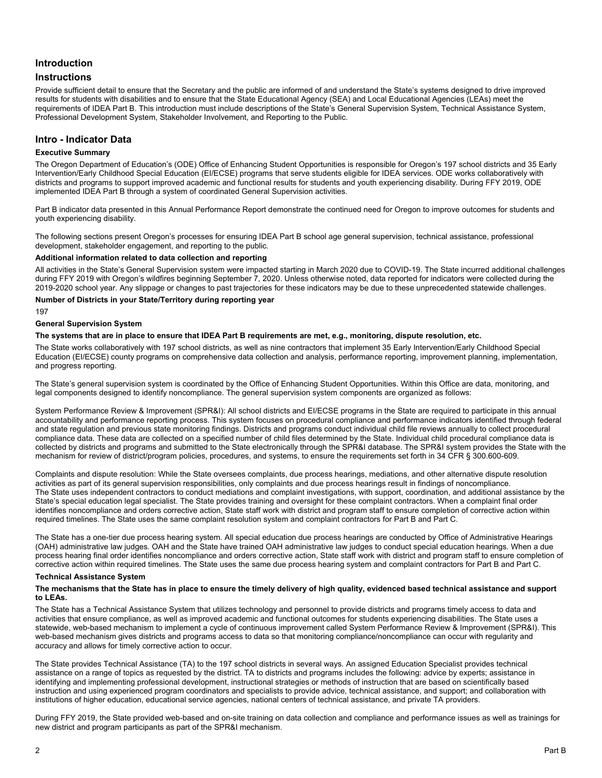# **Introduction**

# **Instructions**

Provide sufficient detail to ensure that the Secretary and the public are informed of and understand the State's systems designed to drive improved results for students with disabilities and to ensure that the State Educational Agency (SEA) and Local Educational Agencies (LEAs) meet the requirements of IDEA Part B. This introduction must include descriptions of the State's General Supervision System, Technical Assistance System, Professional Development System, Stakeholder Involvement, and Reporting to the Public.

# **Intro - Indicator Data**

#### **Executive Summary**

The Oregon Department of Education's (ODE) Office of Enhancing Student Opportunities is responsible for Oregon's 197 school districts and 35 Early Intervention/Early Childhood Special Education (EI/ECSE) programs that serve students eligible for IDEA services. ODE works collaboratively with districts and programs to support improved academic and functional results for students and youth experiencing disability. During FFY 2019, ODE implemented IDEA Part B through a system of coordinated General Supervision activities.

youth experiencing disability. Part B indicator data presented in this Annual Performance Report demonstrate the continued need for Oregon to improve outcomes for students and

The following sections present Oregon's processes for ensuring IDEA Part B school age general supervision, technical assistance, professional development, stakeholder engagement, and reporting to the public.

#### **Additional information related to data collection and reporting**

All activities in the State's General Supervision system were impacted starting in March 2020 due to COVID-19. The State incurred additional challenges during FFY 2019 with Oregon's wildfires beginning September 7, 2020. Unless otherwise noted, data reported for indicators were collected during the 2019-2020 school year. Any slippage or changes to past trajectories for these indicators may be due to these unprecedented statewide challenges.

#### **Number of Districts in your State/Territory during reporting year**

197

#### **General Supervision System**

#### **The systems that are in place to ensure that IDEA Part B requirements are met, e.g., monitoring, dispute resolution, etc.**

The State works collaboratively with 197 school districts, as well as nine contractors that implement 35 Early Intervention/Early Childhood Special Education (EI/ECSE) county programs on comprehensive data collection and analysis, performance reporting, improvement planning, implementation, and progress reporting.

The State's general supervision system is coordinated by the Office of Enhancing Student Opportunities. Within this Office are data, monitoring, and legal components designed to identify noncompliance. The general supervision system components are organized as follows:

System Performance Review & Improvement (SPR&I): All school districts and EI/ECSE programs in the State are required to participate in this annual accountability and performance reporting process. This system focuses on procedural compliance and performance indicators identified through federal and state regulation and previous state monitoring findings. Districts and programs conduct individual child file reviews annually to collect procedural compliance data. These data are collected on a specified number of child files determined by the State. Individual child procedural compliance data is collected by districts and programs and submitted to the State electronically through the SPR&I database. The SPR&I system provides the State with the mechanism for review of district/program policies, procedures, and systems, to ensure the requirements set forth in 34 CFR § 300.600-609.

Complaints and dispute resolution: While the State oversees complaints, due process hearings, mediations, and other alternative dispute resolution activities as part of its general supervision responsibilities, only complaints and due process hearings result in findings of noncompliance. The State uses independent contractors to conduct mediations and complaint investigations, with support, coordination, and additional assistance by the State's special education legal specialist. The State provides training and oversight for these complaint contractors. When a complaint final order identifies noncompliance and orders corrective action, State staff work with district and program staff to ensure completion of corrective action within required timelines. The State uses the same complaint resolution system and complaint contractors for Part B and Part C.

The State has a one-tier due process hearing system. All special education due process hearings are conducted by Office of Administrative Hearings (OAH) administrative law judges. OAH and the State have trained OAH administrative law judges to conduct special education hearings. When a due process hearing final order identifies noncompliance and orders corrective action, State staff work with district and program staff to ensure completion of corrective action within required timelines. The State uses the same due process hearing system and complaint contractors for Part B and Part C.

#### **Technical Assistance System**

#### **The mechanisms that the State has in place to ensure the timely delivery of high quality, evidenced based technical assistance and support to LEAs.**

The State has a Technical Assistance System that utilizes technology and personnel to provide districts and programs timely access to data and activities that ensure compliance, as well as improved academic and functional outcomes for students experiencing disabilities. The State uses a statewide, web-based mechanism to implement a cycle of continuous improvement called System Performance Review & Improvement (SPR&I). This web-based mechanism gives districts and programs access to data so that monitoring compliance/noncompliance can occur with regularity and accuracy and allows for timely corrective action to occur.

The State provides Technical Assistance (TA) to the 197 school districts in several ways. An assigned Education Specialist provides technical assistance on a range of topics as requested by the district. TA to districts and programs includes the following: advice by experts; assistance in identifying and implementing professional development, instructional strategies or methods of instruction that are based on scientifically based instruction and using experienced program coordinators and specialists to provide advice, technical assistance, and support; and collaboration with institutions of higher education, educational service agencies, national centers of technical assistance, and private TA providers.

During FFY 2019, the State provided web-based and on-site training on data collection and compliance and performance issues as well as trainings for new district and program participants as part of the SPR&I mechanism.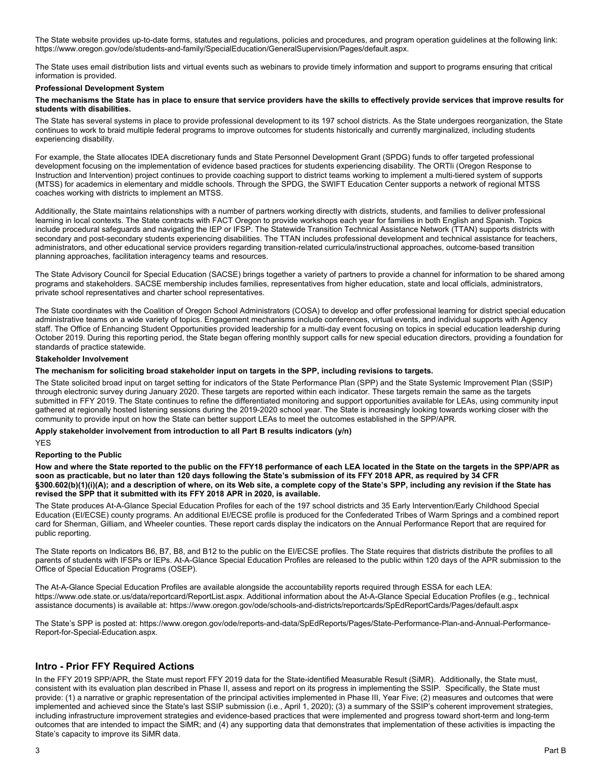The State website provides up-to-date forms, statutes and regulations, policies and procedures, and program operation guidelines at the following link: https://www.oregon.gov/ode/students-and-family/SpecialEducation/GeneralSupervision/Pages/default.aspx.

The State uses email distribution lists and virtual events such as webinars to provide timely information and support to programs ensuring that critical information is provided.

#### **Professional Development System**

#### **The mechanisms the State has in place to ensure that service providers have the skills to effectively provide services that improve results for students with disabilities.**

experiencing disability. The State has several systems in place to provide professional development to its 197 school districts. As the State undergoes reorganization, the State continues to work to braid multiple federal programs to improve outcomes for students historically and currently marginalized, including students

For example, the State allocates IDEA discretionary funds and State Personnel Development Grant (SPDG) funds to offer targeted professional development focusing on the implementation of evidence based practices for students experiencing disability. The ORTIi (Oregon Response to Instruction and Intervention) project continues to provide coaching support to district teams working to implement a multi-tiered system of supports (MTSS) for academics in elementary and middle schools. Through the SPDG, the SWIFT Education Center supports a network of regional MTSS coaches working with districts to implement an MTSS.

Additionally, the State maintains relationships with a number of partners working directly with districts, students, and families to deliver professional learning in local contexts. The State contracts with FACT Oregon to provide workshops each year for families in both English and Spanish. Topics include procedural safeguards and navigating the IEP or IFSP. The Statewide Transition Technical Assistance Network (TTAN) supports districts with secondary and post-secondary students experiencing disabilities. The TTAN includes professional development and technical assistance for teachers, administrators, and other educational service providers regarding transition-related curricula/instructional approaches, outcome-based transition planning approaches, facilitation interagency teams and resources.

The State Advisory Council for Special Education (SACSE) brings together a variety of partners to provide a channel for information to be shared among programs and stakeholders. SACSE membership includes families, representatives from higher education, state and local officials, administrators, private school representatives and charter school representatives.

The State coordinates with the Coalition of Oregon School Administrators (COSA) to develop and offer professional learning for district special education administrative teams on a wide variety of topics. Engagement mechanisms include conferences, virtual events, and individual supports with Agency staff. The Office of Enhancing Student Opportunities provided leadership for a multi-day event focusing on topics in special education leadership during October 2019. During this reporting period, the State began offering monthly support calls for new special education directors, providing a foundation for standards of practice statewide.

#### **Stakeholder Involvement**

#### **The mechanism for soliciting broad stakeholder input on targets in the SPP, including revisions to targets.**

The State solicited broad input on target setting for indicators of the State Performance Plan (SPP) and the State Systemic Improvement Plan (SSIP) through electronic survey during January 2020. These targets are reported within each indicator. These targets remain the same as the targets submitted in FFY 2019. The State continues to refine the differentiated monitoring and support opportunities available for LEAs, using community input gathered at regionally hosted listening sessions during the 2019-2020 school year. The State is increasingly looking towards working closer with the community to provide input on how the State can better support LEAs to meet the outcomes established in the SPP/APR.

#### **Apply stakeholder involvement from introduction to all Part B results indicators (y/n)**

# YES

# **Reporting to the Public**

**How and where the State reported to the public on the FFY18 performance of each LEA located in the State on the targets in the SPP/APR as soon as practicable, but no later than 120 days following the State's submission of its FFY 2018 APR, as required by 34 CFR §300.602(b)(1)(i)(A); and a description of where, on its Web site, a complete copy of the State's SPP, including any revision if the State has revised the SPP that it submitted with its FFY 2018 APR in 2020, is available.** 

The State produces At-A-Glance Special Education Profiles for each of the 197 school districts and 35 Early Intervention/Early Childhood Special Education (EI/ECSE) county programs. An additional EI/ECSE profile is produced for the Confederated Tribes of Warm Springs and a combined report card for Sherman, Gilliam, and Wheeler counties. These report cards display the indicators on the Annual Performance Report that are required for public reporting.

The State reports on Indicators B6, B7, B8, and B12 to the public on the EI/ECSE profiles. The State requires that districts distribute the profiles to all parents of students with IFSPs or IEPs. At-A-Glance Special Education Profiles are released to the public within 120 days of the APR submission to the Office of Special Education Programs (OSEP).

The At-A-Glance Special Education Profiles are available alongside the accountability reports required through ESSA for each LEA: https://www.ode.state.or.us/data/reportcard/ReportList.aspx. Additional information about the At-A-Glance Special Education Profiles (e.g., technical assistance documents) is available at: https://www.oregon.gov/ode/schools-and-districts/reportcards/SpEdReportCards/Pages/default.aspx

The State's SPP is posted at: https://www.oregon.gov/ode/reports-and-data/SpEdReports/Pages/State-Performance-Plan-and-Annual-Performance-Report-for-Special-Education.aspx.

# **Intro - Prior FFY Required Actions**

In the FFY 2019 SPP/APR, the State must report FFY 2019 data for the State-identified Measurable Result (SiMR). Additionally, the State must, consistent with its evaluation plan described in Phase II, assess and report on its progress in implementing the SSIP. Specifically, the State must provide: (1) a narrative or graphic representation of the principal activities implemented in Phase III, Year Five; (2) measures and outcomes that were implemented and achieved since the State's last SSIP submission (i.e., April 1, 2020); (3) a summary of the SSIP's coherent improvement strategies, including infrastructure improvement strategies and evidence-based practices that were implemented and progress toward short-term and long-term outcomes that are intended to impact the SiMR; and (4) any supporting data that demonstrates that implementation of these activities is impacting the State's capacity to improve its SiMR data.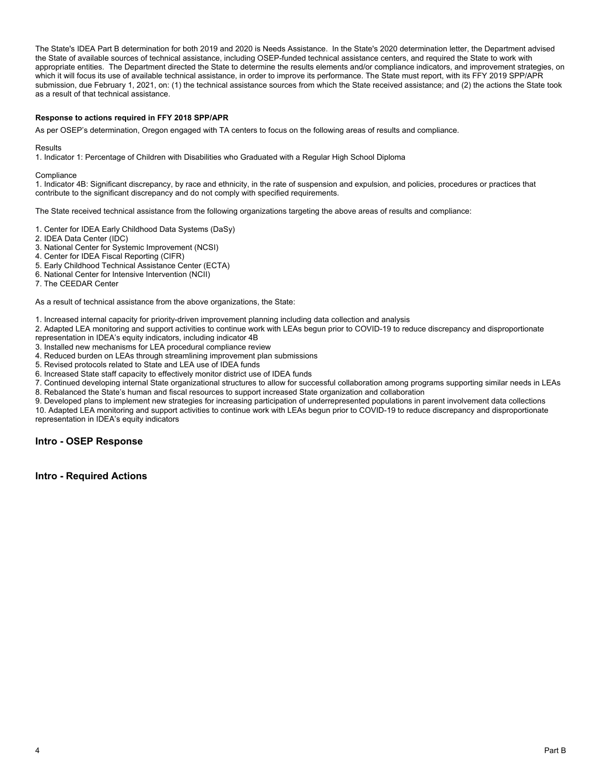The State's IDEA Part B determination for both 2019 and 2020 is Needs Assistance. In the State's 2020 determination letter, the Department advised the State of available sources of technical assistance, including OSEP-funded technical assistance centers, and required the State to work with appropriate entities. The Department directed the State to determine the results elements and/or compliance indicators, and improvement strategies, on which it will focus its use of available technical assistance, in order to improve its performance. The State must report, with its FFY 2019 SPP/APR submission, due February 1, 2021, on: (1) the technical assistance sources from which the State received assistance; and (2) the actions the State took as a result of that technical assistance.

#### **Response to actions required in FFY 2018 SPP/APR**

As per OSEP's determination, Oregon engaged with TA centers to focus on the following areas of results and compliance.

Results

1. Indicator 1: Percentage of Children with Disabilities who Graduated with a Regular High School Diploma

**Compliance** 

1. Indicator 4B: Significant discrepancy, by race and ethnicity, in the rate of suspension and expulsion, and policies, procedures or practices that contribute to the significant discrepancy and do not comply with specified requirements.

The State received technical assistance from the following organizations targeting the above areas of results and compliance:

- 1. Center for IDEA Early Childhood Data Systems (DaSy)<br>2. IDEA Data Center (IDC)
- 
- 3. National Center for Systemic Improvement (NCSI)
- 4. Center for IDEA Fiscal Reporting (CIFR)
- 5. Early Childhood Technical Assistance Center (ECTA)
- 6. National Center for Intensive Intervention (NCII)

7. The CEEDAR Center

As a result of technical assistance from the above organizations, the State:

1. Increased internal capacity for priority-driven improvement planning including data collection and analysis

2. Adapted LEA monitoring and support activities to continue work with LEAs begun prior to COVID-19 to reduce discrepancy and disproportionate representation in IDEA's equity indicators, including indicator 4B

3. Installed new mechanisms for LEA procedural compliance review

- 4. Reduced burden on LEAs through streamlining improvement plan submissions
- 5. Revised protocols related to State and LEA use of IDEA funds
- 6. Increased State staff capacity to effectively monitor district use of IDEA funds

7. Continued developing internal State organizational structures to allow for successful collaboration among programs supporting similar needs in LEAs 8. Rebalanced the State's human and fiscal resources to support increased State organization and collaboration

9. Developed plans to implement new strategies for increasing participation of underrepresented populations in parent involvement data collections 10. Adapted LEA monitoring and support activities to continue work with LEAs begun prior to COVID-19 to reduce discrepancy and disproportionate representation in IDEA's equity indicators

**Intro - OSEP Response** 

**Intro - Required Actions**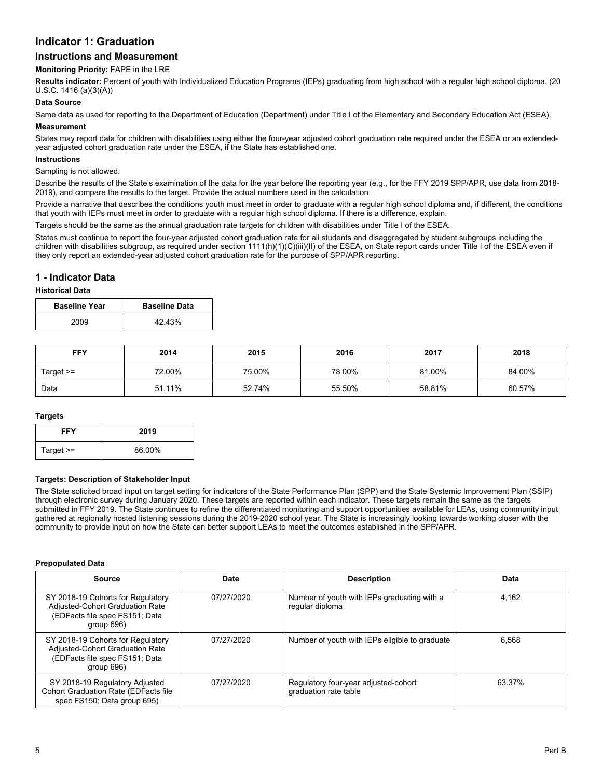# **Indicator 1: Graduation**

# **Instructions and Measurement**

## **Monitoring Priority:** FAPE in the LRE

**Results indicator:** Percent of youth with Individualized Education Programs (IEPs) graduating from high school with a regular high school diploma. (20 U.S.C. 1416 (a)(3)(A))

# **Data Source**

Same data as used for reporting to the Department of Education (Department) under Title I of the Elementary and Secondary Education Act (ESEA).

#### **Measurement**

States may report data for children with disabilities using either the four-year adjusted cohort graduation rate required under the ESEA or an extendedyear adjusted cohort graduation rate under the ESEA, if the State has established one.

#### **Instructions**

#### Sampling is not allowed.

Describe the results of the State's examination of the data for the year before the reporting year (e.g., for the FFY 2019 SPP/APR, use data from 2018- 2019), and compare the results to the target. Provide the actual numbers used in the calculation.

Provide a narrative that describes the conditions youth must meet in order to graduate with a regular high school diploma and, if different, the conditions that youth with IEPs must meet in order to graduate with a regular high school diploma. If there is a difference, explain.

Targets should be the same as the annual graduation rate targets for children with disabilities under Title I of the ESEA.

States must continue to report the four-year adjusted cohort graduation rate for all students and disaggregated by student subgroups including the children with disabilities subgroup, as required under section 1111(h)(1)(C)(iii)(II) of the ESEA, on State report cards under Title I of the ESEA even if they only report an extended-year adjusted cohort graduation rate for the purpose of SPP/APR reporting.

# **1 - Indicator Data**

#### **Historical Data**

| <b>Baseline Year</b> | <b>Baseline Data</b> |
|----------------------|----------------------|
| 2009                 | 42.43%               |

| <b>FFY</b><br>2014 |        | 2015   | 2016   | 2017   | 2018   |
|--------------------|--------|--------|--------|--------|--------|
| Target >=          | 72.00% | 75.00% | 78.00% | 81.00% | 84.00% |
| Data               | 51.11% | 52.74% | 55.50% | 58.81% | 60.57% |

#### **Targets**

| FFY         | 2019   |
|-------------|--------|
| Target $>=$ | 86.00% |

#### **Targets: Description of Stakeholder Input**

The State solicited broad input on target setting for indicators of the State Performance Plan (SPP) and the State Systemic Improvement Plan (SSIP) through electronic survey during January 2020. These targets are reported within each indicator. These targets remain the same as the targets submitted in FFY 2019. The State continues to refine the differentiated monitoring and support opportunities available for LEAs, using community input gathered at regionally hosted listening sessions during the 2019-2020 school year. The State is increasingly looking towards working closer with the community to provide input on how the State can better support LEAs to meet the outcomes established in the SPP/APR.

#### **Prepopulated Data**

| <b>Source</b>                                                                                                           | Date       | <b>Description</b>                                             | Data   |
|-------------------------------------------------------------------------------------------------------------------------|------------|----------------------------------------------------------------|--------|
| SY 2018-19 Cohorts for Regulatory<br>Adjusted-Cohort Graduation Rate<br>(EDFacts file spec FS151; Data<br>group $696$ ) | 07/27/2020 | Number of youth with IEPs graduating with a<br>regular diploma | 4.162  |
| SY 2018-19 Cohorts for Regulatory<br>Adjusted-Cohort Graduation Rate<br>(EDFacts file spec FS151; Data<br>group 696)    | 07/27/2020 | Number of youth with IEPs eligible to graduate                 | 6.568  |
| SY 2018-19 Regulatory Adjusted<br>Cohort Graduation Rate (EDFacts file<br>spec FS150; Data group 695)                   | 07/27/2020 | Regulatory four-year adjusted-cohort<br>graduation rate table  | 63.37% |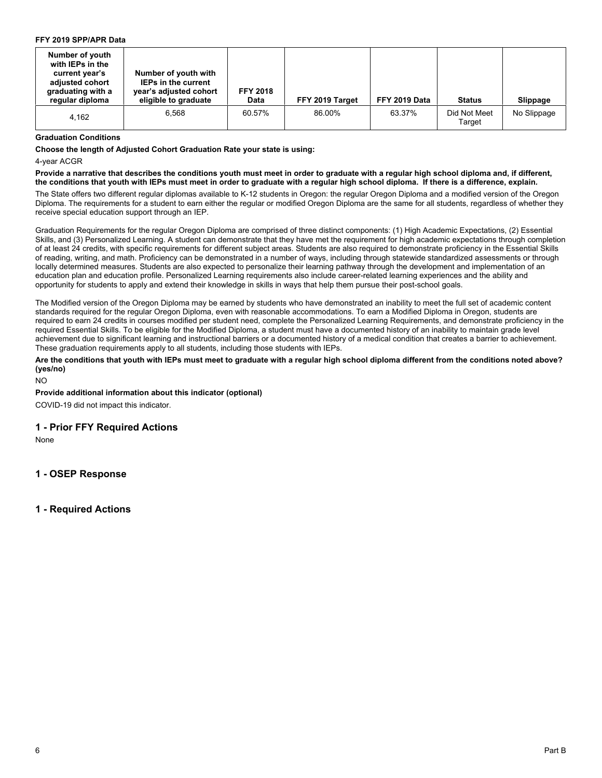## **FFY 2019 SPP/APR Data**

| Number of youth<br>with IEPs in the<br>current year's<br>adjusted cohort<br>graduating with a<br>regular diploma | Number of youth with<br><b>IEPs in the current</b><br>year's adjusted cohort<br>eligible to graduate | <b>FFY 2018</b><br><b>Data</b> | FFY 2019 Target | FFY 2019 Data | <b>Status</b>          | Slippage    |
|------------------------------------------------------------------------------------------------------------------|------------------------------------------------------------------------------------------------------|--------------------------------|-----------------|---------------|------------------------|-------------|
| 4.162                                                                                                            | 6.568                                                                                                | 60.57%                         | 86.00%          | 63.37%        | Did Not Meet<br>Target | No Slippage |

#### **Graduation Conditions**

 **Choose the length of Adjusted Cohort Graduation Rate your state is using:** 

4-year ACGR

**Provide a narrative that describes the conditions youth must meet in order to graduate with a regular high school diploma and, if different, the conditions that youth with IEPs must meet in order to graduate with a regular high school diploma. If there is a difference, explain***.* 

The State offers two different regular diplomas available to K-12 students in Oregon: the regular Oregon Diploma and a modified version of the Oregon Diploma. The requirements for a student to earn either the regular or modified Oregon Diploma are the same for all students, regardless of whether they receive special education support through an IEP.

Graduation Requirements for the regular Oregon Diploma are comprised of three distinct components: (1) High Academic Expectations, (2) Essential Skills, and (3) Personalized Learning. A student can demonstrate that they have met the requirement for high academic expectations through completion of at least 24 credits, with specific requirements for different subject areas. Students are also required to demonstrate proficiency in the Essential Skills of reading, writing, and math. Proficiency can be demonstrated in a number of ways, including through statewide standardized assessments or through locally determined measures. Students are also expected to personalize their learning pathway through the development and implementation of an education plan and education profile. Personalized Learning requirements also include career-related learning experiences and the ability and opportunity for students to apply and extend their knowledge in skills in ways that help them pursue their post-school goals.

The Modified version of the Oregon Diploma may be earned by students who have demonstrated an inability to meet the full set of academic content standards required for the regular Oregon Diploma, even with reasonable accommodations. To earn a Modified Diploma in Oregon, students are required to earn 24 credits in courses modified per student need, complete the Personalized Learning Requirements, and demonstrate proficiency in the required Essential Skills. To be eligible for the Modified Diploma, a student must have a documented history of an inability to maintain grade level achievement due to significant learning and instructional barriers or a documented history of a medical condition that creates a barrier to achievement. These graduation requirements apply to all students, including those students with IEPs.

**Are the conditions that youth with IEPs must meet to graduate with a regular high school diploma different from the conditions noted above? (yes/no)** 

NO

**Provide additional information about this indicator (optional)** 

COVID-19 did not impact this indicator.

# **1 - Prior FFY Required Actions**

None

**1 - OSEP Response**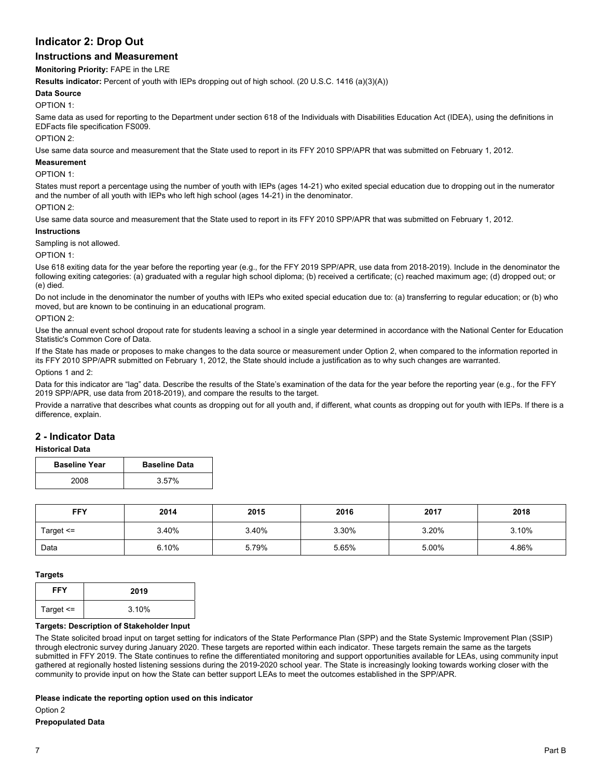# **Indicator 2: Drop Out**

# **Instructions and Measurement**

**Monitoring Priority:** FAPE in the LRE

**Results indicator:** Percent of youth with IEPs dropping out of high school. (20 U.S.C. 1416 (a)(3)(A))

#### **Data Source**

OPTION 1:

Same data as used for reporting to the Department under section 618 of the Individuals with Disabilities Education Act (IDEA), using the definitions in EDFacts file specification FS009.

#### OPTION 2:

Use same data source and measurement that the State used to report in its FFY 2010 SPP/APR that was submitted on February 1, 2012.

#### **Measurement**

#### OPTION 1:

States must report a percentage using the number of youth with IEPs (ages 14-21) who exited special education due to dropping out in the numerator and the number of all youth with IEPs who left high school (ages 14-21) in the denominator.

OPTION 2:

Use same data source and measurement that the State used to report in its FFY 2010 SPP/APR that was submitted on February 1, 2012.

#### **Instructions**

Sampling is not allowed.

OPTION 1:

Use 618 exiting data for the year before the reporting year (e.g., for the FFY 2019 SPP/APR, use data from 2018-2019). Include in the denominator the following exiting categories: (a) graduated with a regular high school diploma; (b) received a certificate; (c) reached maximum age; (d) dropped out; or (e) died.

Do not include in the denominator the number of youths with IEPs who exited special education due to: (a) transferring to regular education; or (b) who moved, but are known to be continuing in an educational program.

OPTION 2:

Use the annual event school dropout rate for students leaving a school in a single year determined in accordance with the National Center for Education Statistic's Common Core of Data.

If the State has made or proposes to make changes to the data source or measurement under Option 2, when compared to the information reported in its FFY 2010 SPP/APR submitted on February 1, 2012, the State should include a justification as to why such changes are warranted.

Options 1 and 2:

Data for this indicator are "lag" data. Describe the results of the State's examination of the data for the year before the reporting year (e.g., for the FFY 2019 SPP/APR, use data from 2018-2019), and compare the results to the target.

Provide a narrative that describes what counts as dropping out for all youth and, if different, what counts as dropping out for youth with IEPs. If there is a difference, explain.

# **2 - Indicator Data**

#### **Historical Data**

| <b>Baseline Year</b> | <b>Baseline Data</b> |  |  |
|----------------------|----------------------|--|--|
| 2008                 | 3.57%                |  |  |

| <b>FFY</b><br>2014 |       | 2015<br>2016 |       | 2017  | 2018  |  |
|--------------------|-------|--------------|-------|-------|-------|--|
| Target <=          | 3.40% | 3.40%        | 3.30% | 3.20% | 3.10% |  |
| Data               | 6.10% | 5.79%        | 5.65% | 5.00% | 4.86% |  |

#### **Targets**

| <b>FFY</b>    | 2019  |
|---------------|-------|
| Target $\leq$ | 3.10% |

#### **Targets: Description of Stakeholder Input**

The State solicited broad input on target setting for indicators of the State Performance Plan (SPP) and the State Systemic Improvement Plan (SSIP) through electronic survey during January 2020. These targets are reported within each indicator. These targets remain the same as the targets submitted in FFY 2019. The State continues to refine the differentiated monitoring and support opportunities available for LEAs, using community input gathered at regionally hosted listening sessions during the 2019-2020 school year. The State is increasingly looking towards working closer with the community to provide input on how the State can better support LEAs to meet the outcomes established in the SPP/APR.

#### **Please indicate the reporting option used on this indicator**

Option 2

# **Prepopulated Data**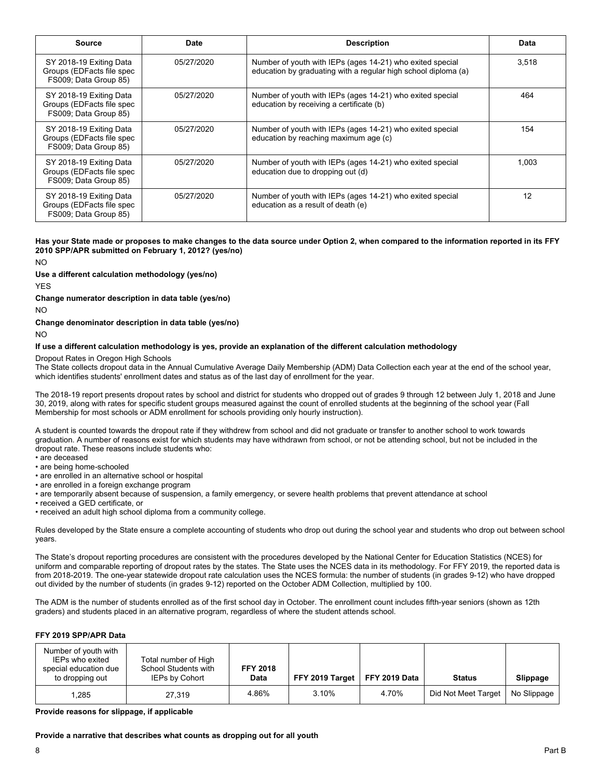| Source                                                                        | Date       | <b>Description</b>                                                                                                          | Data  |
|-------------------------------------------------------------------------------|------------|-----------------------------------------------------------------------------------------------------------------------------|-------|
| SY 2018-19 Exiting Data<br>Groups (EDFacts file spec<br>FS009; Data Group 85) | 05/27/2020 | Number of youth with IEPs (ages 14-21) who exited special<br>education by graduating with a regular high school diploma (a) | 3,518 |
| SY 2018-19 Exiting Data<br>Groups (EDFacts file spec<br>FS009; Data Group 85) | 05/27/2020 | Number of youth with IEPs (ages 14-21) who exited special<br>education by receiving a certificate (b)                       | 464   |
| SY 2018-19 Exiting Data<br>Groups (EDFacts file spec<br>FS009; Data Group 85) | 05/27/2020 | Number of youth with IEPs (ages 14-21) who exited special<br>education by reaching maximum age (c)                          | 154   |
| SY 2018-19 Exiting Data<br>Groups (EDFacts file spec<br>FS009; Data Group 85) | 05/27/2020 | Number of youth with IEPs (ages 14-21) who exited special<br>education due to dropping out (d)                              | 1.003 |
| SY 2018-19 Exiting Data<br>Groups (EDFacts file spec<br>FS009; Data Group 85) | 05/27/2020 | Number of youth with IEPs (ages 14-21) who exited special<br>education as a result of death (e)                             | 12    |

#### **Has your State made or proposes to make changes to the data source under Option 2, when compared to the information reported in its FFY 2010 SPP/APR submitted on February 1, 2012? (yes/no)**

NO

**Use a different calculation methodology (yes/no)** 

YES

#### **Change numerator description in data table (yes/no)**

NO

#### **Change denominator description in data table (yes/no)**

NO

#### **If use a different calculation methodology is yes, provide an explanation of the different calculation methodology**

Dropout Rates in Oregon High Schools

The State collects dropout data in the Annual Cumulative Average Daily Membership (ADM) Data Collection each year at the end of the school year, which identifies students' enrollment dates and status as of the last day of enrollment for the year.

The 2018-19 report presents dropout rates by school and district for students who dropped out of grades 9 through 12 between July 1, 2018 and June 30, 2019, along with rates for specific student groups measured against the count of enrolled students at the beginning of the school year (Fall Membership for most schools or ADM enrollment for schools providing only hourly instruction).

 A student is counted towards the dropout rate if they withdrew from school and did not graduate or transfer to another school to work towards graduation. A number of reasons exist for which students may have withdrawn from school, or not be attending school, but not be included in the dropout rate. These reasons include students who:

- are deceased
- are being home-schooled
- are enrolled in an alternative school or hospital • are enrolled in a foreign exchange program
- are temporarily absent because of suspension, a family emergency, or severe health problems that prevent attendance at school
- received a GED certificate, or
- received an adult high school diploma from a community college.

Rules developed by the State ensure a complete accounting of students who drop out during the school year and students who drop out between school years.

The State's dropout reporting procedures are consistent with the procedures developed by the National Center for Education Statistics (NCES) for uniform and comparable reporting of dropout rates by the states. The State uses the NCES data in its methodology. For FFY 2019, the reported data is from 2018-2019. The one-year statewide dropout rate calculation uses the NCES formula: the number of students (in grades 9-12) who have dropped out divided by the number of students (in grades 9-12) reported on the October ADM Collection, multiplied by 100.

The ADM is the number of students enrolled as of the first school day in October. The enrollment count includes fifth-year seniors (shown as 12th graders) and students placed in an alternative program, regardless of where the student attends school.

#### **FFY 2019 SPP/APR Data**

| Number of youth with<br>IEPs who exited<br>special education due<br>to dropping out | Total number of High<br>School Students with<br>IEPs by Cohort | <b>FFY 2018</b><br><b>Data</b> | FFY 2019 Target   FFY 2019 Data |       | <b>Status</b>       | Slippage    |
|-------------------------------------------------------------------------------------|----------------------------------------------------------------|--------------------------------|---------------------------------|-------|---------------------|-------------|
| 1,285                                                                               | 27.319                                                         | 4.86%                          | 3.10%                           | 4.70% | Did Not Meet Target | No Slippage |

**Provide reasons for slippage, if applicable** 

**Provide a narrative that describes what counts as dropping out for all youth**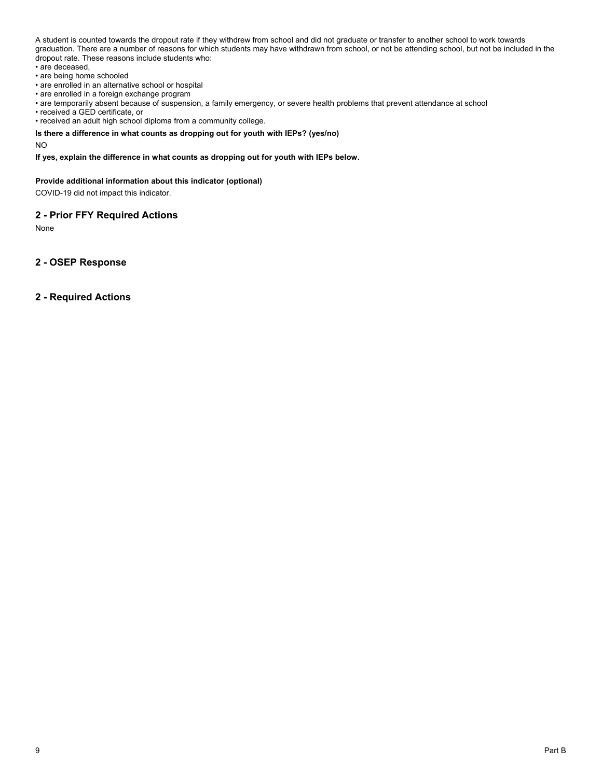A student is counted towards the dropout rate if they withdrew from school and did not graduate or transfer to another school to work towards graduation. There are a number of reasons for which students may have withdrawn from school, or not be attending school, but not be included in the dropout rate. These reasons include students who:

- are deceased,
- are being home schooled
- are enrolled in an alternative school or hospital
- are enrolled in a foreign exchange program
- are temporarily absent because of suspension, a family emergency, or severe health problems that prevent attendance at school
- received a GED certificate, or
- received an adult high school diploma from a community college.

## **Is there a difference in what counts as dropping out for youth with IEPs? (yes/no)**

NO

## **If yes, explain the difference in what counts as dropping out for youth with IEPs below.**

#### **Provide additional information about this indicator (optional)**

COVID-19 did not impact this indicator.

# **2 - Prior FFY Required Actions**

None

**2 - OSEP Response**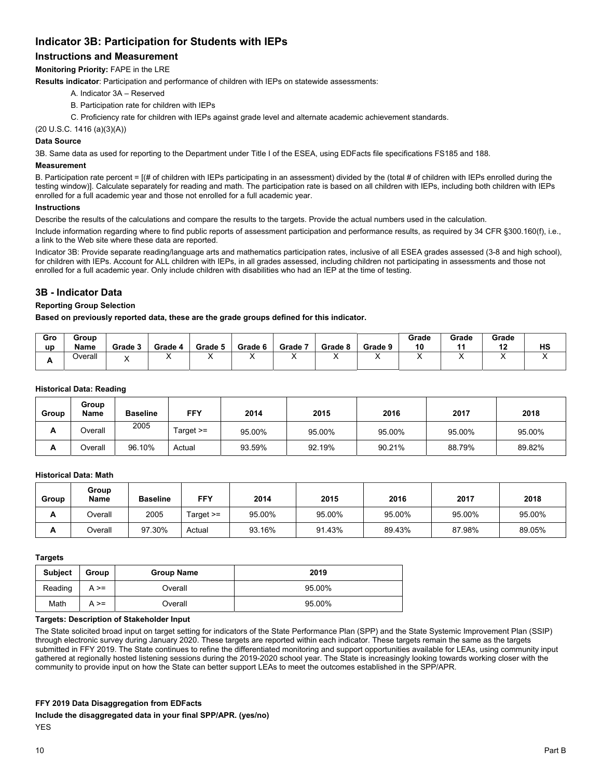# **Indicator 3B: Participation for Students with IEPs**

# **Instructions and Measurement**

**Monitoring Priority:** FAPE in the LRE

**Results indicator**: Participation and performance of children with IEPs on statewide assessments:

- A. Indicator 3A Reserved
- B. Participation rate for children with IEPs
- C. Proficiency rate for children with IEPs against grade level and alternate academic achievement standards.

(20 U.S.C. 1416 (a)(3)(A))

#### **Data Source**

3B. Same data as used for reporting to the Department under Title I of the ESEA, using EDFacts file specifications FS185 and 188.

#### **Measurement**

B. Participation rate percent = [(# of children with IEPs participating in an assessment) divided by the (total # of children with IEPs enrolled during the testing window)]. Calculate separately for reading and math. The participation rate is based on all children with IEPs, including both children with IEPs enrolled for a full academic year and those not enrolled for a full academic year.

#### **Instructions**

Describe the results of the calculations and compare the results to the targets. Provide the actual numbers used in the calculation.

Include information regarding where to find public reports of assessment participation and performance results, as required by 34 CFR §300.160(f), i.e., a link to the Web site where these data are reported.

Indicator 3B: Provide separate reading/language arts and mathematics participation rates, inclusive of all ESEA grades assessed (3-8 and high school), for children with IEPs. Account for ALL children with IEPs, in all grades assessed, including children not participating in assessments and those not enrolled for a full academic year. Only include children with disabilities who had an IEP at the time of testing.

# **3B - Indicator Data**

#### **Reporting Group Selection**

**Based on previously reported data, these are the grade groups defined for this indicator.** 

| Gro<br>up | Group<br>Name | Grade 3 | Grade 4 | Grade 5 | Grade 6 | Grade 7 | Grade 8 | Grade 9 | Grade<br>10 | Grade<br>$\overline{A}$ | Grade<br>40<br> | HS  |
|-----------|---------------|---------|---------|---------|---------|---------|---------|---------|-------------|-------------------------|-----------------|-----|
| л.        | Overall       |         |         |         |         |         |         | . .     |             |                         |                 | , , |

#### **Historical Data: Reading**

| Group | Group<br><b>Name</b> | <b>Baseline</b> | FFY         | 2014   | 2015   | 2016   | 2017   | 2018   |
|-------|----------------------|-----------------|-------------|--------|--------|--------|--------|--------|
| А     | Overall              | 2005            | Target $>=$ | 95.00% | 95.00% | 95.00% | 95.00% | 95.00% |
| A     | Overall              | 96.10%          | Actual      | 93.59% | 92.19% | 90.21% | 88.79% | 89.82% |

## **Historical Data: Math**

| Group | Group<br>Name | <b>Baseline</b> | FFY       | 2014   | 2015   | 2016   | 2017   | 2018   |
|-------|---------------|-----------------|-----------|--------|--------|--------|--------|--------|
| A     | Overall       | 2005            | Target >= | 95.00% | 95.00% | 95.00% | 95.00% | 95.00% |
| A     | Overall       | 97.30%          | Actual    | 93.16% | 91.43% | 89.43% | 87.98% | 89.05% |

# **Targets**

| <b>Subject</b> | Group      | <b>Group Name</b> | 2019   |
|----------------|------------|-------------------|--------|
| Reading        | $A \geq 0$ | Overall           | 95.00% |
| Math           | $A \geq 0$ | Overall           | 95.00% |

# **Targets: Description of Stakeholder Input**

The State solicited broad input on target setting for indicators of the State Performance Plan (SPP) and the State Systemic Improvement Plan (SSIP) through electronic survey during January 2020. These targets are reported within each indicator. These targets remain the same as the targets submitted in FFY 2019. The State continues to refine the differentiated monitoring and support opportunities available for LEAs, using community input gathered at regionally hosted listening sessions during the 2019-2020 school year. The State is increasingly looking towards working closer with the community to provide input on how the State can better support LEAs to meet the outcomes established in the SPP/APR.

#### **FFY 2019 Data Disaggregation from EDFacts**

**Include the disaggregated data in your final SPP/APR. (yes/no)**  YES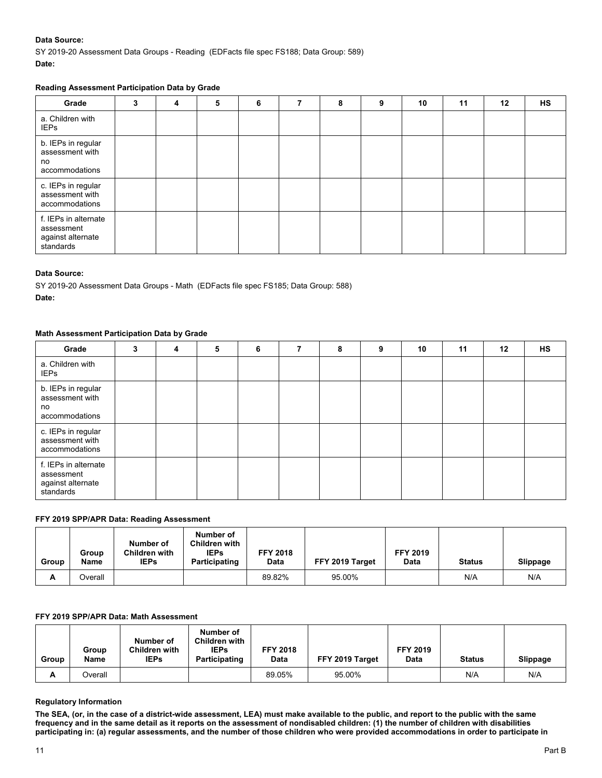# **Data Source:**

SY 2019-20 Assessment Data Groups - Reading (EDFacts file spec FS188; Data Group: 589) **Date:** 

# **Reading Assessment Participation Data by Grade**

| Grade                                                                | 3 | 4 | 5 | 6 | 7 | 8 | 9 | 10 | 11 | $12 \,$ | <b>HS</b> |
|----------------------------------------------------------------------|---|---|---|---|---|---|---|----|----|---------|-----------|
| a. Children with<br><b>IEPs</b>                                      |   |   |   |   |   |   |   |    |    |         |           |
| b. IEPs in regular<br>assessment with<br>no<br>accommodations        |   |   |   |   |   |   |   |    |    |         |           |
| c. IEPs in regular<br>assessment with<br>accommodations              |   |   |   |   |   |   |   |    |    |         |           |
| f. IEPs in alternate<br>assessment<br>against alternate<br>standards |   |   |   |   |   |   |   |    |    |         |           |

# **Data Source:**

SY 2019-20 Assessment Data Groups - Math (EDFacts file spec FS185; Data Group: 588) **Date:** 

# **Math Assessment Participation Data by Grade**

| Grade                                                                | 3 | 4 | 5 | 6 | 8 | 9 | 10 | 11 | 12 | <b>HS</b> |
|----------------------------------------------------------------------|---|---|---|---|---|---|----|----|----|-----------|
| a. Children with<br><b>IEPs</b>                                      |   |   |   |   |   |   |    |    |    |           |
| b. IEPs in regular<br>assessment with<br>no<br>accommodations        |   |   |   |   |   |   |    |    |    |           |
| c. IEPs in regular<br>assessment with<br>accommodations              |   |   |   |   |   |   |    |    |    |           |
| f. IEPs in alternate<br>assessment<br>against alternate<br>standards |   |   |   |   |   |   |    |    |    |           |

# **FFY 2019 SPP/APR Data: Reading Assessment**

| Group | Group<br>Name | Number of<br>Children with<br><b>IEPs</b> | Number of<br><b>Children with</b><br><b>IEPs</b><br>Participating | <b>FFY 2018</b><br><b>Data</b> | FFY 2019 Target | <b>FFY 2019</b><br>Data | <b>Status</b> | Slippage |
|-------|---------------|-------------------------------------------|-------------------------------------------------------------------|--------------------------------|-----------------|-------------------------|---------------|----------|
| A     | Overall       |                                           |                                                                   | 89.82%                         | 95.00%          |                         | N/A           | N/A      |

# **FFY 2019 SPP/APR Data: Math Assessment**

| Group | Group<br>Name | Number of<br><b>Children with</b><br><b>IEPs</b> | Number of<br><b>Children with</b><br><b>IEPs</b><br>Participating | <b>FFY 2018</b><br>Data | FFY 2019 Target | <b>FFY 2019</b><br>Data | <b>Status</b> | <b>Slippage</b> |
|-------|---------------|--------------------------------------------------|-------------------------------------------------------------------|-------------------------|-----------------|-------------------------|---------------|-----------------|
| A     | Overall       |                                                  |                                                                   | 89.05%                  | 95.00%          |                         | N/A           | N/A             |

# **Regulatory Information**

**The SEA, (or, in the case of a district-wide assessment, LEA) must make available to the public, and report to the public with the same frequency and in the same detail as it reports on the assessment of nondisabled children: (1) the number of children with disabilities participating in: (a) regular assessments, and the number of those children who were provided accommodations in order to participate in**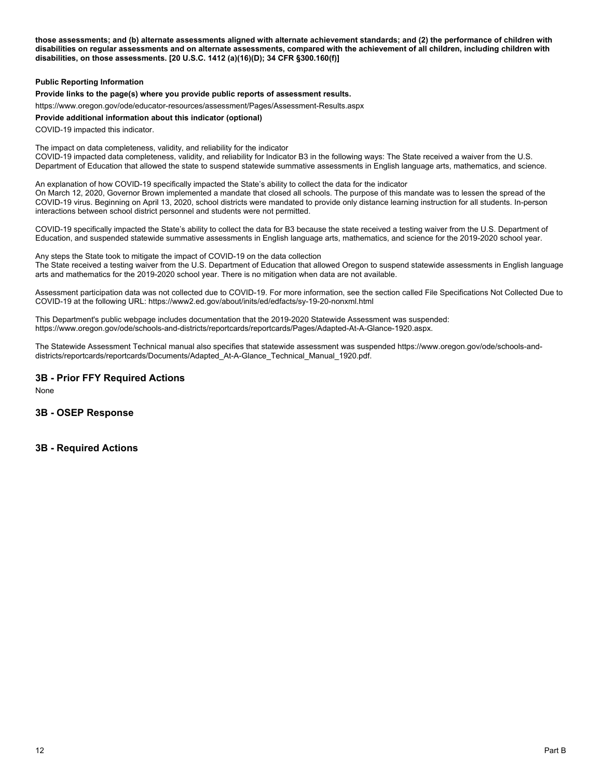**those assessments; and (b) alternate assessments aligned with alternate achievement standards; and (2) the performance of children with disabilities on regular assessments and on alternate assessments, compared with the achievement of all children, including children with disabilities, on those assessments. [20 U.S.C. 1412 (a)(16)(D); 34 CFR §300.160(f)]** 

#### **Public Reporting Information**

**Provide links to the page(s) where you provide public reports of assessment results.** 

https://www.oregon.gov/ode/educator-resources/assessment/Pages/Assessment-Results.aspx

#### **Provide additional information about this indicator (optional)**

COVID-19 impacted this indicator.

The impact on data completeness, validity, and reliability for the indicator COVID-19 impacted data completeness, validity, and reliability for Indicator B3 in the following ways: The State received a waiver from the U.S. Department of Education that allowed the state to suspend statewide summative assessments in English language arts, mathematics, and science.

An explanation of how COVID-19 specifically impacted the State's ability to collect the data for the indicator On March 12, 2020, Governor Brown implemented a mandate that closed all schools. The purpose of this mandate was to lessen the spread of the COVID-19 virus. Beginning on April 13, 2020, school districts were mandated to provide only distance learning instruction for all students. In-person interactions between school district personnel and students were not permitted.

COVID-19 specifically impacted the State's ability to collect the data for B3 because the state received a testing waiver from the U.S. Department of Education, and suspended statewide summative assessments in English language arts, mathematics, and science for the 2019-2020 school year.

Any steps the State took to mitigate the impact of COVID-19 on the data collection

The State received a testing waiver from the U.S. Department of Education that allowed Oregon to suspend statewide assessments in English language arts and mathematics for the 2019-2020 school year. There is no mitigation when data are not available.

Assessment participation data was not collected due to COVID-19. For more information, see the section called File Specifications Not Collected Due to COVID-19 at the following URL: https://www2.ed.gov/about/inits/ed/edfacts/sy-19-20-nonxml.html

This Department's public webpage includes documentation that the 2019-2020 Statewide Assessment was suspended: https://www.oregon.gov/ode/schools-and-districts/reportcards/reportcards/Pages/Adapted-At-A-Glance-1920.aspx.

The Statewide Assessment Technical manual also specifies that statewide assessment was suspended https://www.oregon.gov/ode/schools-anddistricts/reportcards/reportcards/Documents/Adapted\_At-A-Glance\_Technical\_Manual\_1920.pdf.

# **3B - Prior FFY Required Actions**

None

# **3B - OSEP Response**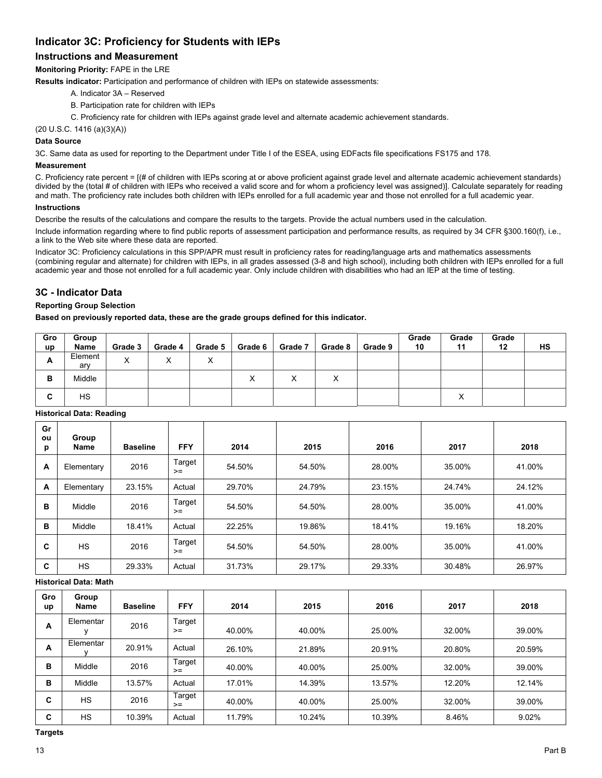# **Indicator 3C: Proficiency for Students with IEPs**

# **Instructions and Measurement**

**Monitoring Priority:** FAPE in the LRE

**Results indicator:** Participation and performance of children with IEPs on statewide assessments:

- A. Indicator 3A Reserved
- B. Participation rate for children with IEPs
- C. Proficiency rate for children with IEPs against grade level and alternate academic achievement standards.

(20 U.S.C. 1416 (a)(3)(A))

## **Data Source**

3C. Same data as used for reporting to the Department under Title I of the ESEA, using EDFacts file specifications FS175 and 178.

#### **Measurement**

C. Proficiency rate percent = [(# of children with IEPs scoring at or above proficient against grade level and alternate academic achievement standards) divided by the (total # of children with IEPs who received a valid score and for whom a proficiency level was assigned)]. Calculate separately for reading and math. The proficiency rate includes both children with IEPs enrolled for a full academic year and those not enrolled for a full academic year.

# **Instructions**

Describe the results of the calculations and compare the results to the targets. Provide the actual numbers used in the calculation.

Include information regarding where to find public reports of assessment participation and performance results, as required by 34 CFR §300.160(f), i.e., a link to the Web site where these data are reported.

Indicator 3C: Proficiency calculations in this SPP/APR must result in proficiency rates for reading/language arts and mathematics assessments (combining regular and alternate) for children with IEPs, in all grades assessed (3-8 and high school), including both children with IEPs enrolled for a full academic year and those not enrolled for a full academic year. Only include children with disabilities who had an IEP at the time of testing.

# **3C - Indicator Data**

# **Reporting Group Selection**

**Based on previously reported data, these are the grade groups defined for this indicator.** 

| Gro<br>up | Group<br>Name  | Grade 3              | Grade 4                   | Grade 5 | Grade 6 | Grade 7 | Grade 8           | Grade 9 | Grade<br>10 | Grade<br>11 | Grade<br>12 | HS |
|-----------|----------------|----------------------|---------------------------|---------|---------|---------|-------------------|---------|-------------|-------------|-------------|----|
| А         | Element<br>ary | $\cdot$<br>$\lambda$ | $\checkmark$<br>$\lambda$ | ⌒       |         |         |                   |         |             |             |             |    |
| в         | Middle         |                      |                           |         | X       | ∧       | $\checkmark$<br>ᄉ |         |             |             |             |    |
| ◠<br>◡    | HS             |                      |                           |         |         |         |                   |         |             | ⌒           |             |    |

| Gr<br>ou<br>p | Group<br>Name | <b>Baseline</b> | <b>FFY</b>     | 2014   | 2015   | 2016   | 2017   | 2018   |
|---------------|---------------|-----------------|----------------|--------|--------|--------|--------|--------|
| A             | Elementary    | 2016            | Target<br>$>=$ | 54.50% | 54.50% | 28.00% | 35.00% | 41.00% |
| A             | Elementary    | 23.15%          | Actual         | 29.70% | 24.79% | 23.15% | 24.74% | 24.12% |
| B             | Middle        | 2016            | Target<br>$>=$ | 54.50% | 54.50% | 28.00% | 35.00% | 41.00% |
| в             | Middle        | 18.41%          | Actual         | 22.25% | 19.86% | 18.41% | 19.16% | 18.20% |
| C             | HS            | 2016            | Target<br>$>=$ | 54.50% | 54.50% | 28.00% | 35.00% | 41.00% |
| C             | <b>HS</b>     | 29.33%          | Actual         | 31.73% | 29.17% | 29.33% | 30.48% | 26.97% |

# **Historical Data: Reading**

**Historical Data: Math** 

| Gro<br>up | Group<br><b>Name</b> | <b>Baseline</b> | <b>FFY</b>     | 2014   | 2015   | 2016   | 2017   | 2018   |
|-----------|----------------------|-----------------|----------------|--------|--------|--------|--------|--------|
| А         | Elementar            | 2016            | Target<br>$>=$ | 40.00% | 40.00% | 25.00% | 32.00% | 39.00% |
| A         | Elementar            | 20.91%          | Actual         | 26.10% | 21.89% | 20.91% | 20.80% | 20.59% |
| в         | Middle               | 2016            | Target<br>$>=$ | 40.00% | 40.00% | 25.00% | 32.00% | 39.00% |
| в         | Middle               | 13.57%          | Actual         | 17.01% | 14.39% | 13.57% | 12.20% | 12.14% |
| C         | <b>HS</b>            | 2016            | Target<br>$>=$ | 40.00% | 40.00% | 25.00% | 32.00% | 39.00% |
| C         | <b>HS</b>            | 10.39%          | Actual         | 11.79% | 10.24% | 10.39% | 8.46%  | 9.02%  |

**Targets**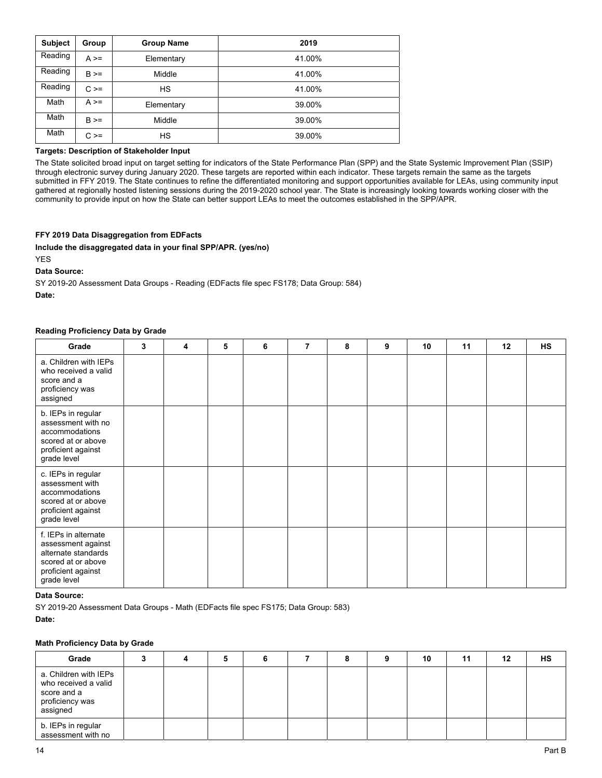| <b>Subject</b> | Group      | <b>Group Name</b> | 2019   |
|----------------|------------|-------------------|--------|
| Reading        | $A \geq 0$ | Elementary        | 41.00% |
| Reading        | $B \geq 0$ | Middle            | 41.00% |
| Reading        | $C \geq 0$ | <b>HS</b>         | 41.00% |
| Math           | $A \geq 0$ | Elementary        | 39.00% |
| Math           | $B \geq 0$ | Middle            | 39.00% |
| Math           | $C \geq 0$ | <b>HS</b>         | 39.00% |

# **Targets: Description of Stakeholder Input**

The State solicited broad input on target setting for indicators of the State Performance Plan (SPP) and the State Systemic Improvement Plan (SSIP) through electronic survey during January 2020. These targets are reported within each indicator. These targets remain the same as the targets submitted in FFY 2019. The State continues to refine the differentiated monitoring and support opportunities available for LEAs, using community input gathered at regionally hosted listening sessions during the 2019-2020 school year. The State is increasingly looking towards working closer with the community to provide input on how the State can better support LEAs to meet the outcomes established in the SPP/APR.

## **FFY 2019 Data Disaggregation from EDFacts**

**Include the disaggregated data in your final SPP/APR. (yes/no)** 

YES

**Data Source:** 

SY 2019-20 Assessment Data Groups - Reading (EDFacts file spec FS178; Data Group: 584)

**Date:** 

#### **Reading Proficiency Data by Grade**

| Grade                                                                                                                        | 3 | 4 | 5 | 6 | 7 | 8 | 9 | 10 | 11 | 12 | <b>HS</b> |
|------------------------------------------------------------------------------------------------------------------------------|---|---|---|---|---|---|---|----|----|----|-----------|
| a. Children with IEPs<br>who received a valid<br>score and a<br>proficiency was<br>assigned                                  |   |   |   |   |   |   |   |    |    |    |           |
| b. IEPs in regular<br>assessment with no<br>accommodations<br>scored at or above<br>proficient against<br>grade level        |   |   |   |   |   |   |   |    |    |    |           |
| c. IEPs in regular<br>assessment with<br>accommodations<br>scored at or above<br>proficient against<br>grade level           |   |   |   |   |   |   |   |    |    |    |           |
| f. IEPs in alternate<br>assessment against<br>alternate standards<br>scored at or above<br>proficient against<br>grade level |   |   |   |   |   |   |   |    |    |    |           |

## **Data Source:**

SY 2019-20 Assessment Data Groups - Math (EDFacts file spec FS175; Data Group: 583)

**Date:** 

# **Math Proficiency Data by Grade**

| Grade                                                                                       |  | 5 |  | 8 | 10 | 11 | 12 | HS |
|---------------------------------------------------------------------------------------------|--|---|--|---|----|----|----|----|
| a. Children with IEPs<br>who received a valid<br>score and a<br>proficiency was<br>assigned |  |   |  |   |    |    |    |    |
| b. IEPs in regular<br>assessment with no                                                    |  |   |  |   |    |    |    |    |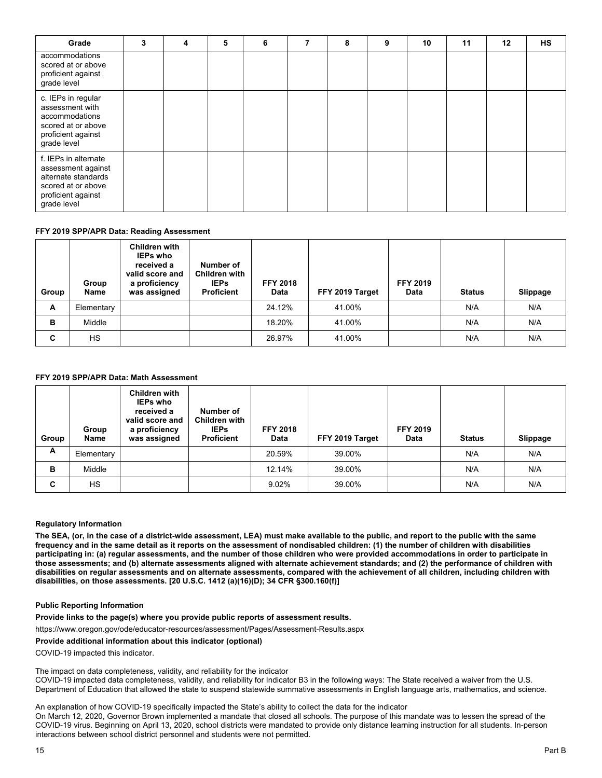| Grade                                                                                                                        | 3 | 4 | 5 | 6 | 8 | 9 | 10 | 11 | 12 | <b>HS</b> |
|------------------------------------------------------------------------------------------------------------------------------|---|---|---|---|---|---|----|----|----|-----------|
| accommodations<br>scored at or above<br>proficient against<br>grade level                                                    |   |   |   |   |   |   |    |    |    |           |
| c. IEPs in regular<br>assessment with<br>accommodations<br>scored at or above<br>proficient against<br>grade level           |   |   |   |   |   |   |    |    |    |           |
| f. IEPs in alternate<br>assessment against<br>alternate standards<br>scored at or above<br>proficient against<br>grade level |   |   |   |   |   |   |    |    |    |           |

#### **FFY 2019 SPP/APR Data: Reading Assessment**

| Group | Group<br>Name | <b>Children with</b><br><b>IEPs who</b><br>received a<br>valid score and<br>a proficiency<br>was assigned | Number of<br><b>Children with</b><br><b>IEPs</b><br><b>Proficient</b> | <b>FFY 2018</b><br>Data | FFY 2019 Target | <b>FFY 2019</b><br>Data | <b>Status</b> | <b>Slippage</b> |
|-------|---------------|-----------------------------------------------------------------------------------------------------------|-----------------------------------------------------------------------|-------------------------|-----------------|-------------------------|---------------|-----------------|
| A     | Elementary    |                                                                                                           |                                                                       | 24.12%                  | 41.00%          |                         | N/A           | N/A             |
| B     | Middle        |                                                                                                           |                                                                       | 18.20%                  | 41.00%          |                         | N/A           | N/A             |
| C     | HS.           |                                                                                                           |                                                                       | 26.97%                  | 41.00%          |                         | N/A           | N/A             |

# **FFY 2019 SPP/APR Data: Math Assessment**

| Group | Group<br>Name | <b>Children with</b><br><b>IEPs who</b><br>received a<br>valid score and<br>a proficiency<br>was assigned | Number of<br><b>Children with</b><br><b>IEPs</b><br><b>Proficient</b> | <b>FFY 2018</b><br>Data | FFY 2019 Target | <b>FFY 2019</b><br><b>Data</b> | <b>Status</b> | Slippage |
|-------|---------------|-----------------------------------------------------------------------------------------------------------|-----------------------------------------------------------------------|-------------------------|-----------------|--------------------------------|---------------|----------|
| A     | Elementary    |                                                                                                           |                                                                       | 20.59%                  | 39.00%          |                                | N/A           | N/A      |
| в     | Middle        |                                                                                                           |                                                                       | 12.14%                  | 39.00%          |                                | N/A           | N/A      |
| C     | <b>HS</b>     |                                                                                                           |                                                                       | 9.02%                   | 39.00%          |                                | N/A           | N/A      |

#### **Regulatory Information**

**The SEA, (or, in the case of a district-wide assessment, LEA) must make available to the public, and report to the public with the same frequency and in the same detail as it reports on the assessment of nondisabled children: (1) the number of children with disabilities participating in: (a) regular assessments, and the number of those children who were provided accommodations in order to participate in those assessments; and (b) alternate assessments aligned with alternate achievement standards; and (2) the performance of children with disabilities on regular assessments and on alternate assessments, compared with the achievement of all children, including children with disabilities, on those assessments. [20 U.S.C. 1412 (a)(16)(D); 34 CFR §300.160(f)]** 

## **Public Reporting Information**

**Provide links to the page(s) where you provide public reports of assessment results.** 

https://www.oregon.gov/ode/educator-resources/assessment/Pages/Assessment-Results.aspx

**Provide additional information about this indicator (optional)** 

COVID-19 impacted this indicator.

The impact on data completeness, validity, and reliability for the indicator

COVID-19 impacted data completeness, validity, and reliability for Indicator B3 in the following ways: The State received a waiver from the U.S. Department of Education that allowed the state to suspend statewide summative assessments in English language arts, mathematics, and science.

An explanation of how COVID-19 specifically impacted the State's ability to collect the data for the indicator On March 12, 2020, Governor Brown implemented a mandate that closed all schools. The purpose of this mandate was to lessen the spread of the COVID-19 virus. Beginning on April 13, 2020, school districts were mandated to provide only distance learning instruction for all students. In-person interactions between school district personnel and students were not permitted.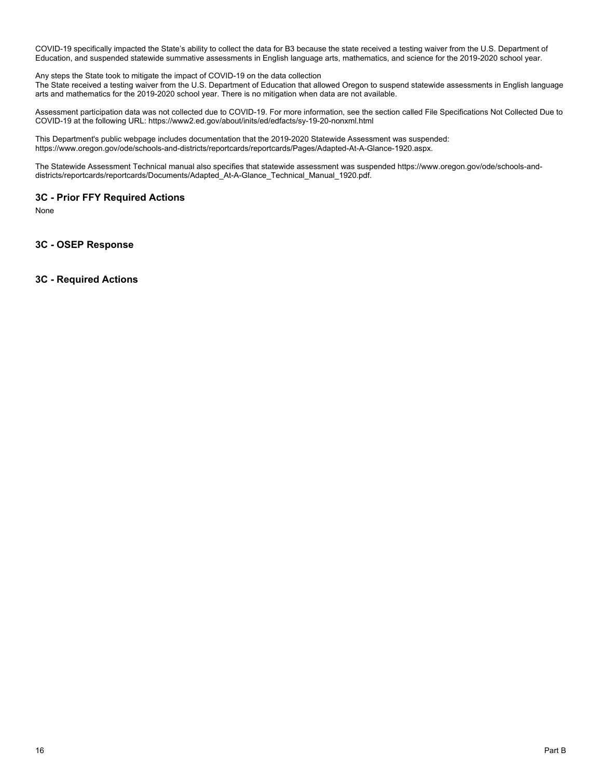COVID-19 specifically impacted the State's ability to collect the data for B3 because the state received a testing waiver from the U.S. Department of Education, and suspended statewide summative assessments in English language arts, mathematics, and science for the 2019-2020 school year.

Any steps the State took to mitigate the impact of COVID-19 on the data collection

The State received a testing waiver from the U.S. Department of Education that allowed Oregon to suspend statewide assessments in English language arts and mathematics for the 2019-2020 school year. There is no mitigation when data are not available.

Assessment participation data was not collected due to COVID-19. For more information, see the section called File Specifications Not Collected Due to COVID-19 at the following URL: https://www2.ed.gov/about/inits/ed/edfacts/sy-19-20-nonxml.html

This Department's public webpage includes documentation that the 2019-2020 Statewide Assessment was suspended: https://www.oregon.gov/ode/schools-and-districts/reportcards/reportcards/Pages/Adapted-At-A-Glance-1920.aspx.

The Statewide Assessment Technical manual also specifies that statewide assessment was suspended https://www.oregon.gov/ode/schools-anddistricts/reportcards/reportcards/Documents/Adapted\_At-A-Glance\_Technical\_Manual\_1920.pdf.

# **3C - Prior FFY Required Actions**

None

**3C - OSEP Response**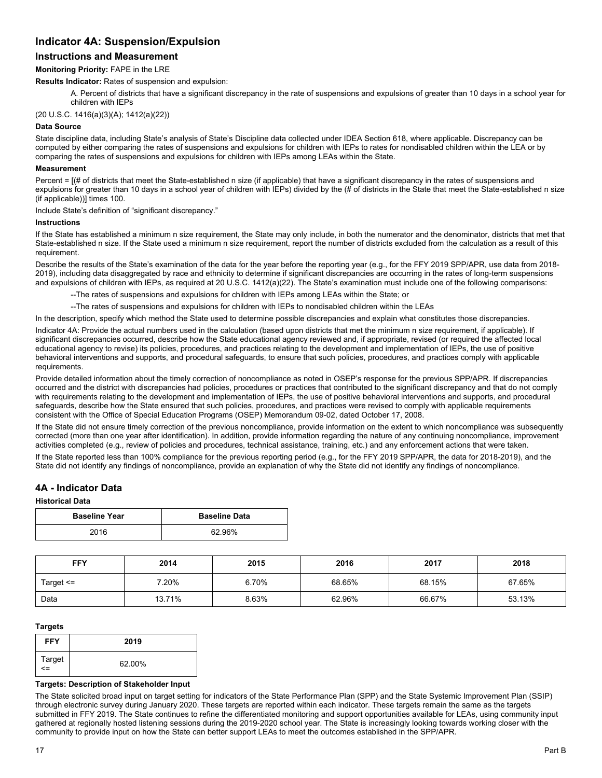# **Indicator 4A: Suspension/Expulsion**

# **Instructions and Measurement**

#### **Monitoring Priority:** FAPE in the LRE

**Results Indicator:** Rates of suspension and expulsion:

A. Percent of districts that have a significant discrepancy in the rate of suspensions and expulsions of greater than 10 days in a school year for children with IEPs

(20 U.S.C. 1416(a)(3)(A); 1412(a)(22))

#### **Data Source**

State discipline data, including State's analysis of State's Discipline data collected under IDEA Section 618, where applicable. Discrepancy can be computed by either comparing the rates of suspensions and expulsions for children with IEPs to rates for nondisabled children within the LEA or by comparing the rates of suspensions and expulsions for children with IEPs among LEAs within the State.

#### **Measurement**

Percent = [(# of districts that meet the State-established n size (if applicable) that have a significant discrepancy in the rates of suspensions and expulsions for greater than 10 days in a school year of children with IEPs) divided by the (# of districts in the State that meet the State-established n size (if applicable))] times 100.

Include State's definition of "significant discrepancy."

#### **Instructions**

If the State has established a minimum n size requirement, the State may only include, in both the numerator and the denominator, districts that met that State-established n size. If the State used a minimum n size requirement, report the number of districts excluded from the calculation as a result of this requirement.

Describe the results of the State's examination of the data for the year before the reporting year (e.g., for the FFY 2019 SPP/APR, use data from 2018- 2019), including data disaggregated by race and ethnicity to determine if significant discrepancies are occurring in the rates of long-term suspensions and expulsions of children with IEPs, as required at 20 U.S.C. 1412(a)(22). The State's examination must include one of the following comparisons:

--The rates of suspensions and expulsions for children with IEPs among LEAs within the State; or

--The rates of suspensions and expulsions for children with IEPs to nondisabled children within the LEAs

In the description, specify which method the State used to determine possible discrepancies and explain what constitutes those discrepancies.

Indicator 4A: Provide the actual numbers used in the calculation (based upon districts that met the minimum n size requirement, if applicable). If significant discrepancies occurred, describe how the State educational agency reviewed and, if appropriate, revised (or required the affected local educational agency to revise) its policies, procedures, and practices relating to the development and implementation of IEPs, the use of positive behavioral interventions and supports, and procedural safeguards, to ensure that such policies, procedures, and practices comply with applicable requirements.

Provide detailed information about the timely correction of noncompliance as noted in OSEP's response for the previous SPP/APR. If discrepancies occurred and the district with discrepancies had policies, procedures or practices that contributed to the significant discrepancy and that do not comply with requirements relating to the development and implementation of IEPs, the use of positive behavioral interventions and supports, and procedural safeguards, describe how the State ensured that such policies, procedures, and practices were revised to comply with applicable requirements consistent with the Office of Special Education Programs (OSEP) Memorandum 09-02, dated October 17, 2008.

If the State did not ensure timely correction of the previous noncompliance, provide information on the extent to which noncompliance was subsequently corrected (more than one year after identification). In addition, provide information regarding the nature of any continuing noncompliance, improvement activities completed (e.g., review of policies and procedures, technical assistance, training, etc.) and any enforcement actions that were taken.

If the State reported less than 100% compliance for the previous reporting period (e.g., for the FFY 2019 SPP/APR, the data for 2018-2019), and the State did not identify any findings of noncompliance, provide an explanation of why the State did not identify any findings of noncompliance.

#### **4A - Indicator Data**

# **Historical Data**

| <b>Baseline Year</b> | <b>Baseline Data</b> |
|----------------------|----------------------|
| 2016                 | 62.96%               |

| <b>FFY</b> | 2014   | 2015  | 2016   | 2017   | 2018   |
|------------|--------|-------|--------|--------|--------|
| Target <=  | 7.20%  | 6.70% | 68.65% | 68.15% | 67.65% |
| Data       | 13.71% | 8.63% | 62.96% | 66.67% | 53.13% |

#### **Targets**

| <b>FFY</b>   | 2019   |
|--------------|--------|
| Target<br><= | 62.00% |

#### **Targets: Description of Stakeholder Input**

The State solicited broad input on target setting for indicators of the State Performance Plan (SPP) and the State Systemic Improvement Plan (SSIP) through electronic survey during January 2020. These targets are reported within each indicator. These targets remain the same as the targets submitted in FFY 2019. The State continues to refine the differentiated monitoring and support opportunities available for LEAs, using community input gathered at regionally hosted listening sessions during the 2019-2020 school year. The State is increasingly looking towards working closer with the community to provide input on how the State can better support LEAs to meet the outcomes established in the SPP/APR.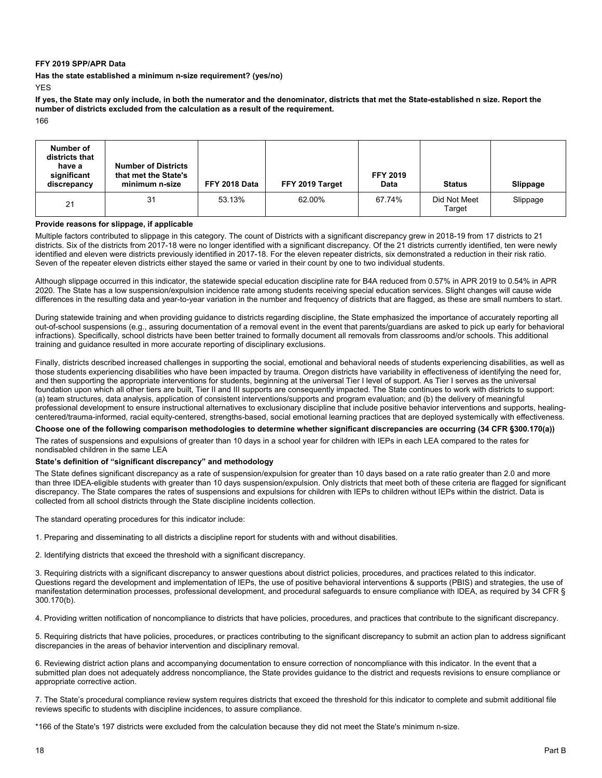#### **FFY 2019 SPP/APR Data**

**Has the state established a minimum n-size requirement? (yes/no)** 

YES

**If yes, the State may only include, in both the numerator and the denominator, districts that met the State-established n size. Report the number of districts excluded from the calculation as a result of the requirement.** 

166

| Number of<br>districts that<br>have a<br>significant<br>discrepancy | <b>Number of Districts</b><br>that met the State's<br>minimum n-size | FFY 2018 Data | FFY 2019 Target | <b>FFY 2019</b><br>Data | <b>Status</b>          | Slippage |
|---------------------------------------------------------------------|----------------------------------------------------------------------|---------------|-----------------|-------------------------|------------------------|----------|
| 21                                                                  | 31                                                                   | 53.13%        | 62.00%          | 67.74%                  | Did Not Meet<br>Target | Slippage |

#### **Provide reasons for slippage, if applicable**

Multiple factors contributed to slippage in this category. The count of Districts with a significant discrepancy grew in 2018-19 from 17 districts to 21 districts. Six of the districts from 2017-18 were no longer identified with a significant discrepancy. Of the 21 districts currently identified, ten were newly identified and eleven were districts previously identified in 2017-18. For the eleven repeater districts, six demonstrated a reduction in their risk ratio. Seven of the repeater eleven districts either stayed the same or varied in their count by one to two individual students.

Although slippage occurred in this indicator, the statewide special education discipline rate for B4A reduced from 0.57% in APR 2019 to 0.54% in APR 2020. The State has a low suspension/expulsion incidence rate among students receiving special education services. Slight changes will cause wide differences in the resulting data and year-to-year variation in the number and frequency of districts that are flagged, as these are small numbers to start.

During statewide training and when providing guidance to districts regarding discipline, the State emphasized the importance of accurately reporting all out-of-school suspensions (e.g., assuring documentation of a removal event in the event that parents/guardians are asked to pick up early for behavioral infractions). Specifically, school districts have been better trained to formally document all removals from classrooms and/or schools. This additional training and guidance resulted in more accurate reporting of disciplinary exclusions.

Finally, districts described increased challenges in supporting the social, emotional and behavioral needs of students experiencing disabilities, as well as those students experiencing disabilities who have been impacted by trauma. Oregon districts have variability in effectiveness of identifying the need for, and then supporting the appropriate interventions for students, beginning at the universal Tier I level of support. As Tier I serves as the universal foundation upon which all other tiers are built, Tier II and III supports are consequently impacted. The State continues to work with districts to support: (a) team structures, data analysis, application of consistent interventions/supports and program evaluation; and (b) the delivery of meaningful professional development to ensure instructional alternatives to exclusionary discipline that include positive behavior interventions and supports, healingcentered/trauma-informed, racial equity-centered, strengths-based, social emotional learning practices that are deployed systemically with effectiveness.

#### **Choose one of the following comparison methodologies to determine whether significant discrepancies are occurring (34 CFR §300.170(a))**

The rates of suspensions and expulsions of greater than 10 days in a school year for children with IEPs in each LEA compared to the rates for nondisabled children in the same LEA

#### **State's definition of "significant discrepancy" and methodology**

The State defines significant discrepancy as a rate of suspension/expulsion for greater than 10 days based on a rate ratio greater than 2.0 and more than three IDEA-eligible students with greater than 10 days suspension/expulsion. Only districts that meet both of these criteria are flagged for significant discrepancy. The State compares the rates of suspensions and expulsions for children with IEPs to children without IEPs within the district. Data is collected from all school districts through the State discipline incidents collection.

The standard operating procedures for this indicator include:

1. Preparing and disseminating to all districts a discipline report for students with and without disabilities.

2. Identifying districts that exceed the threshold with a significant discrepancy.

3. Requiring districts with a significant discrepancy to answer questions about district policies, procedures, and practices related to this indicator. Questions regard the development and implementation of IEPs, the use of positive behavioral interventions & supports (PBIS) and strategies, the use of manifestation determination processes, professional development, and procedural safeguards to ensure compliance with IDEA, as required by 34 CFR § 300.170(b).

4. Providing written notification of noncompliance to districts that have policies, procedures, and practices that contribute to the significant discrepancy.

5. Requiring districts that have policies, procedures, or practices contributing to the significant discrepancy to submit an action plan to address significant discrepancies in the areas of behavior intervention and disciplinary removal.

6. Reviewing district action plans and accompanying documentation to ensure correction of noncompliance with this indicator. In the event that a submitted plan does not adequately address noncompliance, the State provides guidance to the district and requests revisions to ensure compliance or appropriate corrective action.

7. The State's procedural compliance review system requires districts that exceed the threshold for this indicator to complete and submit additional file reviews specific to students with discipline incidences, to assure compliance.

\*166 of the State's 197 districts were excluded from the calculation because they did not meet the State's minimum n-size.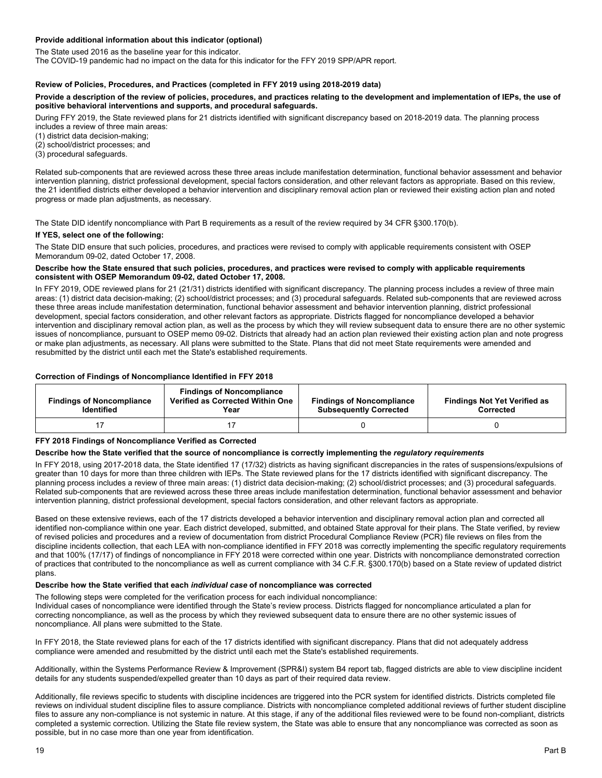#### **Provide additional information about this indicator (optional)**

The State used 2016 as the baseline year for this indicator.

The COVID-19 pandemic had no impact on the data for this indicator for the FFY 2019 SPP/APR report.

#### **Review of Policies, Procedures, and Practices (completed in FFY 2019 using 2018-2019 data)**

#### **Provide a description of the review of policies, procedures, and practices relating to the development and implementation of IEPs, the use of positive behavioral interventions and supports, and procedural safeguards.**

During FFY 2019, the State reviewed plans for 21 districts identified with significant discrepancy based on 2018-2019 data. The planning process

includes a review of three main areas:

(1) district data decision-making;

(2) school/district processes; and

(3) procedural safeguards.

Related sub-components that are reviewed across these three areas include manifestation determination, functional behavior assessment and behavior intervention planning, district professional development, special factors consideration, and other relevant factors as appropriate. Based on this review, the 21 identified districts either developed a behavior intervention and disciplinary removal action plan or reviewed their existing action plan and noted progress or made plan adjustments, as necessary.

The State DID identify noncompliance with Part B requirements as a result of the review required by 34 CFR §300.170(b).

#### **If YES, select one of the following:**

The State DID ensure that such policies, procedures, and practices were revised to comply with applicable requirements consistent with OSEP Memorandum 09-02, dated October 17, 2008.

#### **Describe how the State ensured that such policies, procedures, and practices were revised to comply with applicable requirements consistent with OSEP Memorandum 09-02, dated October 17, 2008***.*

 intervention and disciplinary removal action plan, as well as the process by which they will review subsequent data to ensure there are no other systemic In FFY 2019, ODE reviewed plans for 21 (21/31) districts identified with significant discrepancy. The planning process includes a review of three main areas: (1) district data decision-making; (2) school/district processes; and (3) procedural safeguards. Related sub-components that are reviewed across these three areas include manifestation determination, functional behavior assessment and behavior intervention planning, district professional development, special factors consideration, and other relevant factors as appropriate. Districts flagged for noncompliance developed a behavior issues of noncompliance, pursuant to OSEP memo 09-02. Districts that already had an action plan reviewed their existing action plan and note progress or make plan adjustments, as necessary. All plans were submitted to the State. Plans that did not meet State requirements were amended and resubmitted by the district until each met the State's established requirements.

#### **Correction of Findings of Noncompliance Identified in FFY 2018**

| <b>Findings of Noncompliance</b><br><b>Identified</b> | <b>Findings of Noncompliance</b><br>Verified as Corrected Within One<br>Year | <b>Findings of Noncompliance</b><br><b>Subsequently Corrected</b> | <b>Findings Not Yet Verified as</b><br>Corrected |
|-------------------------------------------------------|------------------------------------------------------------------------------|-------------------------------------------------------------------|--------------------------------------------------|
|                                                       |                                                                              |                                                                   |                                                  |

#### **FFY 2018 Findings of Noncompliance Verified as Corrected**

#### **Describe how the State verified that the source of noncompliance is correctly implementing the** *regulatory requirements*

In FFY 2018, using 2017-2018 data, the State identified 17 (17/32) districts as having significant discrepancies in the rates of suspensions/expulsions of greater than 10 days for more than three children with IEPs. The State reviewed plans for the 17 districts identified with significant discrepancy. The planning process includes a review of three main areas: (1) district data decision-making; (2) school/district processes; and (3) procedural safeguards. Related sub-components that are reviewed across these three areas include manifestation determination, functional behavior assessment and behavior intervention planning, district professional development, special factors consideration, and other relevant factors as appropriate.

Based on these extensive reviews, each of the 17 districts developed a behavior intervention and disciplinary removal action plan and corrected all identified non-compliance within one year. Each district developed, submitted, and obtained State approval for their plans. The State verified, by review of revised policies and procedures and a review of documentation from district Procedural Compliance Review (PCR) file reviews on files from the discipline incidents collection, that each LEA with non-compliance identified in FFY 2018 was correctly implementing the specific regulatory requirements and that 100% (17/17) of findings of noncompliance in FFY 2018 were corrected within one year. Districts with noncompliance demonstrated correction of practices that contributed to the noncompliance as well as current compliance with 34 C.F.R. §300.170(b) based on a State review of updated district plans.

#### **Describe how the State verified that each** *individual case* **of noncompliance was corrected**

The following steps were completed for the verification process for each individual noncompliance: Individual cases of noncompliance were identified through the State's review process. Districts flagged for noncompliance articulated a plan for correcting noncompliance, as well as the process by which they reviewed subsequent data to ensure there are no other systemic issues of noncompliance. All plans were submitted to the State.

In FFY 2018, the State reviewed plans for each of the 17 districts identified with significant discrepancy. Plans that did not adequately address compliance were amended and resubmitted by the district until each met the State's established requirements.

Additionally, within the Systems Performance Review & Improvement (SPR&I) system B4 report tab, flagged districts are able to view discipline incident details for any students suspended/expelled greater than 10 days as part of their required data review.

Additionally, file reviews specific to students with discipline incidences are triggered into the PCR system for identified districts. Districts completed file reviews on individual student discipline files to assure compliance. Districts with noncompliance completed additional reviews of further student discipline files to assure any non-compliance is not systemic in nature. At this stage, if any of the additional files reviewed were to be found non-compliant, districts completed a systemic correction. Utilizing the State file review system, the State was able to ensure that any noncompliance was corrected as soon as possible, but in no case more than one year from identification.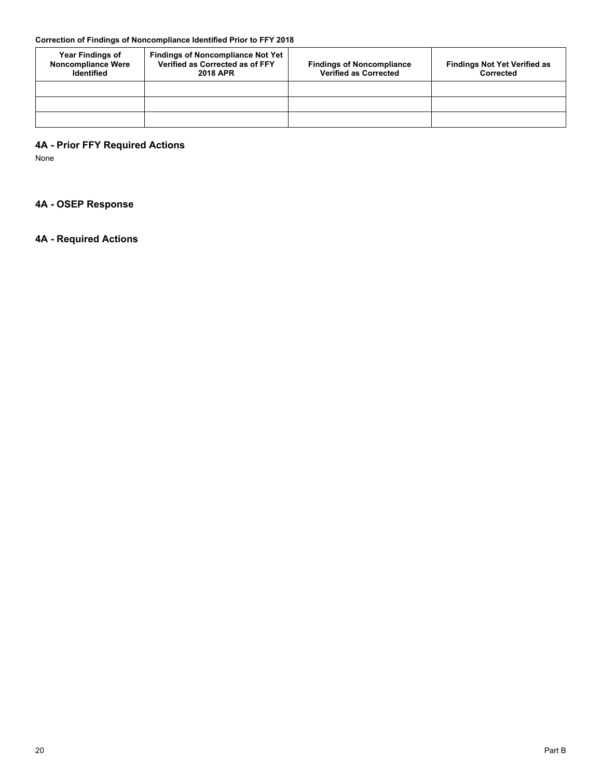# **Correction of Findings of Noncompliance Identified Prior to FFY 2018**

| <b>Year Findings of</b><br><b>Noncompliance Were</b><br><b>Identified</b> | <b>Findings of Noncompliance Not Yet</b><br>Verified as Corrected as of FFY<br><b>2018 APR</b> | <b>Findings of Noncompliance</b><br><b>Verified as Corrected</b> | <b>Findings Not Yet Verified as</b><br>Corrected |
|---------------------------------------------------------------------------|------------------------------------------------------------------------------------------------|------------------------------------------------------------------|--------------------------------------------------|
|                                                                           |                                                                                                |                                                                  |                                                  |
|                                                                           |                                                                                                |                                                                  |                                                  |
|                                                                           |                                                                                                |                                                                  |                                                  |

# **4A - Prior FFY Required Actions**

None

# **4A - OSEP Response**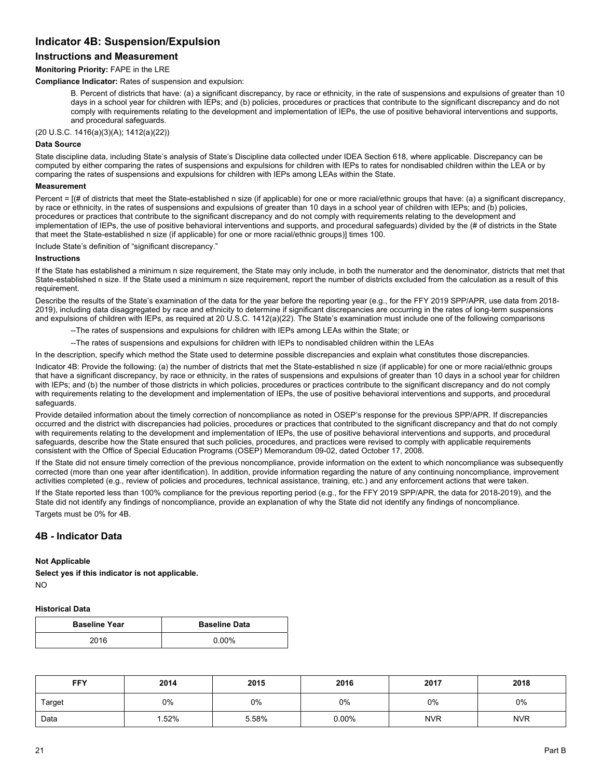# **Indicator 4B: Suspension/Expulsion**

# **Instructions and Measurement**

#### **Monitoring Priority:** FAPE in the LRE

**Compliance Indicator:** Rates of suspension and expulsion:

B. Percent of districts that have: (a) a significant discrepancy, by race or ethnicity, in the rate of suspensions and expulsions of greater than 10 days in a school year for children with IEPs; and (b) policies, procedures or practices that contribute to the significant discrepancy and do not comply with requirements relating to the development and implementation of IEPs, the use of positive behavioral interventions and supports, and procedural safeguards.

(20 U.S.C. 1416(a)(3)(A); 1412(a)(22))

#### **Data Source**

State discipline data, including State's analysis of State's Discipline data collected under IDEA Section 618, where applicable. Discrepancy can be computed by either comparing the rates of suspensions and expulsions for children with IEPs to rates for nondisabled children within the LEA or by comparing the rates of suspensions and expulsions for children with IEPs among LEAs within the State.

#### **Measurement**

Percent = [(# of districts that meet the State-established n size (if applicable) for one or more racial/ethnic groups that have: (a) a significant discrepancy, by race or ethnicity, in the rates of suspensions and expulsions of greater than 10 days in a school year of children with IEPs; and (b) policies, procedures or practices that contribute to the significant discrepancy and do not comply with requirements relating to the development and implementation of IEPs, the use of positive behavioral interventions and supports, and procedural safeguards) divided by the (# of districts in the State that meet the State-established n size (if applicable) for one or more racial/ethnic groups)] times 100.

Include State's definition of "significant discrepancy."

#### **Instructions**

If the State has established a minimum n size requirement, the State may only include, in both the numerator and the denominator, districts that met that State-established n size. If the State used a minimum n size requirement, report the number of districts excluded from the calculation as a result of this requirement.

Describe the results of the State's examination of the data for the year before the reporting year (e.g., for the FFY 2019 SPP/APR, use data from 2018- 2019), including data disaggregated by race and ethnicity to determine if significant discrepancies are occurring in the rates of long-term suspensions and expulsions of children with IEPs, as required at 20 U.S.C. 1412(a)(22). The State's examination must include one of the following comparisons

--The rates of suspensions and expulsions for children with IEPs among LEAs within the State; or

--The rates of suspensions and expulsions for children with IEPs to nondisabled children within the LEAs

In the description, specify which method the State used to determine possible discrepancies and explain what constitutes those discrepancies.

Indicator 4B: Provide the following: (a) the number of districts that met the State-established n size (if applicable) for one or more racial/ethnic groups that have a significant discrepancy, by race or ethnicity, in the rates of suspensions and expulsions of greater than 10 days in a school year for children with IEPs; and (b) the number of those districts in which policies, procedures or practices contribute to the significant discrepancy and do not comply with requirements relating to the development and implementation of IEPs, the use of positive behavioral interventions and supports, and procedural safeguards.

Provide detailed information about the timely correction of noncompliance as noted in OSEP's response for the previous SPP/APR. If discrepancies occurred and the district with discrepancies had policies, procedures or practices that contributed to the significant discrepancy and that do not comply with requirements relating to the development and implementation of IEPs, the use of positive behavioral interventions and supports, and procedural safeguards, describe how the State ensured that such policies, procedures, and practices were revised to comply with applicable requirements consistent with the Office of Special Education Programs (OSEP) Memorandum 09-02, dated October 17, 2008.

If the State did not ensure timely correction of the previous noncompliance, provide information on the extent to which noncompliance was subsequently corrected (more than one year after identification). In addition, provide information regarding the nature of any continuing noncompliance, improvement activities completed (e.g., review of policies and procedures, technical assistance, training, etc.) and any enforcement actions that were taken.

If the State reported less than 100% compliance for the previous reporting period (e.g., for the FFY 2019 SPP/APR, the data for 2018-2019), and the State did not identify any findings of noncompliance, provide an explanation of why the State did not identify any findings of noncompliance. Targets must be 0% for 4B.

# **4B - Indicator Data**

# **Not Applicable**

**Select yes if this indicator is not applicable.**  NO

#### **Historical Data**

| <b>Baseline Year</b> | <b>Baseline Data</b> |
|----------------------|----------------------|
| 2016                 | 0.00%                |

| <b>FFY</b> | 2014 | 2015  | 2016     | 2017       | 2018       |
|------------|------|-------|----------|------------|------------|
| Target     | 0%   | 0%    | 0%       | 0%         | 0%         |
| Data       | .52% | 5.58% | $0.00\%$ | <b>NVR</b> | <b>NVR</b> |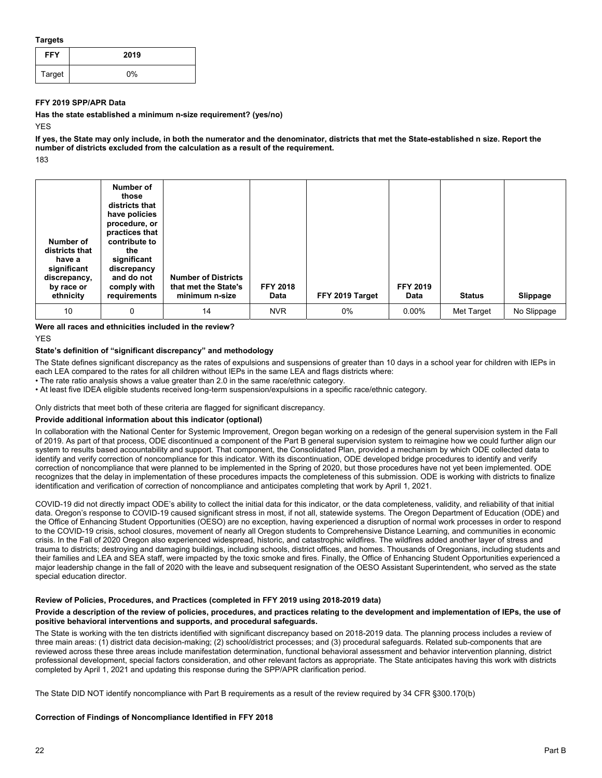**Targets** 

| <b>FFY</b> | 2019 |
|------------|------|
| Target     | 0%   |

#### **FFY 2019 SPP/APR Data**

**Has the state established a minimum n-size requirement? (yes/no)** 

YES

183 **If yes, the State may only include, in both the numerator and the denominator, districts that met the State-established n size. Report the number of districts excluded from the calculation as a result of the requirement.** 

| Number of<br>districts that<br>have a<br>significant<br>discrepancy,<br>by race or<br>ethnicity | Number of<br>those<br>districts that<br>have policies<br>procedure, or<br>practices that<br>contribute to<br>the<br>significant<br>discrepancy<br>and do not<br>comply with<br>requirements | <b>Number of Districts</b><br>that met the State's<br>minimum n-size | <b>FFY 2018</b><br>Data | FFY 2019 Target | <b>FFY 2019</b><br>Data | <b>Status</b> | Slippage    |
|-------------------------------------------------------------------------------------------------|---------------------------------------------------------------------------------------------------------------------------------------------------------------------------------------------|----------------------------------------------------------------------|-------------------------|-----------------|-------------------------|---------------|-------------|
| 10                                                                                              | 0                                                                                                                                                                                           | 14                                                                   | <b>NVR</b>              | 0%              | $0.00\%$                | Met Target    | No Slippage |

#### **Were all races and ethnicities included in the review?**

**YFS** 

# **State's definition of "significant discrepancy" and methodology**

The State defines significant discrepancy as the rates of expulsions and suspensions of greater than 10 days in a school year for children with IEPs in each LEA compared to the rates for all children without IEPs in the same LEA and flags districts where:

- The rate ratio analysis shows a value greater than 2.0 in the same race/ethnic category.
- At least five IDEA eligible students received long-term suspension/expulsions in a specific race/ethnic category.

Only districts that meet both of these criteria are flagged for significant discrepancy.

#### **Provide additional information about this indicator (optional)**

In collaboration with the National Center for Systemic Improvement, Oregon began working on a redesign of the general supervision system in the Fall of 2019. As part of that process, ODE discontinued a component of the Part B general supervision system to reimagine how we could further align our system to results based accountability and support. That component, the Consolidated Plan, provided a mechanism by which ODE collected data to identify and verify correction of noncompliance for this indicator. With its discontinuation, ODE developed bridge procedures to identify and verify correction of noncompliance that were planned to be implemented in the Spring of 2020, but those procedures have not yet been implemented. ODE recognizes that the delay in implementation of these procedures impacts the completeness of this submission. ODE is working with districts to finalize identification and verification of correction of noncompliance and anticipates completing that work by April 1, 2021.

COVID-19 did not directly impact ODE's ability to collect the initial data for this indicator, or the data completeness, validity, and reliability of that initial data. Oregon's response to COVID-19 caused significant stress in most, if not all, statewide systems. The Oregon Department of Education (ODE) and the Office of Enhancing Student Opportunities (OESO) are no exception, having experienced a disruption of normal work processes in order to respond to the COVID-19 crisis, school closures, movement of nearly all Oregon students to Comprehensive Distance Learning, and communities in economic crisis. In the Fall of 2020 Oregon also experienced widespread, historic, and catastrophic wildfires. The wildfires added another layer of stress and trauma to districts; destroying and damaging buildings, including schools, district offices, and homes. Thousands of Oregonians, including students and their families and LEA and SEA staff, were impacted by the toxic smoke and fires. Finally, the Office of Enhancing Student Opportunities experienced a major leadership change in the fall of 2020 with the leave and subsequent resignation of the OESO Assistant Superintendent, who served as the state special education director.

#### **Review of Policies, Procedures, and Practices (completed in FFY 2019 using 2018-2019 data)**

#### **Provide a description of the review of policies, procedures, and practices relating to the development and implementation of IEPs, the use of positive behavioral interventions and supports, and procedural safeguards.**

The State is working with the ten districts identified with significant discrepancy based on 2018-2019 data. The planning process includes a review of three main areas: (1) district data decision-making; (2) school/district processes; and (3) procedural safeguards. Related sub-components that are reviewed across these three areas include manifestation determination, functional behavioral assessment and behavior intervention planning, district professional development, special factors consideration, and other relevant factors as appropriate. The State anticipates having this work with districts completed by April 1, 2021 and updating this response during the SPP/APR clarification period.

The State DID NOT identify noncompliance with Part B requirements as a result of the review required by 34 CFR §300.170(b)

#### **Correction of Findings of Noncompliance Identified in FFY 2018**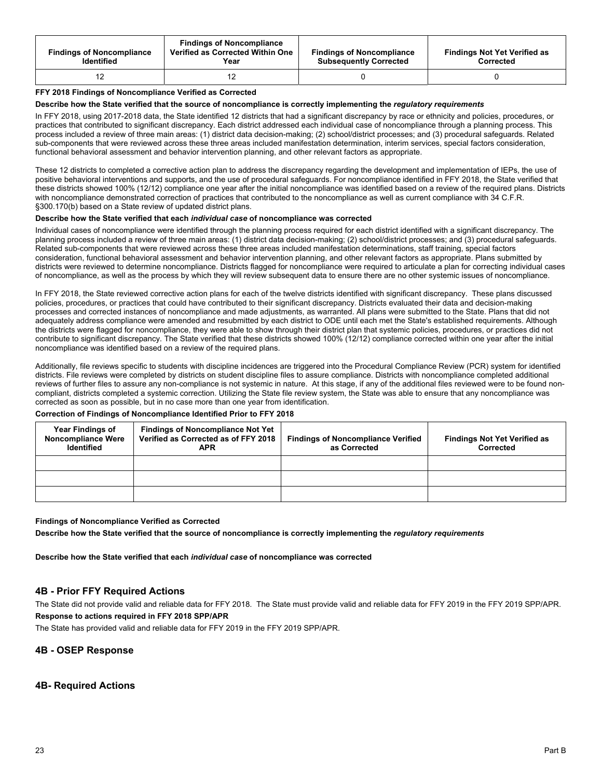| <b>Findings of Noncompliance</b><br><b>Identified</b> | <b>Findings of Noncompliance</b><br>Verified as Corrected Within One<br>Year | <b>Findings of Noncompliance</b><br><b>Subsequently Corrected</b> | <b>Findings Not Yet Verified as</b><br>Corrected |
|-------------------------------------------------------|------------------------------------------------------------------------------|-------------------------------------------------------------------|--------------------------------------------------|
|                                                       |                                                                              |                                                                   |                                                  |

#### **FFY 2018 Findings of Noncompliance Verified as Corrected**

#### **Describe how the State verified that the source of noncompliance is correctly implementing the** *regulatory requirements*

In FFY 2018, using 2017-2018 data, the State identified 12 districts that had a significant discrepancy by race or ethnicity and policies, procedures, or practices that contributed to significant discrepancy. Each district addressed each individual case of noncompliance through a planning process. This process included a review of three main areas: (1) district data decision-making; (2) school/district processes; and (3) procedural safeguards. Related sub-components that were reviewed across these three areas included manifestation determination, interim services, special factors consideration, functional behavioral assessment and behavior intervention planning, and other relevant factors as appropriate.

These 12 districts to completed a corrective action plan to address the discrepancy regarding the development and implementation of IEPs, the use of positive behavioral interventions and supports, and the use of procedural safeguards. For noncompliance identified in FFY 2018, the State verified that these districts showed 100% (12/12) compliance one year after the initial noncompliance was identified based on a review of the required plans. Districts with noncompliance demonstrated correction of practices that contributed to the noncompliance as well as current compliance with 34 C.F.R. §300.170(b) based on a State review of updated district plans.

#### **Describe how the State verified that each** *individual case* **of noncompliance was corrected**

 of noncompliance, as well as the process by which they will review subsequent data to ensure there are no other systemic issues of noncompliance. Individual cases of noncompliance were identified through the planning process required for each district identified with a significant discrepancy. The planning process included a review of three main areas: (1) district data decision-making; (2) school/district processes; and (3) procedural safeguards. Related sub-components that were reviewed across these three areas included manifestation determinations, staff training, special factors consideration, functional behavioral assessment and behavior intervention planning, and other relevant factors as appropriate. Plans submitted by districts were reviewed to determine noncompliance. Districts flagged for noncompliance were required to articulate a plan for correcting individual cases

In FFY 2018, the State reviewed corrective action plans for each of the twelve districts identified with significant discrepancy. These plans discussed policies, procedures, or practices that could have contributed to their significant discrepancy. Districts evaluated their data and decision-making processes and corrected instances of noncompliance and made adjustments, as warranted. All plans were submitted to the State. Plans that did not adequately address compliance were amended and resubmitted by each district to ODE until each met the State's established requirements. Although the districts were flagged for noncompliance, they were able to show through their district plan that systemic policies, procedures, or practices did not contribute to significant discrepancy. The State verified that these districts showed 100% (12/12) compliance corrected within one year after the initial noncompliance was identified based on a review of the required plans.

Additionally, file reviews specific to students with discipline incidences are triggered into the Procedural Compliance Review (PCR) system for identified districts. File reviews were completed by districts on student discipline files to assure compliance. Districts with noncompliance completed additional reviews of further files to assure any non-compliance is not systemic in nature. At this stage, if any of the additional files reviewed were to be found noncompliant, districts completed a systemic correction. Utilizing the State file review system, the State was able to ensure that any noncompliance was corrected as soon as possible, but in no case more than one year from identification.

#### **Correction of Findings of Noncompliance Identified Prior to FFY 2018**

| <b>Year Findings of</b><br><b>Noncompliance Were</b><br><b>Identified</b> | <b>Findings of Noncompliance Not Yet</b><br>Verified as Corrected as of FFY 2018<br><b>APR</b> | <b>Findings of Noncompliance Verified</b><br>as Corrected | <b>Findings Not Yet Verified as</b><br>Corrected |
|---------------------------------------------------------------------------|------------------------------------------------------------------------------------------------|-----------------------------------------------------------|--------------------------------------------------|
|                                                                           |                                                                                                |                                                           |                                                  |
|                                                                           |                                                                                                |                                                           |                                                  |
|                                                                           |                                                                                                |                                                           |                                                  |

#### **Findings of Noncompliance Verified as Corrected**

**Describe how the State verified that the source of noncompliance is correctly implementing the** *regulatory requirements* 

**Describe how the State verified that each** *individual case* **of noncompliance was corrected** 

# **4B - Prior FFY Required Actions**

The State did not provide valid and reliable data for FFY 2018. The State must provide valid and reliable data for FFY 2019 in the FFY 2019 SPP/APR. **Response to actions required in FFY 2018 SPP/APR** 

The State has provided valid and reliable data for FFY 2019 in the FFY 2019 SPP/APR.

#### **4B - OSEP Response**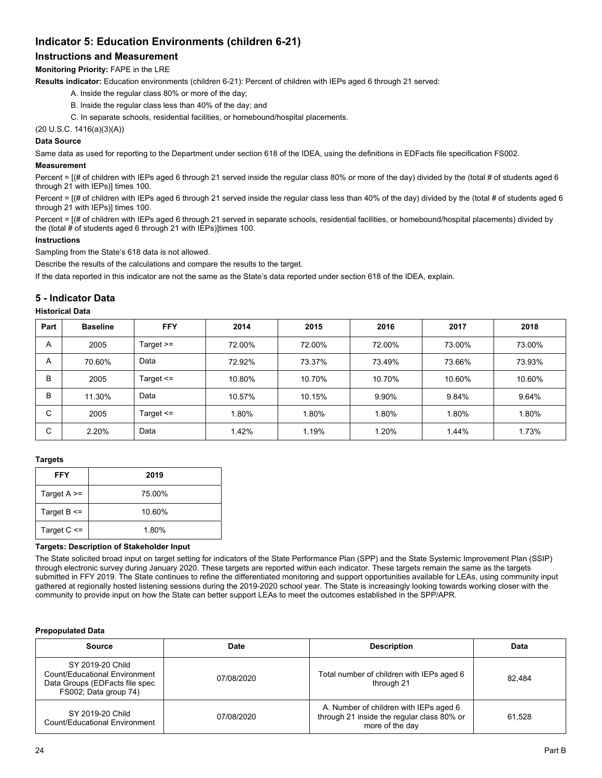# **Indicator 5: Education Environments (children 6-21)**

# **Instructions and Measurement**

# **Monitoring Priority:** FAPE in the LRE

**Results indicator:** Education environments (children 6-21): Percent of children with IEPs aged 6 through 21 served:

- A. Inside the regular class 80% or more of the day;
- B. Inside the regular class less than 40% of the day; and
- C. In separate schools, residential facilities, or homebound/hospital placements.

(20 U.S.C. 1416(a)(3)(A))

# **Data Source**

Same data as used for reporting to the Department under section 618 of the IDEA, using the definitions in EDFacts file specification FS002.

#### **Measurement**

Percent = [(# of children with IEPs aged 6 through 21 served inside the regular class 80% or more of the day) divided by the (total # of students aged 6 through 21 with IEPs)] times 100.

Percent = [(# of children with IEPs aged 6 through 21 served inside the regular class less than 40% of the day) divided by the (total # of students aged 6 through 21 with IEPs)] times 100.

Percent = [(# of children with IEPs aged 6 through 21 served in separate schools, residential facilities, or homebound/hospital placements) divided by the (total # of students aged 6 through 21 with IEPs)]times 100.

#### **Instructions**

Sampling from the State's 618 data is not allowed.

Describe the results of the calculations and compare the results to the target.

If the data reported in this indicator are not the same as the State's data reported under section 618 of the IDEA, explain.

# **5 - Indicator Data**

#### **Historical Data**

| Part | <b>Baseline</b> | <b>FFY</b>    | 2014   | 2015   | 2016   | 2017   | 2018   |
|------|-----------------|---------------|--------|--------|--------|--------|--------|
| A    | 2005            | Target $>=$   | 72.00% | 72.00% | 72.00% | 73.00% | 73.00% |
| A    | 70.60%          | Data          | 72.92% | 73.37% | 73.49% | 73.66% | 73.93% |
| B    | 2005            | Target $\leq$ | 10.80% | 10.70% | 10.70% | 10.60% | 10.60% |
| B    | 11.30%          | Data          | 10.57% | 10.15% | 9.90%  | 9.84%  | 9.64%  |
| С    | 2005            | Target $\leq$ | 1.80%  | 1.80%  | .80%   | 1.80%  | 1.80%  |
| С    | 2.20%           | Data          | 1.42%  | 1.19%  | 1.20%  | 1.44%  | 1.73%  |

#### **Targets**

| FFY               | 2019   |
|-------------------|--------|
| Target $A \geq 0$ | 75.00% |
| Target $B \leq$   | 10.60% |
| Target $C \leq$   | 1.80%  |

#### **Targets: Description of Stakeholder Input**

The State solicited broad input on target setting for indicators of the State Performance Plan (SPP) and the State Systemic Improvement Plan (SSIP) through electronic survey during January 2020. These targets are reported within each indicator. These targets remain the same as the targets submitted in FFY 2019. The State continues to refine the differentiated monitoring and support opportunities available for LEAs, using community input gathered at regionally hosted listening sessions during the 2019-2020 school year. The State is increasingly looking towards working closer with the community to provide input on how the State can better support LEAs to meet the outcomes established in the SPP/APR.

#### **Prepopulated Data**

| <b>Source</b>                                                                                                | Date       | <b>Description</b>                                                                                      | Data   |
|--------------------------------------------------------------------------------------------------------------|------------|---------------------------------------------------------------------------------------------------------|--------|
| SY 2019-20 Child<br>Count/Educational Environment<br>Data Groups (EDFacts file spec<br>FS002; Data group 74) | 07/08/2020 | Total number of children with IEPs aged 6<br>through 21                                                 | 82.484 |
| SY 2019-20 Child<br><b>Count/Educational Environment</b>                                                     | 07/08/2020 | A. Number of children with IEPs aged 6<br>through 21 inside the regular class 80% or<br>more of the day | 61.528 |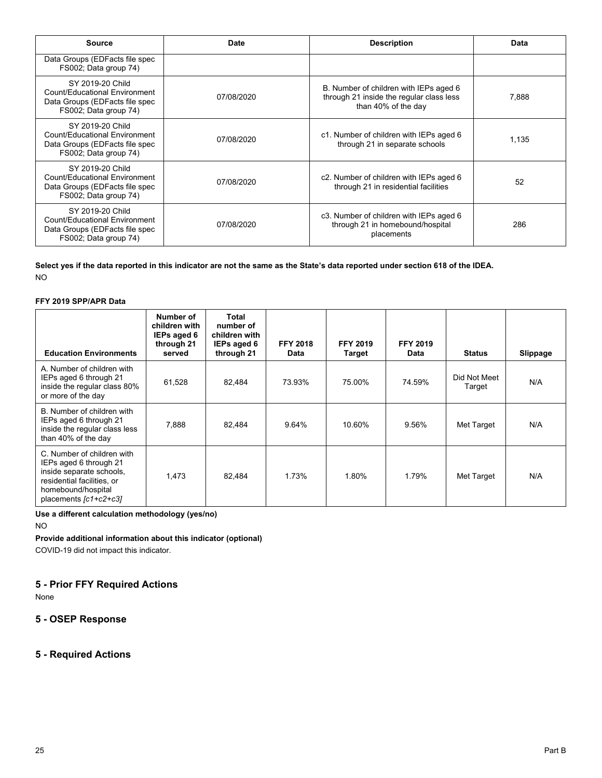| <b>Source</b>                                                                                                       | Date       | <b>Description</b>                                                                                        | Data  |
|---------------------------------------------------------------------------------------------------------------------|------------|-----------------------------------------------------------------------------------------------------------|-------|
| Data Groups (EDFacts file spec<br>FS002; Data group 74)                                                             |            |                                                                                                           |       |
| SY 2019-20 Child<br><b>Count/Educational Environment</b><br>Data Groups (EDFacts file spec<br>FS002; Data group 74) | 07/08/2020 | B. Number of children with IEPs aged 6<br>through 21 inside the regular class less<br>than 40% of the day | 7.888 |
| SY 2019-20 Child<br>Count/Educational Environment<br>Data Groups (EDFacts file spec<br>FS002; Data group 74)        | 07/08/2020 | c1. Number of children with IEPs aged 6<br>through 21 in separate schools                                 | 1,135 |
| SY 2019-20 Child<br><b>Count/Educational Environment</b><br>Data Groups (EDFacts file spec<br>FS002; Data group 74) | 07/08/2020 | c2. Number of children with IEPs aged 6<br>through 21 in residential facilities                           | 52    |
| SY 2019-20 Child<br>Count/Educational Environment<br>Data Groups (EDFacts file spec<br>FS002; Data group 74)        | 07/08/2020 | c3. Number of children with IEPs aged 6<br>through 21 in homebound/hospital<br>placements                 | 286   |

**Select yes if the data reported in this indicator are not the same as the State's data reported under section 618 of the IDEA.**  NO

#### **FFY 2019 SPP/APR Data**

| <b>Education Environments</b>                                                                                                                                 | Number of<br>children with<br>IEPs aged 6<br>through 21<br>served | Total<br>number of<br>children with<br>IEPs aged 6<br>through 21 | <b>FFY 2018</b><br>Data | <b>FFY 2019</b><br>Target | <b>FFY 2019</b><br>Data | <b>Status</b>          | Slippage |
|---------------------------------------------------------------------------------------------------------------------------------------------------------------|-------------------------------------------------------------------|------------------------------------------------------------------|-------------------------|---------------------------|-------------------------|------------------------|----------|
| A. Number of children with<br>IEPs aged 6 through 21<br>inside the regular class 80%<br>or more of the day                                                    | 61,528                                                            | 82,484                                                           | 73.93%                  | 75.00%                    | 74.59%                  | Did Not Meet<br>Target | N/A      |
| B. Number of children with<br>IEPs aged 6 through 21<br>inside the regular class less<br>than 40% of the day                                                  | 7.888                                                             | 82,484                                                           | 9.64%                   | 10.60%                    | 9.56%                   | Met Target             | N/A      |
| C. Number of children with<br>IEPs aged 6 through 21<br>inside separate schools,<br>residential facilities, or<br>homebound/hospital<br>placements [c1+c2+c3] | 1.473                                                             | 82.484                                                           | 1.73%                   | 1.80%                     | 1.79%                   | Met Target             | N/A      |

**Use a different calculation methodology (yes/no)** 

NO

**Provide additional information about this indicator (optional)** 

COVID-19 did not impact this indicator.

# **5 - Prior FFY Required Actions**

None

# **5 - OSEP Response**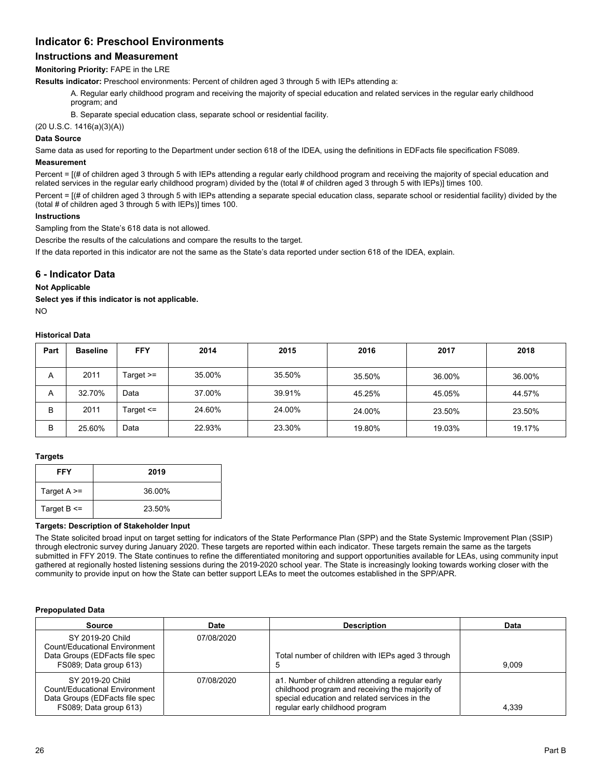# **Indicator 6: Preschool Environments**

# **Instructions and Measurement**

# **Monitoring Priority:** FAPE in the LRE

**Results indicator:** Preschool environments: Percent of children aged 3 through 5 with IEPs attending a:

A. Regular early childhood program and receiving the majority of special education and related services in the regular early childhood program; and

B. Separate special education class, separate school or residential facility.

(20 U.S.C. 1416(a)(3)(A))

#### **Data Source**

Same data as used for reporting to the Department under section 618 of the IDEA, using the definitions in EDFacts file specification FS089.

#### **Measurement**

Percent = [(# of children aged 3 through 5 with IEPs attending a regular early childhood program and receiving the majority of special education and related services in the regular early childhood program) divided by the (total # of children aged 3 through 5 with IEPs)] times 100.

Percent = [(# of children aged 3 through 5 with IEPs attending a separate special education class, separate school or residential facility) divided by the (total # of children aged 3 through 5 with IEPs)] times 100.

#### **Instructions**

Sampling from the State's 618 data is not allowed.

Describe the results of the calculations and compare the results to the target.

If the data reported in this indicator are not the same as the State's data reported under section 618 of the IDEA, explain.

# **6 - Indicator Data**

#### **Not Applicable**

**Select yes if this indicator is not applicable.** 

 $N<sub>O</sub>$ 

#### **Historical Data**

| Part | <b>Baseline</b> | <b>FFY</b>    | 2014   | 2015   | 2016   | 2017   | 2018   |
|------|-----------------|---------------|--------|--------|--------|--------|--------|
| A    | 2011            | Target $>=$   | 35.00% | 35.50% | 35.50% | 36.00% | 36.00% |
| A    | 32.70%          | Data          | 37.00% | 39.91% | 45.25% | 45.05% | 44.57% |
| B    | 2011            | Target $\leq$ | 24.60% | 24.00% | 24.00% | 23.50% | 23.50% |
| B    | 25.60%          | Data          | 22.93% | 23.30% | 19.80% | 19.03% | 19.17% |

## **Targets**

| <b>FFY</b>      | 2019   |
|-----------------|--------|
| Target $A \geq$ | 36.00% |
| Target $B \leq$ | 23.50% |

#### **Targets: Description of Stakeholder Input**

The State solicited broad input on target setting for indicators of the State Performance Plan (SPP) and the State Systemic Improvement Plan (SSIP) through electronic survey during January 2020. These targets are reported within each indicator. These targets remain the same as the targets submitted in FFY 2019. The State continues to refine the differentiated monitoring and support opportunities available for LEAs, using community input gathered at regionally hosted listening sessions during the 2019-2020 school year. The State is increasingly looking towards working closer with the community to provide input on how the State can better support LEAs to meet the outcomes established in the SPP/APR.

#### **Prepopulated Data**

| <b>Source</b>                                                                                                 | Date       | <b>Description</b>                                                                                                                                                                      | Data  |
|---------------------------------------------------------------------------------------------------------------|------------|-----------------------------------------------------------------------------------------------------------------------------------------------------------------------------------------|-------|
| SY 2019-20 Child<br>Count/Educational Environment<br>Data Groups (EDFacts file spec<br>FS089; Data group 613) | 07/08/2020 | Total number of children with IEPs aged 3 through                                                                                                                                       | 9.009 |
| SY 2019-20 Child<br>Count/Educational Environment<br>Data Groups (EDFacts file spec<br>FS089; Data group 613) | 07/08/2020 | a1. Number of children attending a regular early<br>childhood program and receiving the majority of<br>special education and related services in the<br>regular early childhood program | 4.339 |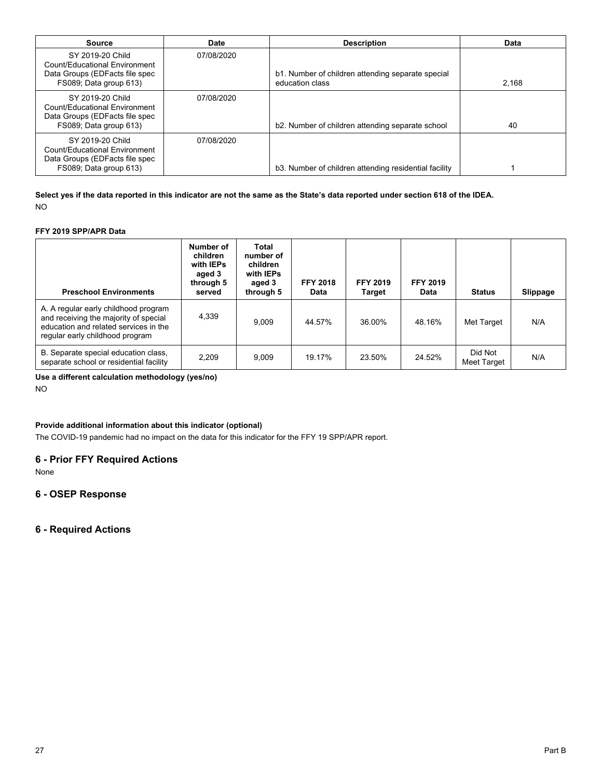| Source                                                                                                        | Date       | <b>Description</b>                                                   | <b>Data</b> |
|---------------------------------------------------------------------------------------------------------------|------------|----------------------------------------------------------------------|-------------|
| SY 2019-20 Child<br>Count/Educational Environment<br>Data Groups (EDFacts file spec<br>FS089; Data group 613) | 07/08/2020 | b1. Number of children attending separate special<br>education class | 2.168       |
| SY 2019-20 Child<br>Count/Educational Environment<br>Data Groups (EDFacts file spec<br>FS089; Data group 613) | 07/08/2020 | b2. Number of children attending separate school                     | 40          |
| SY 2019-20 Child<br>Count/Educational Environment<br>Data Groups (EDFacts file spec<br>FS089; Data group 613) | 07/08/2020 | b3. Number of children attending residential facility                |             |

**Select yes if the data reported in this indicator are not the same as the State's data reported under section 618 of the IDEA.**  NO

## **FFY 2019 SPP/APR Data**

| <b>Preschool Environments</b>                                                                                                                             | Number of<br>children<br>with IEPs<br>aged 3<br>through 5<br>served | Total<br>number of<br>children<br>with IEPs<br>aged 3<br>through 5 | <b>FFY 2018</b><br>Data | <b>FFY 2019</b><br><b>Target</b> | <b>FFY 2019</b><br>Data | <b>Status</b>          | Slippage |
|-----------------------------------------------------------------------------------------------------------------------------------------------------------|---------------------------------------------------------------------|--------------------------------------------------------------------|-------------------------|----------------------------------|-------------------------|------------------------|----------|
| A. A regular early childhood program<br>and receiving the majority of special<br>education and related services in the<br>regular early childhood program | 4,339                                                               | 9.009                                                              | 44.57%                  | 36.00%                           | 48.16%                  | Met Target             | N/A      |
| B. Separate special education class,<br>separate school or residential facility                                                                           | 2,209                                                               | 9.009                                                              | 19.17%                  | 23.50%                           | 24.52%                  | Did Not<br>Meet Target | N/A      |

**Use a different calculation methodology (yes/no)** 

NO

# **Provide additional information about this indicator (optional)**

The COVID-19 pandemic had no impact on the data for this indicator for the FFY 19 SPP/APR report.

# **6 - Prior FFY Required Actions**

None

# **6 - OSEP Response**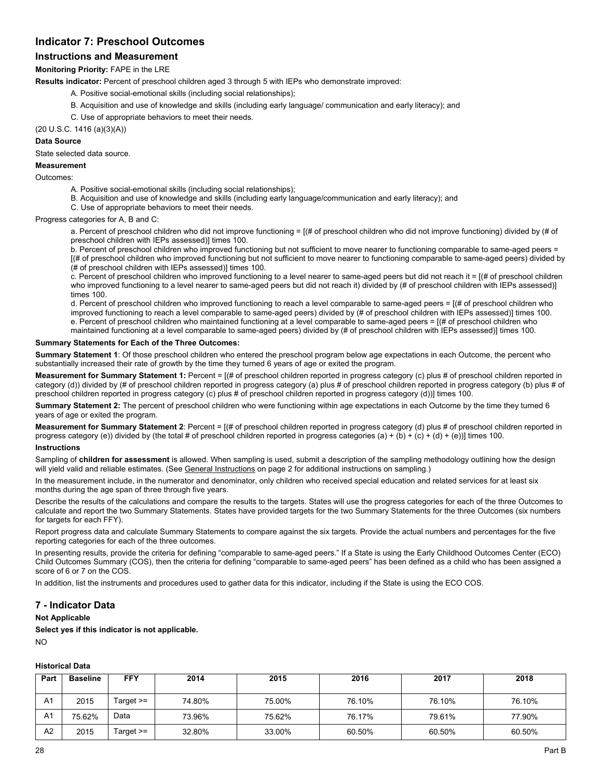# **Indicator 7: Preschool Outcomes**

# **Instructions and Measurement**

**Monitoring Priority:** FAPE in the LRE

**Results indicator:** Percent of preschool children aged 3 through 5 with IEPs who demonstrate improved:

- A. Positive social-emotional skills (including social relationships);
- B. Acquisition and use of knowledge and skills (including early language/ communication and early literacy); and
- C. Use of appropriate behaviors to meet their needs.

(20 U.S.C. 1416 (a)(3)(A))

#### **Data Source**

State selected data source.

#### **Measurement**

Outcomes:

- A. Positive social-emotional skills (including social relationships);
- B. Acquisition and use of knowledge and skills (including early language/communication and early literacy); and
- C. Use of appropriate behaviors to meet their needs.

Progress categories for A, B and C:

a. Percent of preschool children who did not improve functioning = [(# of preschool children who did not improve functioning) divided by (# of preschool children with IEPs assessed)] times 100.

b. Percent of preschool children who improved functioning but not sufficient to move nearer to functioning comparable to same-aged peers = [(# of preschool children who improved functioning but not sufficient to move nearer to functioning comparable to same-aged peers) divided by (# of preschool children with IEPs assessed)] times 100.

c. Percent of preschool children who improved functioning to a level nearer to same-aged peers but did not reach it = [(# of preschool children who improved functioning to a level nearer to same-aged peers but did not reach it) divided by (# of preschool children with IEPs assessed)] times 100.

d. Percent of preschool children who improved functioning to reach a level comparable to same-aged peers = [(# of preschool children who improved functioning to reach a level comparable to same-aged peers) divided by (# of preschool children with IEPs assessed)] times 100. e. Percent of preschool children who maintained functioning at a level comparable to same-aged peers = [(# of preschool children who maintained functioning at a level comparable to same-aged peers) divided by (# of preschool children with IEPs assessed)] times 100.

#### **Summary Statements for Each of the Three Outcomes:**

**Summary Statement 1**: Of those preschool children who entered the preschool program below age expectations in each Outcome, the percent who substantially increased their rate of growth by the time they turned 6 years of age or exited the program.

**Measurement for Summary Statement 1:** Percent = [(# of preschool children reported in progress category (c) plus # of preschool children reported in category (d)) divided by (# of preschool children reported in progress category (a) plus # of preschool children reported in progress category (b) plus # of preschool children reported in progress category (c) plus # of preschool children reported in progress category (d))] times 100.

**Summary Statement 2:** The percent of preschool children who were functioning within age expectations in each Outcome by the time they turned 6 years of age or exited the program.

**Measurement for Summary Statement 2**: Percent = [(# of preschool children reported in progress category (d) plus # of preschool children reported in progress category (e)) divided by (the total # of preschool children reported in progress categories (a) + (b) + (c) + (d) + (e))] times 100.

#### **Instructions**

Sampling of **children for assessment** is allowed. When sampling is used, submit a description of the sampling methodology outlining how the design will yield valid and reliable estimates. (See General Instructions on page 2 for additional instructions on sampling.)

In the measurement include, in the numerator and denominator, only children who received special education and related services for at least six months during the age span of three through five years.

Describe the results of the calculations and compare the results to the targets. States will use the progress categories for each of the three Outcomes to calculate and report the two Summary Statements. States have provided targets for the two Summary Statements for the three Outcomes (six numbers for targets for each FFY).

Report progress data and calculate Summary Statements to compare against the six targets. Provide the actual numbers and percentages for the five reporting categories for each of the three outcomes.

In presenting results, provide the criteria for defining "comparable to same-aged peers." If a State is using the Early Childhood Outcomes Center (ECO) Child Outcomes Summary (COS), then the criteria for defining "comparable to same-aged peers" has been defined as a child who has been assigned a score of 6 or 7 on the COS.

In addition, list the instruments and procedures used to gather data for this indicator, including if the State is using the ECO COS.

# **7 - Indicator Data**

**Not Applicable** 

**Select yes if this indicator is not applicable.**  NO

#### **Historical Data**

| Part           | <b>Baseline</b> | FFY       | 2014   | 2015   | 2016   | 2017   | 2018   |
|----------------|-----------------|-----------|--------|--------|--------|--------|--------|
|                |                 |           |        |        |        |        |        |
| A <sub>1</sub> | 2015            | Target >= | 74.80% | 75.00% | 76.10% | 76.10% | 76.10% |
| A1             | 75.62%          | Data      | 73.96% | 75.62% | 76.17% | 79.61% | 77.90% |
| A2             | 2015            | Target >= | 32.80% | 33.00% | 60.50% | 60.50% | 60.50% |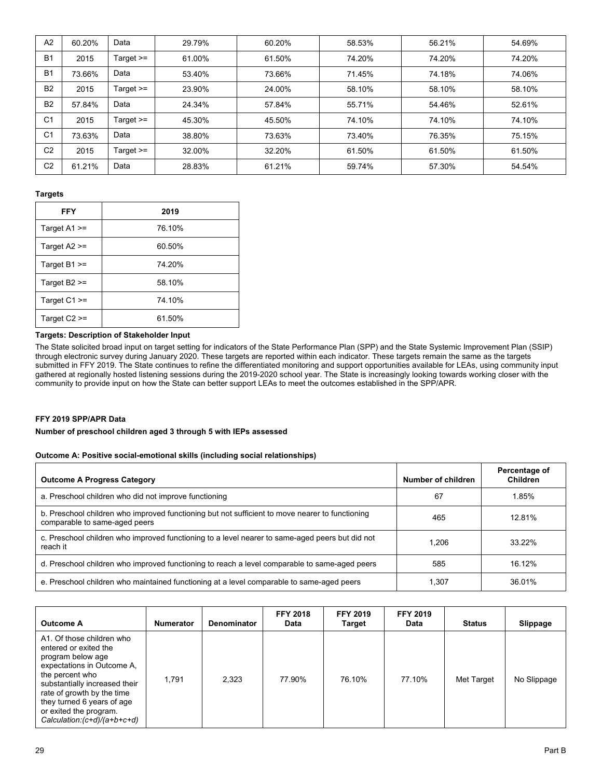| A <sub>2</sub> | 60.20% | Data        | 29.79% | 60.20% | 58.53% | 56.21% | 54.69% |
|----------------|--------|-------------|--------|--------|--------|--------|--------|
| B <sub>1</sub> | 2015   | Target $>=$ | 61.00% | 61.50% | 74.20% | 74.20% | 74.20% |
| <b>B1</b>      | 73.66% | Data        | 53.40% | 73.66% | 71.45% | 74.18% | 74.06% |
| <b>B2</b>      | 2015   | Target $>=$ | 23.90% | 24.00% | 58.10% | 58.10% | 58.10% |
| <b>B2</b>      | 57.84% | Data        | 24.34% | 57.84% | 55.71% | 54.46% | 52.61% |
| C <sub>1</sub> | 2015   | Target $>=$ | 45.30% | 45.50% | 74.10% | 74.10% | 74.10% |
| C <sub>1</sub> | 73.63% | Data        | 38.80% | 73.63% | 73.40% | 76.35% | 75.15% |
| C <sub>2</sub> | 2015   | Target $>=$ | 32.00% | 32.20% | 61.50% | 61.50% | 61.50% |
| C <sub>2</sub> | 61.21% | Data        | 28.83% | 61.21% | 59.74% | 57.30% | 54.54% |

## **Targets**

| <b>FFY</b>         | 2019   |
|--------------------|--------|
| Target $A1 \geq$   | 76.10% |
| Target A2 >=       | 60.50% |
| Target $B1 \geq 0$ | 74.20% |
| Target $B2 \geq$   | 58.10% |
| Target $C1 >=$     | 74.10% |
| Target $C2 \geq$   | 61.50% |

## **Targets: Description of Stakeholder Input**

The State solicited broad input on target setting for indicators of the State Performance Plan (SPP) and the State Systemic Improvement Plan (SSIP) through electronic survey during January 2020. These targets are reported within each indicator. These targets remain the same as the targets submitted in FFY 2019. The State continues to refine the differentiated monitoring and support opportunities available for LEAs, using community input gathered at regionally hosted listening sessions during the 2019-2020 school year. The State is increasingly looking towards working closer with the community to provide input on how the State can better support LEAs to meet the outcomes established in the SPP/APR.

#### **FFY 2019 SPP/APR Data**

## **Number of preschool children aged 3 through 5 with IEPs assessed**

#### **Outcome A: Positive social-emotional skills (including social relationships)**

| <b>Outcome A Progress Category</b>                                                                                               | Number of children | Percentage of<br>Children |
|----------------------------------------------------------------------------------------------------------------------------------|--------------------|---------------------------|
| a. Preschool children who did not improve functioning                                                                            | 67                 | 1.85%                     |
| b. Preschool children who improved functioning but not sufficient to move nearer to functioning<br>comparable to same-aged peers | 465                | 1281%                     |
| c. Preschool children who improved functioning to a level nearer to same-aged peers but did not<br>reach it                      | 1.206              | 33 22%                    |
| d. Preschool children who improved functioning to reach a level comparable to same-aged peers                                    | 585                | 16 12%                    |
| e. Preschool children who maintained functioning at a level comparable to same-aged peers                                        | 1.307              | 36 01%                    |

| <b>Outcome A</b>                                                                                                                                                                                                                                                                | <b>Numerator</b> | <b>Denominator</b> | <b>FFY 2018</b><br><b>Data</b> | <b>FFY 2019</b><br><b>Target</b> | <b>FFY 2019</b><br><b>Data</b> | <b>Status</b> | Slippage    |
|---------------------------------------------------------------------------------------------------------------------------------------------------------------------------------------------------------------------------------------------------------------------------------|------------------|--------------------|--------------------------------|----------------------------------|--------------------------------|---------------|-------------|
| A1. Of those children who<br>entered or exited the<br>program below age<br>expectations in Outcome A,<br>the percent who<br>substantially increased their<br>rate of growth by the time<br>they turned 6 years of age<br>or exited the program.<br>Calculation: (c+d)/(a+b+c+d) | 1.791            | 2.323              | 77.90%                         | 76.10%                           | 77.10%                         | Met Target    | No Slippage |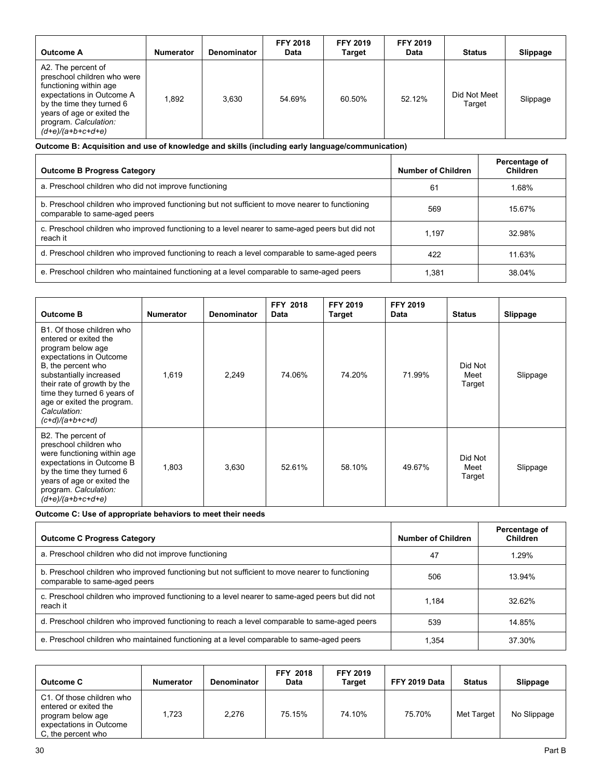| <b>Outcome A</b>                                                                                                                                                                                                    | <b>Numerator</b> | <b>Denominator</b> | <b>FFY 2018</b><br>Data | <b>FFY 2019</b><br><b>Target</b> | <b>FFY 2019</b><br><b>Data</b> | <b>Status</b>          | Slippage |
|---------------------------------------------------------------------------------------------------------------------------------------------------------------------------------------------------------------------|------------------|--------------------|-------------------------|----------------------------------|--------------------------------|------------------------|----------|
| A2. The percent of<br>preschool children who were<br>functioning within age<br>expectations in Outcome A<br>by the time they turned 6<br>years of age or exited the<br>program. Calculation:<br>$(d+e)/(a+b+c+d+e)$ | 1.892            | 3.630              | 54.69%                  | 60.50%                           | 52.12%                         | Did Not Meet<br>Target | Slippage |

**Outcome B: Acquisition and use of knowledge and skills (including early language/communication)** 

| <b>Outcome B Progress Category</b>                                                                                               | Number of Children | Percentage of<br>Children |
|----------------------------------------------------------------------------------------------------------------------------------|--------------------|---------------------------|
| a. Preschool children who did not improve functioning                                                                            | 61                 | 1.68%                     |
| b. Preschool children who improved functioning but not sufficient to move nearer to functioning<br>comparable to same-aged peers | 569                | 15.67%                    |
| c. Preschool children who improved functioning to a level nearer to same-aged peers but did not<br>reach it                      | 1.197              | 32.98%                    |
| d. Preschool children who improved functioning to reach a level comparable to same-aged peers                                    | 422                | 11.63%                    |
| e. Preschool children who maintained functioning at a level comparable to same-aged peers                                        | 1.381              | 38.04%                    |

| <b>Outcome B</b>                                                                                                                                                                                                                                                                     | <b>Numerator</b> | <b>Denominator</b> | <b>FFY 2018</b><br><b>Data</b> | <b>FFY 2019</b><br>Target | <b>FFY 2019</b><br><b>Data</b> | <b>Status</b>             | Slippage |
|--------------------------------------------------------------------------------------------------------------------------------------------------------------------------------------------------------------------------------------------------------------------------------------|------------------|--------------------|--------------------------------|---------------------------|--------------------------------|---------------------------|----------|
| B1. Of those children who<br>entered or exited the<br>program below age<br>expectations in Outcome<br>B, the percent who<br>substantially increased<br>their rate of growth by the<br>time they turned 6 years of<br>age or exited the program.<br>Calculation:<br>$(c+d)/(a+b+c+d)$ | 1,619            | 2,249              | 74.06%                         | 74.20%                    | 71.99%                         | Did Not<br>Meet<br>Target | Slippage |
| B2. The percent of<br>preschool children who<br>were functioning within age<br>expectations in Outcome B<br>by the time they turned 6<br>years of age or exited the<br>program. Calculation:<br>$(d+e)/(a+b+c+d+e)$                                                                  | 1,803            | 3,630              | 52.61%                         | 58.10%                    | 49.67%                         | Did Not<br>Meet<br>Target | Slippage |

**Outcome C: Use of appropriate behaviors to meet their needs** 

| <b>Outcome C Progress Category</b>                                                                                               | Number of Children | Percentage of<br><b>Children</b> |
|----------------------------------------------------------------------------------------------------------------------------------|--------------------|----------------------------------|
| a. Preschool children who did not improve functioning                                                                            | 47                 | 1.29%                            |
| b. Preschool children who improved functioning but not sufficient to move nearer to functioning<br>comparable to same-aged peers | 506                | 13.94%                           |
| c. Preschool children who improved functioning to a level nearer to same-aged peers but did not<br>reach it                      | 1.184              | 32.62%                           |
| d. Preschool children who improved functioning to reach a level comparable to same-aged peers                                    | 539                | 14.85%                           |
| e. Preschool children who maintained functioning at a level comparable to same-aged peers                                        | 1,354              | 37.30%                           |

| <b>Outcome C</b>                                                                                                         | <b>Numerator</b> | <b>Denominator</b> | <b>FFY 2018</b><br><b>Data</b> | <b>FFY 2019</b><br>Target | FFY 2019 Data | <b>Status</b> | Slippage    |
|--------------------------------------------------------------------------------------------------------------------------|------------------|--------------------|--------------------------------|---------------------------|---------------|---------------|-------------|
| C1. Of those children who<br>entered or exited the<br>program below age<br>expectations in Outcome<br>C, the percent who | 1.723            | 2.276              | 75.15%                         | 74.10%                    | 75.70%        | Met Target    | No Slippage |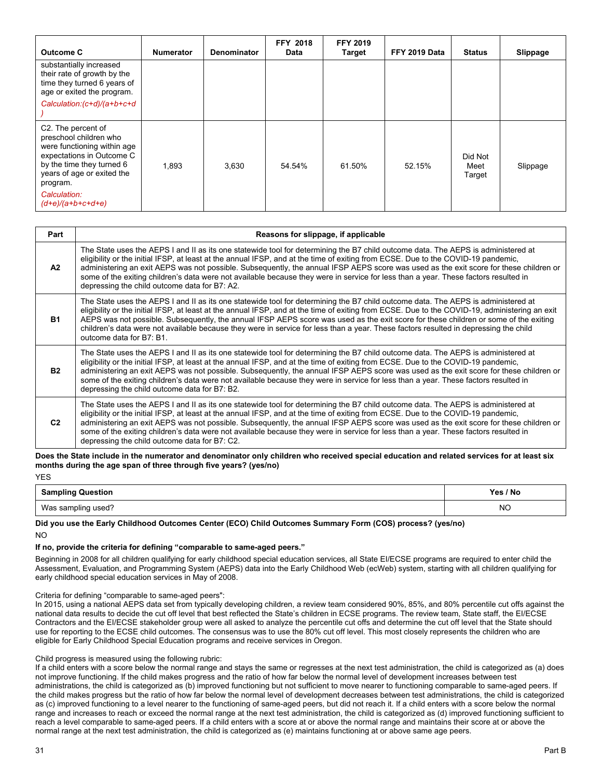| Outcome C                                                                                                                                                                       | <b>Numerator</b> | <b>Denominator</b> | <b>FFY 2018</b><br>Data | <b>FFY 2019</b><br>Target | FFY 2019 Data | <b>Status</b>             | Slippage |
|---------------------------------------------------------------------------------------------------------------------------------------------------------------------------------|------------------|--------------------|-------------------------|---------------------------|---------------|---------------------------|----------|
| substantially increased<br>their rate of growth by the<br>time they turned 6 years of<br>age or exited the program.                                                             |                  |                    |                         |                           |               |                           |          |
| Calculation: (c+d)/(a+b+c+d                                                                                                                                                     |                  |                    |                         |                           |               |                           |          |
| C2. The percent of<br>preschool children who<br>were functioning within age<br>expectations in Outcome C<br>by the time they turned 6<br>years of age or exited the<br>program. | 1,893            | 3.630              | 54.54%                  | 61.50%                    | 52.15%        | Did Not<br>Meet<br>Target | Slippage |
| Calculation:<br>$(d+e)/(a+b+c+d+e)$                                                                                                                                             |                  |                    |                         |                           |               |                           |          |

| Part           | Reasons for slippage, if applicable                                                                                                                                                                                                                                                                                                                                                                                                                                                                                                                                                                      |
|----------------|----------------------------------------------------------------------------------------------------------------------------------------------------------------------------------------------------------------------------------------------------------------------------------------------------------------------------------------------------------------------------------------------------------------------------------------------------------------------------------------------------------------------------------------------------------------------------------------------------------|
| A2             | The State uses the AEPS I and II as its one statewide tool for determining the B7 child outcome data. The AEPS is administered at<br>eligibility or the initial IFSP, at least at the annual IFSP, and at the time of exiting from ECSE. Due to the COVID-19 pandemic,<br>administering an exit AEPS was not possible. Subsequently, the annual IFSP AEPS score was used as the exit score for these children or<br>some of the exiting children's data were not available because they were in service for less than a year. These factors resulted in<br>depressing the child outcome data for B7: A2. |
| <b>B1</b>      | The State uses the AEPS I and II as its one statewide tool for determining the B7 child outcome data. The AEPS is administered at<br>eligibility or the initial IFSP, at least at the annual IFSP, and at the time of exiting from ECSE. Due to the COVID-19, administering an exit<br>AEPS was not possible. Subsequently, the annual IFSP AEPS score was used as the exit score for these children or some of the exiting<br>children's data were not available because they were in service for less than a year. These factors resulted in depressing the child<br>outcome data for B7: B1.          |
| <b>B2</b>      | The State uses the AEPS I and II as its one statewide tool for determining the B7 child outcome data. The AEPS is administered at<br>eligibility or the initial IFSP, at least at the annual IFSP, and at the time of exiting from ECSE. Due to the COVID-19 pandemic,<br>administering an exit AEPS was not possible. Subsequently, the annual IFSP AEPS score was used as the exit score for these children or<br>some of the exiting children's data were not available because they were in service for less than a year. These factors resulted in<br>depressing the child outcome data for B7: B2. |
| C <sub>2</sub> | The State uses the AEPS I and II as its one statewide tool for determining the B7 child outcome data. The AEPS is administered at<br>eligibility or the initial IFSP, at least at the annual IFSP, and at the time of exiting from ECSE. Due to the COVID-19 pandemic,<br>administering an exit AEPS was not possible. Subsequently, the annual IFSP AEPS score was used as the exit score for these children or<br>some of the exiting children's data were not available because they were in service for less than a year. These factors resulted in<br>depressing the child outcome data for B7: C2. |

 **months during the age span of three through five years? (yes/no) Does the State include in the numerator and denominator only children who received special education and related services for at least six YES** 

| .                        |          |  |
|--------------------------|----------|--|
| <b>Sampling Question</b> | Yes / No |  |
| Was sampling used?       | NΟ       |  |

**Did you use the Early Childhood Outcomes Center (ECO) Child Outcomes Summary Form (COS) process? (yes/no)**  NO

#### **If no, provide the criteria for defining "comparable to same-aged peers."**

 early childhood special education services in May of 2008. Beginning in 2008 for all children qualifying for early childhood special education services, all State EI/ECSE programs are required to enter child the Assessment, Evaluation, and Programming System (AEPS) data into the Early Childhood Web (ecWeb) system, starting with all children qualifying for

Criteria for defining "comparable to same-aged peers":

In 2015, using a national AEPS data set from typically developing children, a review team considered 90%, 85%, and 80% percentile cut offs against the national data results to decide the cut off level that best reflected the State's children in ECSE programs. The review team, State staff, the EI/ECSE Contractors and the EI/ECSE stakeholder group were all asked to analyze the percentile cut offs and determine the cut off level that the State should use for reporting to the ECSE child outcomes. The consensus was to use the 80% cut off level. This most closely represents the children who are eligible for Early Childhood Special Education programs and receive services in Oregon.

#### Child progress is measured using the following rubric:

If a child enters with a score below the normal range and stays the same or regresses at the next test administration, the child is categorized as (a) does not improve functioning. If the child makes progress and the ratio of how far below the normal level of development increases between test administrations, the child is categorized as (b) improved functioning but not sufficient to move nearer to functioning comparable to same-aged peers. If the child makes progress but the ratio of how far below the normal level of development decreases between test administrations, the child is categorized as (c) improved functioning to a level nearer to the functioning of same-aged peers, but did not reach it. If a child enters with a score below the normal range and increases to reach or exceed the normal range at the next test administration, the child is categorized as (d) improved functioning sufficient to reach a level comparable to same-aged peers. If a child enters with a score at or above the normal range and maintains their score at or above the normal range at the next test administration, the child is categorized as (e) maintains functioning at or above same age peers.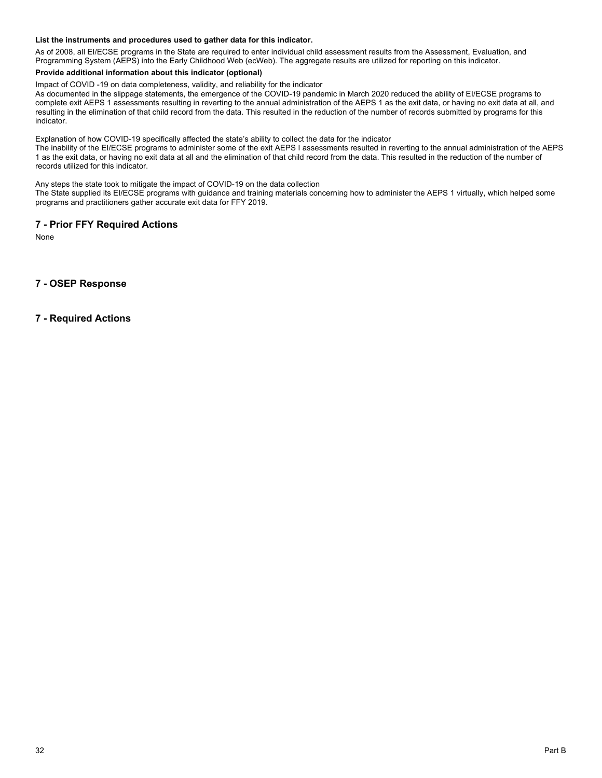#### **List the instruments and procedures used to gather data for this indicator.**

As of 2008, all EI/ECSE programs in the State are required to enter individual child assessment results from the Assessment, Evaluation, and Programming System (AEPS) into the Early Childhood Web (ecWeb). The aggregate results are utilized for reporting on this indicator.

#### **Provide additional information about this indicator (optional)**

Impact of COVID -19 on data completeness, validity, and reliability for the indicator

As documented in the slippage statements, the emergence of the COVID-19 pandemic in March 2020 reduced the ability of EI/ECSE programs to complete exit AEPS 1 assessments resulting in reverting to the annual administration of the AEPS 1 as the exit data, or having no exit data at all, and resulting in the elimination of that child record from the data. This resulted in the reduction of the number of records submitted by programs for this indicator.

Explanation of how COVID-19 specifically affected the state's ability to collect the data for the indicator

The inability of the EI/ECSE programs to administer some of the exit AEPS I assessments resulted in reverting to the annual administration of the AEPS 1 as the exit data, or having no exit data at all and the elimination of that child record from the data. This resulted in the reduction of the number of<br>records utilized for this indicator.

Any steps the state took to mitigate the impact of COVID-19 on the data collection

The State supplied its EI/ECSE programs with guidance and training materials concerning how to administer the AEPS 1 virtually, which helped some programs and practitioners gather accurate exit data for FFY 2019.

### **7 - Prior FFY Required Actions**

None

# **7 - OSEP Response**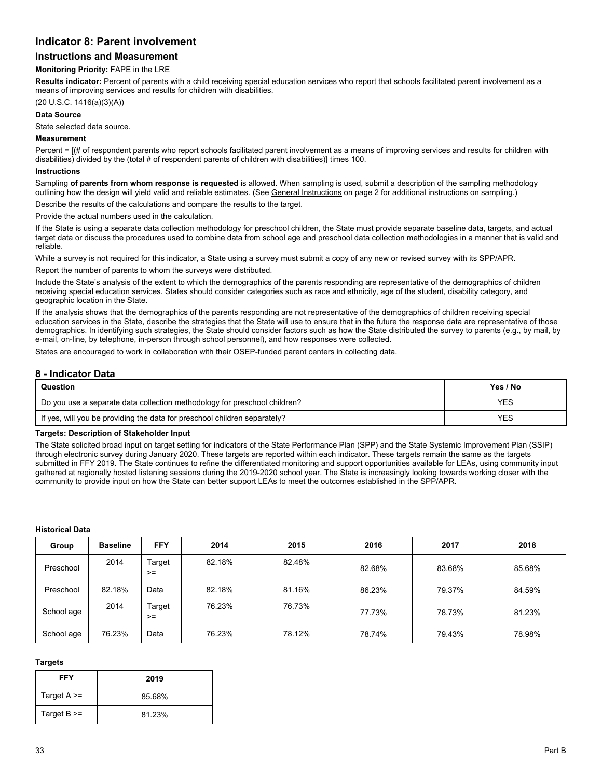# **Indicator 8: Parent involvement**

# **Instructions and Measurement**

#### **Monitoring Priority:** FAPE in the LRE

**Results indicator:** Percent of parents with a child receiving special education services who report that schools facilitated parent involvement as a means of improving services and results for children with disabilities.

## (20 U.S.C. 1416(a)(3)(A))

#### **Data Source**

State selected data source.

#### **Measurement**

Percent = [(# of respondent parents who report schools facilitated parent involvement as a means of improving services and results for children with disabilities) divided by the (total # of respondent parents of children with disabilities)] times 100.

#### **Instructions**

Sampling **of parents from whom response is requested** is allowed. When sampling is used, submit a description of the sampling methodology outlining how the design will yield valid and reliable estimates. (See General Instructions on page 2 for additional instructions on sampling.)

Describe the results of the calculations and compare the results to the target.

Provide the actual numbers used in the calculation.

If the State is using a separate data collection methodology for preschool children, the State must provide separate baseline data, targets, and actual target data or discuss the procedures used to combine data from school age and preschool data collection methodologies in a manner that is valid and reliable.

While a survey is not required for this indicator, a State using a survey must submit a copy of any new or revised survey with its SPP/APR.

Report the number of parents to whom the surveys were distributed.

Include the State's analysis of the extent to which the demographics of the parents responding are representative of the demographics of children receiving special education services. States should consider categories such as race and ethnicity, age of the student, disability category, and geographic location in the State.

If the analysis shows that the demographics of the parents responding are not representative of the demographics of children receiving special education services in the State, describe the strategies that the State will use to ensure that in the future the response data are representative of those demographics. In identifying such strategies, the State should consider factors such as how the State distributed the survey to parents (e.g., by mail, by e-mail, on-line, by telephone, in-person through school personnel), and how responses were collected.

States are encouraged to work in collaboration with their OSEP-funded parent centers in collecting data.

# **8 - Indicator Data**

| Question                                                                  | Yes / No   |
|---------------------------------------------------------------------------|------------|
| Do you use a separate data collection methodology for preschool children? | YES        |
| If yes, will you be providing the data for preschool children separately? | <b>YES</b> |

#### **Targets: Description of Stakeholder Input**

The State solicited broad input on target setting for indicators of the State Performance Plan (SPP) and the State Systemic Improvement Plan (SSIP) through electronic survey during January 2020. These targets are reported within each indicator. These targets remain the same as the targets submitted in FFY 2019. The State continues to refine the differentiated monitoring and support opportunities available for LEAs, using community input gathered at regionally hosted listening sessions during the 2019-2020 school year. The State is increasingly looking towards working closer with the community to provide input on how the State can better support LEAs to meet the outcomes established in the SPP/APR.

#### **Historical Data**

| Group      | <b>Baseline</b> | <b>FFY</b>     | 2014   | 2015   | 2016   | 2017   | 2018   |
|------------|-----------------|----------------|--------|--------|--------|--------|--------|
| Preschool  | 2014            | Target<br>$>=$ | 82.18% | 82.48% | 82.68% | 83.68% | 85.68% |
| Preschool  | 82.18%          | Data           | 82.18% | 81.16% | 86.23% | 79.37% | 84.59% |
| School age | 2014            | Target<br>$>=$ | 76.23% | 76.73% | 77.73% | 78.73% | 81.23% |
| School age | 76.23%          | Data           | 76.23% | 78.12% | 78.74% | 79.43% | 78.98% |

#### **Targets**

| FFY               | 2019   |
|-------------------|--------|
| Target $A \geq$   | 85.68% |
| Target $B \geq 0$ | 81.23% |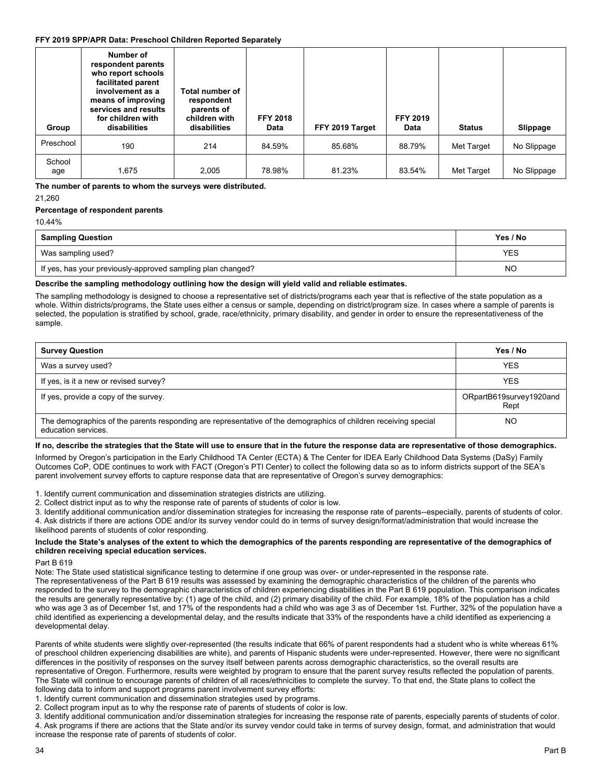#### **FFY 2019 SPP/APR Data: Preschool Children Reported Separately**

| Group         | Number of<br>respondent parents<br>who report schools<br>facilitated parent<br>involvement as a<br>means of improving<br>services and results<br>for children with<br>disabilities | Total number of<br>respondent<br>parents of<br>children with<br>disabilities | <b>FFY 2018</b><br>Data | FFY 2019 Target | <b>FFY 2019</b><br>Data | <b>Status</b> | Slippage    |
|---------------|------------------------------------------------------------------------------------------------------------------------------------------------------------------------------------|------------------------------------------------------------------------------|-------------------------|-----------------|-------------------------|---------------|-------------|
| Preschool     | 190                                                                                                                                                                                | 214                                                                          | 84.59%                  | 85.68%          | 88.79%                  | Met Target    | No Slippage |
| School<br>age | 1.675                                                                                                                                                                              | 2,005                                                                        | 78.98%                  | 81.23%          | 83.54%                  | Met Target    | No Slippage |

 **The number of parents to whom the surveys were distributed.**  21,260

# **Percentage of respondent parents**

10.44%

| <b>Sampling Question</b>                                    | Yes / No   |
|-------------------------------------------------------------|------------|
| Was sampling used?                                          | <b>YES</b> |
| If yes, has your previously-approved sampling plan changed? | <b>NC</b>  |

# **Describe the sampling methodology outlining how the design will yield valid and reliable estimates.**

The sampling methodology is designed to choose a representative set of districts/programs each year that is reflective of the state population as a whole. Within districts/programs, the State uses either a census or sample, depending on district/program size. In cases where a sample of parents is selected, the population is stratified by school, grade, race/ethnicity, primary disability, and gender in order to ensure the representativeness of the sample.

| <b>Survey Question</b>                                                                                                                 | Yes / No                        |
|----------------------------------------------------------------------------------------------------------------------------------------|---------------------------------|
| Was a survey used?                                                                                                                     | <b>YES</b>                      |
| If yes, is it a new or revised survey?                                                                                                 | <b>YES</b>                      |
| If yes, provide a copy of the survey.                                                                                                  | ORpartB619survey1920and<br>Rept |
| The demographics of the parents responding are representative of the demographics of children receiving special<br>education services. | NO                              |

# **If no, describe the strategies that the State will use to ensure that in the future the response data are representative of those demographics.**

Informed by Oregon's participation in the Early Childhood TA Center (ECTA) & The Center for IDEA Early Childhood Data Systems (DaSy) Family Outcomes CoP, ODE continues to work with FACT (Oregon's PTI Center) to collect the following data so as to inform districts support of the SEA's parent involvement survey efforts to capture response data that are representative of Oregon's survey demographics:

1. Identify current communication and dissemination strategies districts are utilizing.

2. Collect district input as to why the response rate of parents of students of color is low.

3. Identify additional communication and/or dissemination strategies for increasing the response rate of parents--especially, parents of students of color. 4. Ask districts if there are actions ODE and/or its survey vendor could do in terms of survey design/format/administration that would increase the likelihood parents of students of color responding.

#### **Include the State's analyses of the extent to which the demographics of the parents responding are representative of the demographics of children receiving special education services.**

#### Part B 619

Note: The State used statistical significance testing to determine if one group was over- or under-represented in the response rate.

The representativeness of the Part B 619 results was assessed by examining the demographic characteristics of the children of the parents who responded to the survey to the demographic characteristics of children experiencing disabilities in the Part B 619 population. This comparison indicates the results are generally representative by: (1) age of the child, and (2) primary disability of the child. For example, 18% of the population has a child who was age 3 as of December 1st, and 17% of the respondents had a child who was age 3 as of December 1st. Further, 32% of the population have a child identified as experiencing a developmental delay, and the results indicate that 33% of the respondents have a child identified as experiencing a developmental delay.

Parents of white students were slightly over-represented (the results indicate that 66% of parent respondents had a student who is white whereas 61% of preschool children experiencing disabilities are white), and parents of Hispanic students were under-represented. However, there were no significant differences in the positivity of responses on the survey itself between parents across demographic characteristics, so the overall results are representative of Oregon. Furthermore, results were weighted by program to ensure that the parent survey results reflected the population of parents. The State will continue to encourage parents of children of all races/ethnicities to complete the survey. To that end, the State plans to collect the following data to inform and support programs parent involvement survey efforts:

1. Identify current communication and dissemination strategies used by programs.

2. Collect program input as to why the response rate of parents of students of color is low.

3. Identify additional communication and/or dissemination strategies for increasing the response rate of parents, especially parents of students of color. 4. Ask programs if there are actions that the State and/or its survey vendor could take in terms of survey design, format, and administration that would increase the response rate of parents of students of color.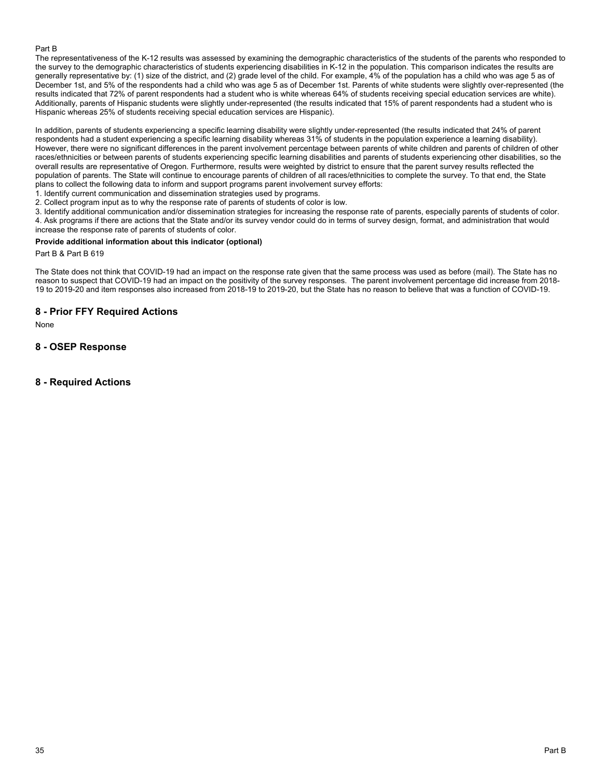## Part B

The representativeness of the K-12 results was assessed by examining the demographic characteristics of the students of the parents who responded to the survey to the demographic characteristics of students experiencing disabilities in K-12 in the population. This comparison indicates the results are generally representative by: (1) size of the district, and (2) grade level of the child. For example, 4% of the population has a child who was age 5 as of December 1st, and 5% of the respondents had a child who was age 5 as of December 1st. Parents of white students were slightly over-represented (the results indicated that 72% of parent respondents had a student who is white whereas 64% of students receiving special education services are white). Additionally, parents of Hispanic students were slightly under-represented (the results indicated that 15% of parent respondents had a student who is Hispanic whereas 25% of students receiving special education services are Hispanic).

In addition, parents of students experiencing a specific learning disability were slightly under-represented (the results indicated that 24% of parent respondents had a student experiencing a specific learning disability whereas 31% of students in the population experience a learning disability). However, there were no significant differences in the parent involvement percentage between parents of white children and parents of children of other races/ethnicities or between parents of students experiencing specific learning disabilities and parents of students experiencing other disabilities, so the overall results are representative of Oregon. Furthermore, results were weighted by district to ensure that the parent survey results reflected the population of parents. The State will continue to encourage parents of children of all races/ethnicities to complete the survey. To that end, the State plans to collect the following data to inform and support programs parent involvement survey efforts:

1. Identify current communication and dissemination strategies used by programs.

2. Collect program input as to why the response rate of parents of students of color is low.

3. Identify additional communication and/or dissemination strategies for increasing the response rate of parents, especially parents of students of color. 4. Ask programs if there are actions that the State and/or its survey vendor could do in terms of survey design, format, and administration that would increase the response rate of parents of students of color.

#### **Provide additional information about this indicator (optional)**

Part B & Part B 619

The State does not think that COVID-19 had an impact on the response rate given that the same process was used as before (mail). The State has no reason to suspect that COVID-19 had an impact on the positivity of the survey responses. The parent involvement percentage did increase from 2018- 19 to 2019-20 and item responses also increased from 2018-19 to 2019-20, but the State has no reason to believe that was a function of COVID-19.

# **8 - Prior FFY Required Actions**

None

# **8 - OSEP Response**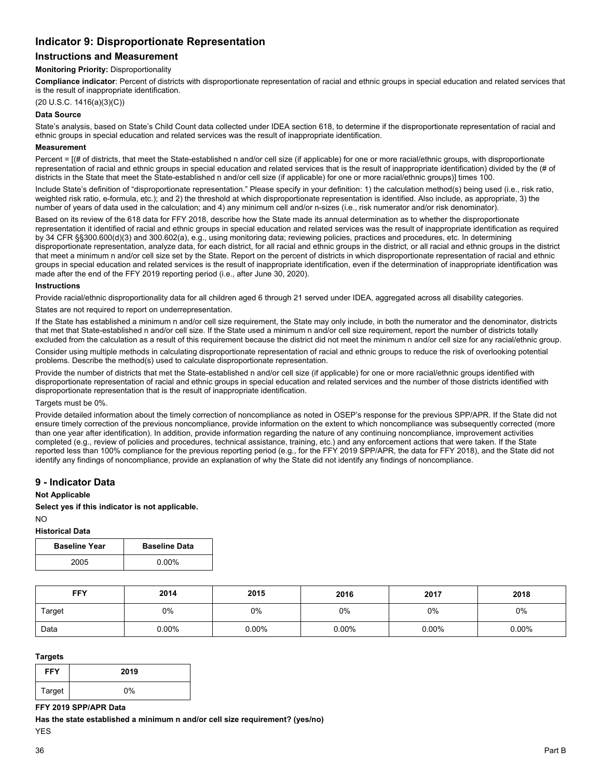# **Indicator 9: Disproportionate Representation**

# **Instructions and Measurement**

#### **Monitoring Priority:** Disproportionality

**Compliance indicator**: Percent of districts with disproportionate representation of racial and ethnic groups in special education and related services that is the result of inappropriate identification.

(20 U.S.C. 1416(a)(3)(C))

## **Data Source**

State's analysis, based on State's Child Count data collected under IDEA section 618, to determine if the disproportionate representation of racial and ethnic groups in special education and related services was the result of inappropriate identification.

#### **Measurement**

Percent =  $I$ (# of districts, that meet the State-established n and/or cell size (if applicable) for one or more racial/ethnic groups, with disproportionate representation of racial and ethnic groups in special education and related services that is the result of inappropriate identification) divided by the (# of districts in the State that meet the State-established n and/or cell size (if applicable) for one or more racial/ethnic groups)] times 100.

Include State's definition of "disproportionate representation." Please specify in your definition: 1) the calculation method(s) being used (i.e., risk ratio, weighted risk ratio, e-formula, etc.); and 2) the threshold at which disproportionate representation is identified. Also include, as appropriate, 3) the number of years of data used in the calculation; and 4) any minimum cell and/or n-sizes (i.e., risk numerator and/or risk denominator).

Based on its review of the 618 data for FFY 2018, describe how the State made its annual determination as to whether the disproportionate representation it identified of racial and ethnic groups in special education and related services was the result of inappropriate identification as required by 34 CFR §§300.600(d)(3) and 300.602(a), e.g., using monitoring data; reviewing policies, practices and procedures, etc. In determining disproportionate representation, analyze data, for each district, for all racial and ethnic groups in the district, or all racial and ethnic groups in the district that meet a minimum n and/or cell size set by the State. Report on the percent of districts in which disproportionate representation of racial and ethnic groups in special education and related services is the result of inappropriate identification, even if the determination of inappropriate identification was made after the end of the FFY 2019 reporting period (i.e., after June 30, 2020).

#### **Instructions**

Provide racial/ethnic disproportionality data for all children aged 6 through 21 served under IDEA, aggregated across all disability categories.

States are not required to report on underrepresentation.

If the State has established a minimum n and/or cell size requirement, the State may only include, in both the numerator and the denominator, districts that met that State-established n and/or cell size. If the State used a minimum n and/or cell size requirement, report the number of districts totally excluded from the calculation as a result of this requirement because the district did not meet the minimum n and/or cell size for any racial/ethnic group.

Consider using multiple methods in calculating disproportionate representation of racial and ethnic groups to reduce the risk of overlooking potential problems. Describe the method(s) used to calculate disproportionate representation.

Provide the number of districts that met the State-established n and/or cell size (if applicable) for one or more racial/ethnic groups identified with disproportionate representation of racial and ethnic groups in special education and related services and the number of those districts identified with disproportionate representation that is the result of inappropriate identification.

#### Targets must be 0%.

 identify any findings of noncompliance, provide an explanation of why the State did not identify any findings of noncompliance. Provide detailed information about the timely correction of noncompliance as noted in OSEP's response for the previous SPP/APR. If the State did not ensure timely correction of the previous noncompliance, provide information on the extent to which noncompliance was subsequently corrected (more than one year after identification). In addition, provide information regarding the nature of any continuing noncompliance, improvement activities completed (e.g., review of policies and procedures, technical assistance, training, etc.) and any enforcement actions that were taken. If the State reported less than 100% compliance for the previous reporting period (e.g., for the FFY 2019 SPP/APR, the data for FFY 2018), and the State did not

# **9 - Indicator Data**

#### **Not Applicable**

**Select yes if this indicator is not applicable.** 

#### NO **Historical Data**

| <b>Baseline Year</b> | <b>Baseline Data</b> |
|----------------------|----------------------|
| 2005                 | 0.00%                |

| <b>FFY</b> | 2014     | 2015     | 2016     | 2017     | 2018     |
|------------|----------|----------|----------|----------|----------|
| Target     | 0%       | 0%       | 0%       | 0%       | 0%       |
| Data       | $0.00\%$ | $0.00\%$ | $0.00\%$ | $0.00\%$ | $0.00\%$ |

#### **Targets**

| <b>FFY</b> | 2019 |
|------------|------|
| Target     | 0%   |

#### **FFY 2019 SPP/APR Data**

**Has the state established a minimum n and/or cell size requirement? (yes/no)** 

YES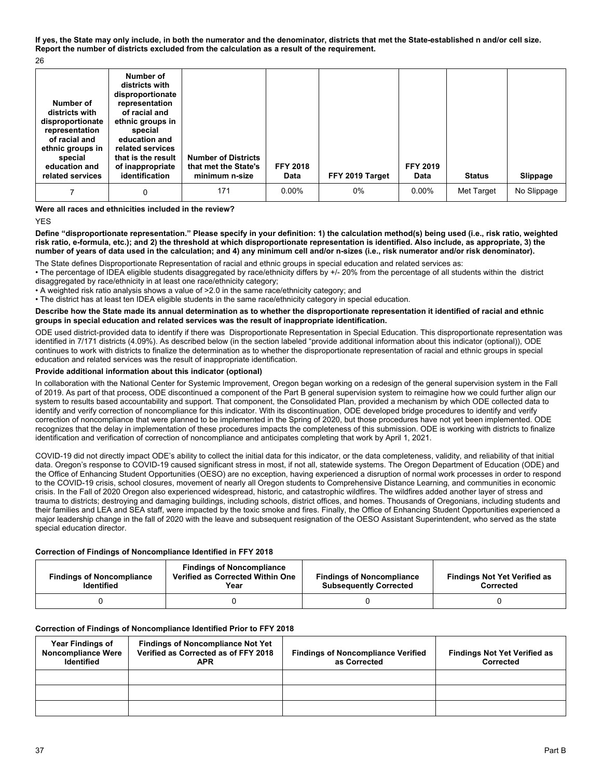**If yes, the State may only include, in both the numerator and the denominator, districts that met the State-established n and/or cell size. Report the number of districts excluded from the calculation as a result of the requirement.** 

26

| Number of<br>districts with<br>disproportionate<br>representation<br>of racial and<br>ethnic groups in<br>special<br>education and<br>related services | Number of<br>districts with<br>disproportionate<br>representation<br>of racial and<br>ethnic groups in<br>special<br>education and<br>related services<br>that is the result<br>of inappropriate<br>identification | <b>Number of Districts</b><br>that met the State's<br>minimum n-size | <b>FFY 2018</b><br>Data | FFY 2019 Target | <b>FFY 2019</b><br>Data | <b>Status</b> | Slippage    |
|--------------------------------------------------------------------------------------------------------------------------------------------------------|--------------------------------------------------------------------------------------------------------------------------------------------------------------------------------------------------------------------|----------------------------------------------------------------------|-------------------------|-----------------|-------------------------|---------------|-------------|
|                                                                                                                                                        | 0                                                                                                                                                                                                                  | 171                                                                  | $0.00\%$                | 0%              | $0.00\%$                | Met Target    | No Slippage |

**Were all races and ethnicities included in the review?** 

YES

**Define "disproportionate representation." Please specify in your definition: 1) the calculation method(s) being used (i.e., risk ratio, weighted risk ratio, e-formula, etc.); and 2) the threshold at which disproportionate representation is identified. Also include, as appropriate, 3) the number of years of data used in the calculation; and 4) any minimum cell and/or n-sizes (i.e., risk numerator and/or risk denominator).** 

The State defines Disproportionate Representation of racial and ethnic groups in special education and related services as:

• The percentage of IDEA eligible students disaggregated by race/ethnicity differs by +/- 20% from the percentage of all students within the district disaggregated by race/ethnicity in at least one race/ethnicity category;

• A weighted risk ratio analysis shows a value of >2.0 in the same race/ethnicity category; and

• The district has at least ten IDEA eligible students in the same race/ethnicity category in special education.

#### **Describe how the State made its annual determination as to whether the disproportionate representation it identified of racial and ethnic groups in special education and related services was the result of inappropriate identification.**

ODE used district-provided data to identify if there was Disproportionate Representation in Special Education. This disproportionate representation was identified in 7/171 districts (4.09%). As described below (in the section labeled "provide additional information about this indicator (optional)), ODE continues to work with districts to finalize the determination as to whether the disproportionate representation of racial and ethnic groups in special education and related services was the result of inappropriate identification.

### **Provide additional information about this indicator (optional)**

In collaboration with the National Center for Systemic Improvement, Oregon began working on a redesign of the general supervision system in the Fall of 2019. As part of that process, ODE discontinued a component of the Part B general supervision system to reimagine how we could further align our system to results based accountability and support. That component, the Consolidated Plan, provided a mechanism by which ODE collected data to identify and verify correction of noncompliance for this indicator. With its discontinuation, ODE developed bridge procedures to identify and verify correction of noncompliance that were planned to be implemented in the Spring of 2020, but those procedures have not yet been implemented. ODE recognizes that the delay in implementation of these procedures impacts the completeness of this submission. ODE is working with districts to finalize identification and verification of correction of noncompliance and anticipates completing that work by April 1, 2021.

COVID-19 did not directly impact ODE's ability to collect the initial data for this indicator, or the data completeness, validity, and reliability of that initial data. Oregon's response to COVID-19 caused significant stress in most, if not all, statewide systems. The Oregon Department of Education (ODE) and the Office of Enhancing Student Opportunities (OESO) are no exception, having experienced a disruption of normal work processes in order to respond to the COVID-19 crisis, school closures, movement of nearly all Oregon students to Comprehensive Distance Learning, and communities in economic crisis. In the Fall of 2020 Oregon also experienced widespread, historic, and catastrophic wildfires. The wildfires added another layer of stress and trauma to districts; destroying and damaging buildings, including schools, district offices, and homes. Thousands of Oregonians, including students and their families and LEA and SEA staff, were impacted by the toxic smoke and fires. Finally, the Office of Enhancing Student Opportunities experienced a major leadership change in the fall of 2020 with the leave and subsequent resignation of the OESO Assistant Superintendent, who served as the state special education director.

#### **Correction of Findings of Noncompliance Identified in FFY 2018**

| <b>Findings of Noncompliance</b><br><b>Identified</b> | <b>Findings of Noncompliance</b><br>Verified as Corrected Within One<br>Year | <b>Findings of Noncompliance</b><br><b>Subsequently Corrected</b> | <b>Findings Not Yet Verified as</b><br>Corrected |
|-------------------------------------------------------|------------------------------------------------------------------------------|-------------------------------------------------------------------|--------------------------------------------------|
|                                                       |                                                                              |                                                                   |                                                  |

#### **Correction of Findings of Noncompliance Identified Prior to FFY 2018**

| <b>Year Findings of</b><br><b>Noncompliance Were</b><br><b>Identified</b> | <b>Findings of Noncompliance Not Yet</b><br>Verified as Corrected as of FFY 2018<br><b>APR</b> | <b>Findings of Noncompliance Verified</b><br>as Corrected | <b>Findings Not Yet Verified as</b><br>Corrected |
|---------------------------------------------------------------------------|------------------------------------------------------------------------------------------------|-----------------------------------------------------------|--------------------------------------------------|
|                                                                           |                                                                                                |                                                           |                                                  |
|                                                                           |                                                                                                |                                                           |                                                  |
|                                                                           |                                                                                                |                                                           |                                                  |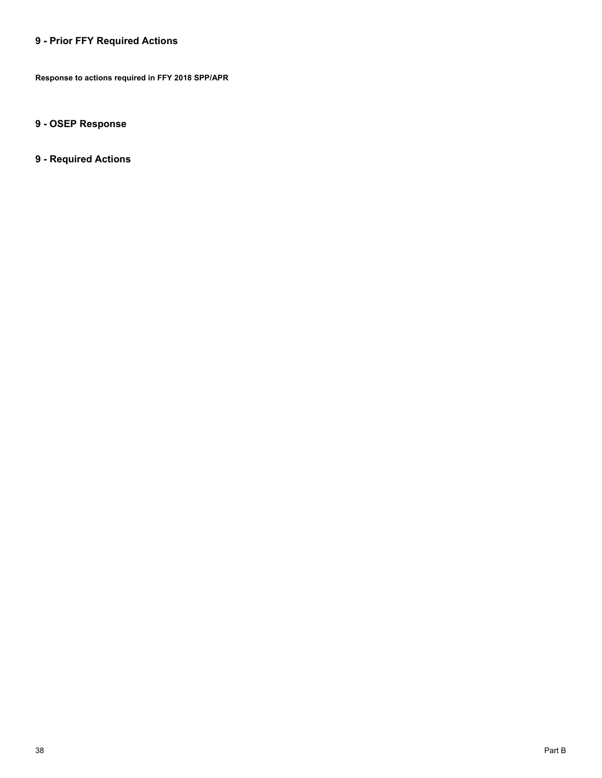# **9 - Prior FFY Required Actions**

**Response to actions required in FFY 2018 SPP/APR** 

# **9 - OSEP Response**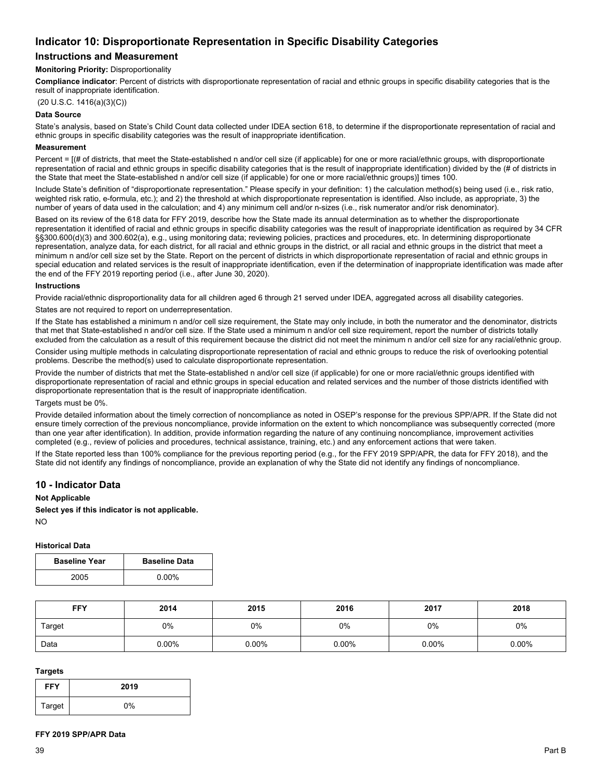# **Indicator 10: Disproportionate Representation in Specific Disability Categories**

# **Instructions and Measurement**

#### **Monitoring Priority:** Disproportionality

**Compliance indicator**: Percent of districts with disproportionate representation of racial and ethnic groups in specific disability categories that is the result of inappropriate identification.

(20 U.S.C. 1416(a)(3)(C))

## **Data Source**

State's analysis, based on State's Child Count data collected under IDEA section 618, to determine if the disproportionate representation of racial and ethnic groups in specific disability categories was the result of inappropriate identification.

#### **Measurement**

Percent = [(# of districts, that meet the State-established n and/or cell size (if applicable) for one or more racial/ethnic groups, with disproportionate representation of racial and ethnic groups in specific disability categories that is the result of inappropriate identification) divided by the (# of districts in the State that meet the State-established n and/or cell size (if applicable) for one or more racial/ethnic groups)] times 100.

Include State's definition of "disproportionate representation." Please specify in your definition: 1) the calculation method(s) being used (i.e., risk ratio, weighted risk ratio, e-formula, etc.); and 2) the threshold at which disproportionate representation is identified. Also include, as appropriate, 3) the number of years of data used in the calculation; and 4) any minimum cell and/or n-sizes (i.e., risk numerator and/or risk denominator).

Based on its review of the 618 data for FFY 2019, describe how the State made its annual determination as to whether the disproportionate representation it identified of racial and ethnic groups in specific disability categories was the result of inappropriate identification as required by 34 CFR §§300.600(d)(3) and 300.602(a), e.g., using monitoring data; reviewing policies, practices and procedures, etc. In determining disproportionate representation, analyze data, for each district, for all racial and ethnic groups in the district, or all racial and ethnic groups in the district that meet a minimum n and/or cell size set by the State. Report on the percent of districts in which disproportionate representation of racial and ethnic groups in special education and related services is the result of inappropriate identification, even if the determination of inappropriate identification was made after the end of the FFY 2019 reporting period (i.e., after June 30, 2020).

#### **Instructions**

Provide racial/ethnic disproportionality data for all children aged 6 through 21 served under IDEA, aggregated across all disability categories.

States are not required to report on underrepresentation.

If the State has established a minimum n and/or cell size requirement, the State may only include, in both the numerator and the denominator, districts that met that State-established n and/or cell size. If the State used a minimum n and/or cell size requirement, report the number of districts totally excluded from the calculation as a result of this requirement because the district did not meet the minimum n and/or cell size for any racial/ethnic group.

Consider using multiple methods in calculating disproportionate representation of racial and ethnic groups to reduce the risk of overlooking potential problems. Describe the method(s) used to calculate disproportionate representation.

Provide the number of districts that met the State-established n and/or cell size (if applicable) for one or more racial/ethnic groups identified with disproportionate representation of racial and ethnic groups in special education and related services and the number of those districts identified with disproportionate representation that is the result of inappropriate identification.

#### Targets must be 0%.

Provide detailed information about the timely correction of noncompliance as noted in OSEP's response for the previous SPP/APR. If the State did not ensure timely correction of the previous noncompliance, provide information on the extent to which noncompliance was subsequently corrected (more than one year after identification). In addition, provide information regarding the nature of any continuing noncompliance, improvement activities completed (e.g., review of policies and procedures, technical assistance, training, etc.) and any enforcement actions that were taken.

If the State reported less than 100% compliance for the previous reporting period (e.g., for the FFY 2019 SPP/APR, the data for FFY 2018), and the State did not identify any findings of noncompliance, provide an explanation of why the State did not identify any findings of noncompliance.

# **10 - Indicator Data**

#### **Not Applicable**

**Select yes if this indicator is not applicable.** 

NO

#### **Historical Data**

| <b>Baseline Year</b> | <b>Baseline Data</b> |
|----------------------|----------------------|
| 2005                 | $0.00\%$             |

| <b>FFY</b> | 2014     | 2015  | 2016     | 2017     | 2018     |
|------------|----------|-------|----------|----------|----------|
| Target     | 0%       | 0%    | 0%       | 0%       | 0%       |
| Data       | $0.00\%$ | 0.00% | $0.00\%$ | $0.00\%$ | $0.00\%$ |

#### **Targets**

| <b>FFY</b> | 2019  |
|------------|-------|
| Target     | $0\%$ |

#### **FFY 2019 SPP/APR Data**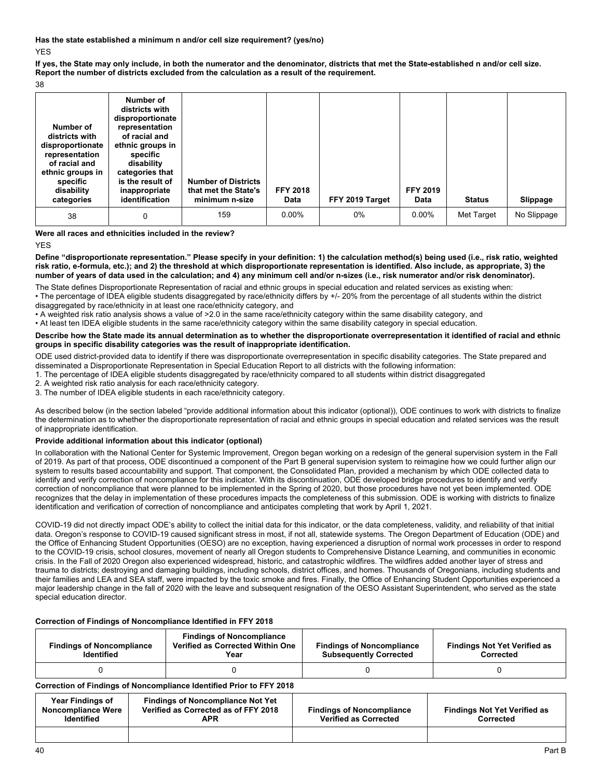**Has the state established a minimum n and/or cell size requirement? (yes/no)**  YES

**If yes, the State may only include, in both the numerator and the denominator, districts that met the State-established n and/or cell size. Report the number of districts excluded from the calculation as a result of the requirement.** 

38

| Number of<br>districts with<br>disproportionate<br>representation<br>of racial and<br>ethnic groups in<br>specific<br>disability<br>categories | Number of<br>districts with<br>disproportionate<br>representation<br>of racial and<br>ethnic groups in<br>specific<br>disability<br>categories that<br>is the result of<br>inappropriate<br>identification | <b>Number of Districts</b><br>that met the State's<br>minimum n-size | <b>FFY 2018</b><br>Data | FFY 2019 Target | <b>FFY 2019</b><br>Data | <b>Status</b> | Slippage    |
|------------------------------------------------------------------------------------------------------------------------------------------------|------------------------------------------------------------------------------------------------------------------------------------------------------------------------------------------------------------|----------------------------------------------------------------------|-------------------------|-----------------|-------------------------|---------------|-------------|
| 38                                                                                                                                             | 0                                                                                                                                                                                                          | 159                                                                  | $0.00\%$                | 0%              | $0.00\%$                | Met Target    | No Slippage |

#### **Were all races and ethnicities included in the review?**

YES

**Define "disproportionate representation." Please specify in your definition: 1) the calculation method(s) being used (i.e., risk ratio, weighted risk ratio, e-formula, etc.); and 2) the threshold at which disproportionate representation is identified. Also include, as appropriate, 3) the number of years of data used in the calculation; and 4) any minimum cell and/or n-sizes (i.e., risk numerator and/or risk denominator).** 

The State defines Disproportionate Representation of racial and ethnic groups in special education and related services as existing when: • The percentage of IDEA eligible students disaggregated by race/ethnicity differs by +/- 20% from the percentage of all students within the district disaggregated by race/ethnicity in at least one race/ethnicity category, and

• A weighted risk ratio analysis shows a value of >2.0 in the same race/ethnicity category within the same disability category, and

• At least ten IDEA eligible students in the same race/ethnicity category within the same disability category in special education.

#### **Describe how the State made its annual determination as to whether the disproportionate overrepresentation it identified of racial and ethnic groups in specific disability categories was the result of inappropriate identification.**

ODE used district-provided data to identify if there was disproportionate overrepresentation in specific disability categories. The State prepared and disseminated a Disproportionate Representation in Special Education Report to all districts with the following information:

1. The percentage of IDEA eligible students disaggregated by race/ethnicity compared to all students within district disaggregated

2. A weighted risk ratio analysis for each race/ethnicity category.

3. The number of IDEA eligible students in each race/ethnicity category.

As described below (in the section labeled "provide additional information about this indicator (optional)), ODE continues to work with districts to finalize the determination as to whether the disproportionate representation of racial and ethnic groups in special education and related services was the result of inappropriate identification.

#### **Provide additional information about this indicator (optional)**

In collaboration with the National Center for Systemic Improvement, Oregon began working on a redesign of the general supervision system in the Fall of 2019. As part of that process, ODE discontinued a component of the Part B general supervision system to reimagine how we could further align our system to results based accountability and support. That component, the Consolidated Plan, provided a mechanism by which ODE collected data to identify and verify correction of noncompliance for this indicator. With its discontinuation, ODE developed bridge procedures to identify and verify correction of noncompliance that were planned to be implemented in the Spring of 2020, but those procedures have not yet been implemented. ODE recognizes that the delay in implementation of these procedures impacts the completeness of this submission. ODE is working with districts to finalize identification and verification of correction of noncompliance and anticipates completing that work by April 1, 2021.

COVID-19 did not directly impact ODE's ability to collect the initial data for this indicator, or the data completeness, validity, and reliability of that initial data. Oregon's response to COVID-19 caused significant stress in most, if not all, statewide systems. The Oregon Department of Education (ODE) and the Office of Enhancing Student Opportunities (OESO) are no exception, having experienced a disruption of normal work processes in order to respond to the COVID-19 crisis, school closures, movement of nearly all Oregon students to Comprehensive Distance Learning, and communities in economic crisis. In the Fall of 2020 Oregon also experienced widespread, historic, and catastrophic wildfires. The wildfires added another layer of stress and trauma to districts; destroying and damaging buildings, including schools, district offices, and homes. Thousands of Oregonians, including students and their families and LEA and SEA staff, were impacted by the toxic smoke and fires. Finally, the Office of Enhancing Student Opportunities experienced a major leadership change in the fall of 2020 with the leave and subsequent resignation of the OESO Assistant Superintendent, who served as the state special education director.

# **Correction of Findings of Noncompliance Identified in FFY 2018**

| <b>Findings of Noncompliance</b><br><b>Identified</b> | <b>Findings of Noncompliance</b><br>Verified as Corrected Within One<br>Year | <b>Findings of Noncompliance</b><br><b>Subsequently Corrected</b> | <b>Findings Not Yet Verified as</b><br>Corrected |
|-------------------------------------------------------|------------------------------------------------------------------------------|-------------------------------------------------------------------|--------------------------------------------------|
|                                                       |                                                                              |                                                                   |                                                  |

# **Correction of Findings of Noncompliance Identified Prior to FFY 2018**

| <b>Year Findings of</b><br>Noncompliance Were<br><b>Identified</b> | <b>Findings of Noncompliance Not Yet</b><br>Verified as Corrected as of FFY 2018<br>APR | <b>Findings of Noncompliance</b><br><b>Verified as Corrected</b> | <b>Findings Not Yet Verified as</b><br>Corrected |
|--------------------------------------------------------------------|-----------------------------------------------------------------------------------------|------------------------------------------------------------------|--------------------------------------------------|
|                                                                    |                                                                                         |                                                                  |                                                  |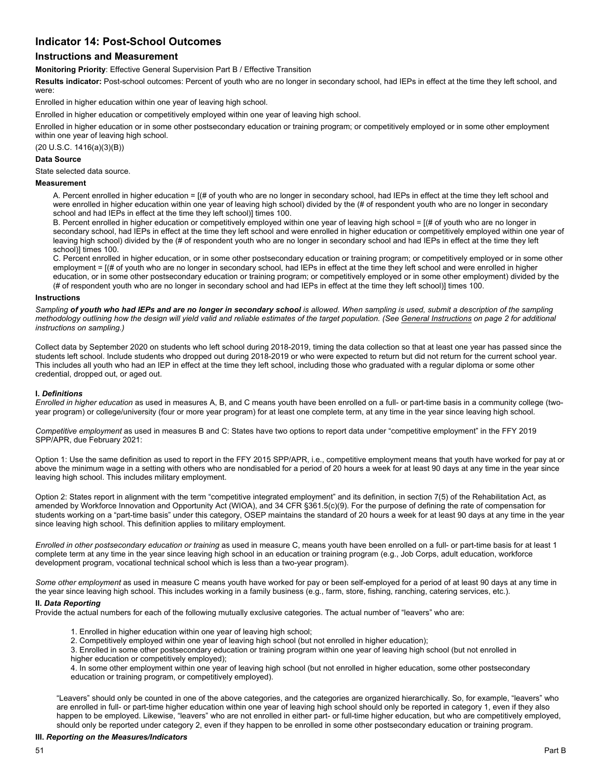# **Indicator 14: Post-School Outcomes**

# **Instructions and Measurement**

**Monitoring Priority**: Effective General Supervision Part B / Effective Transition

**Results indicator:** Post-school outcomes: Percent of youth who are no longer in secondary school, had IEPs in effect at the time they left school, and were:

Enrolled in higher education within one year of leaving high school.

Enrolled in higher education or competitively employed within one year of leaving high school.

Enrolled in higher education or in some other postsecondary education or training program; or competitively employed or in some other employment within one year of leaving high school.

(20 U.S.C. 1416(a)(3)(B))

#### **Data Source**

State selected data source.

#### **Measurement**

A. Percent enrolled in higher education = [(# of youth who are no longer in secondary school, had IEPs in effect at the time they left school and were enrolled in higher education within one year of leaving high school) divided by the (# of respondent youth who are no longer in secondary school and had IEPs in effect at the time they left school)] times 100.

B. Percent enrolled in higher education or competitively employed within one year of leaving high school = [(# of youth who are no longer in secondary school, had IEPs in effect at the time they left school and were enrolled in higher education or competitively employed within one year of leaving high school) divided by the (# of respondent youth who are no longer in secondary school and had IEPs in effect at the time they left school)] times 100.

C. Percent enrolled in higher education, or in some other postsecondary education or training program; or competitively employed or in some other employment = [(# of youth who are no longer in secondary school, had IEPs in effect at the time they left school and were enrolled in higher education, or in some other postsecondary education or training program; or competitively employed or in some other employment) divided by the (# of respondent youth who are no longer in secondary school and had IEPs in effect at the time they left school)] times 100.

#### **Instructions**

Sampling of youth who had IEPs and are no longer in secondary school is allowed. When sampling is used, submit a description of the sampling *methodology outlining how the design will yield valid and reliable estimates of the target population. (See General Instructions on page 2 for additional instructions on sampling.)* 

Collect data by September 2020 on students who left school during 2018-2019, timing the data collection so that at least one year has passed since the students left school. Include students who dropped out during 2018-2019 or who were expected to return but did not return for the current school year. This includes all youth who had an IEP in effect at the time they left school, including those who graduated with a regular diploma or some other credential, dropped out, or aged out.

#### **I.** *Definitions*

*Enrolled in higher education* as used in measures A, B, and C means youth have been enrolled on a full- or part-time basis in a community college (twoyear program) or college/university (four or more year program) for at least one complete term, at any time in the year since leaving high school.

*Competitive employment* as used in measures B and C: States have two options to report data under "competitive employment" in the FFY 2019 SPP/APR, due February 2021:

Option 1: Use the same definition as used to report in the FFY 2015 SPP/APR, i.e., competitive employment means that youth have worked for pay at or above the minimum wage in a setting with others who are nondisabled for a period of 20 hours a week for at least 90 days at any time in the year since leaving high school. This includes military employment.

Option 2: States report in alignment with the term "competitive integrated employment" and its definition, in section 7(5) of the Rehabilitation Act, as amended by Workforce Innovation and Opportunity Act (WIOA), and 34 CFR §361.5(c)(9). For the purpose of defining the rate of compensation for students working on a "part-time basis" under this category, OSEP maintains the standard of 20 hours a week for at least 90 days at any time in the year since leaving high school. This definition applies to military employment.

*Enrolled in other postsecondary education or training* as used in measure C, means youth have been enrolled on a full- or part-time basis for at least 1 complete term at any time in the year since leaving high school in an education or training program (e.g., Job Corps, adult education, workforce development program, vocational technical school which is less than a two-year program).

*Some other employment* as used in measure C means youth have worked for pay or been self-employed for a period of at least 90 days at any time in the year since leaving high school. This includes working in a family business (e.g., farm, store, fishing, ranching, catering services, etc.).

#### **II.** *Data Reporting*

Provide the actual numbers for each of the following mutually exclusive categories. The actual number of "leavers" who are:

- 1. Enrolled in higher education within one year of leaving high school;
- 2. Competitively employed within one year of leaving high school (but not enrolled in higher education);

 higher education or competitively employed); 3. Enrolled in some other postsecondary education or training program within one year of leaving high school (but not enrolled in

4. In some other employment within one year of leaving high school (but not enrolled in higher education, some other postsecondary education or training program, or competitively employed).

"Leavers" should only be counted in one of the above categories, and the categories are organized hierarchically. So, for example, "leavers" who are enrolled in full- or part-time higher education within one year of leaving high school should only be reported in category 1, even if they also happen to be employed. Likewise, "leavers" who are not enrolled in either part- or full-time higher education, but who are competitively employed, should only be reported under category 2, even if they happen to be enrolled in some other postsecondary education or training program.

#### **III.** *Reporting on the Measures/Indicators*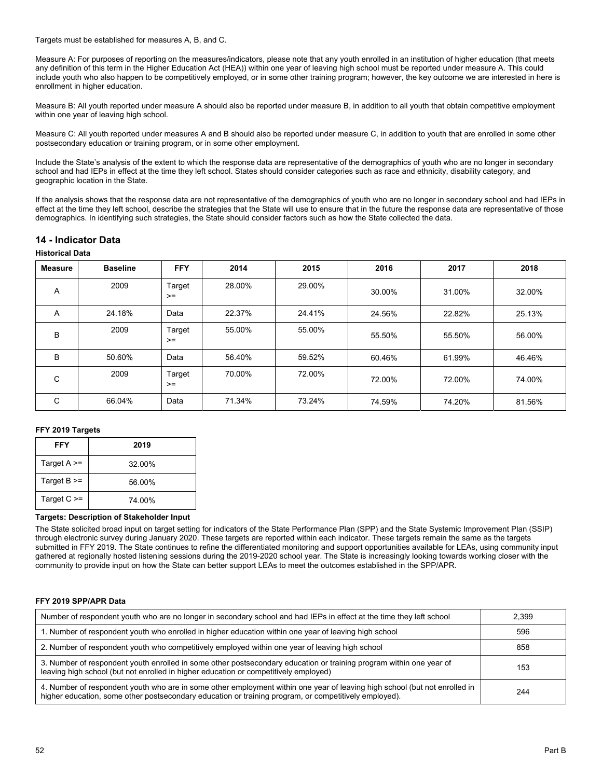Targets must be established for measures A, B, and C.

Measure A: For purposes of reporting on the measures/indicators, please note that any youth enrolled in an institution of higher education (that meets any definition of this term in the Higher Education Act (HEA)) within one year of leaving high school must be reported under measure A. This could include youth who also happen to be competitively employed, or in some other training program; however, the key outcome we are interested in here is enrollment in higher education.

Measure B: All youth reported under measure A should also be reported under measure B, in addition to all youth that obtain competitive employment within one year of leaving high school.

Measure C: All youth reported under measures A and B should also be reported under measure C, in addition to youth that are enrolled in some other postsecondary education or training program, or in some other employment.

Include the State's analysis of the extent to which the response data are representative of the demographics of youth who are no longer in secondary school and had IEPs in effect at the time they left school. States should consider categories such as race and ethnicity, disability category, and geographic location in the State.

If the analysis shows that the response data are not representative of the demographics of youth who are no longer in secondary school and had IEPs in effect at the time they left school, describe the strategies that the State will use to ensure that in the future the response data are representative of those demographics. In identifying such strategies, the State should consider factors such as how the State collected the data.

# **14 - Indicator Data**

#### **Historical Data**

| Measure | <b>Baseline</b> | <b>FFY</b>     | 2014   | 2015   | 2016   | 2017   | 2018   |
|---------|-----------------|----------------|--------|--------|--------|--------|--------|
| A       | 2009            | Target<br>$>=$ | 28.00% | 29.00% | 30.00% | 31.00% | 32.00% |
| A       | 24.18%          | Data           | 22.37% | 24.41% | 24.56% | 22.82% | 25.13% |
| B       | 2009            | Target<br>$>=$ | 55.00% | 55.00% | 55.50% | 55.50% | 56.00% |
| B       | 50.60%          | Data           | 56.40% | 59.52% | 60.46% | 61.99% | 46.46% |
| C       | 2009            | Target<br>$>=$ | 70.00% | 72.00% | 72.00% | 72.00% | 74.00% |
| C       | 66.04%          | Data           | 71.34% | 73.24% | 74.59% | 74.20% | 81.56% |

#### **FFY 2019 Targets**

| FFY               | 2019   |
|-------------------|--------|
| Target $A \geq 0$ | 32.00% |
| Target $B \geq 0$ | 56.00% |
| Target $C \geq$   | 74.00% |

#### **Targets: Description of Stakeholder Input**

The State solicited broad input on target setting for indicators of the State Performance Plan (SPP) and the State Systemic Improvement Plan (SSIP) through electronic survey during January 2020. These targets are reported within each indicator. These targets remain the same as the targets submitted in FFY 2019. The State continues to refine the differentiated monitoring and support opportunities available for LEAs, using community input gathered at regionally hosted listening sessions during the 2019-2020 school year. The State is increasingly looking towards working closer with the community to provide input on how the State can better support LEAs to meet the outcomes established in the SPP/APR.

#### **FFY 2019 SPP/APR Data**

| Number of respondent youth who are no longer in secondary school and had IEPs in effect at the time they left school                                                                                                                | 2.399 |
|-------------------------------------------------------------------------------------------------------------------------------------------------------------------------------------------------------------------------------------|-------|
| 1. Number of respondent youth who enrolled in higher education within one year of leaving high school                                                                                                                               | 596   |
| 2. Number of respondent youth who competitively employed within one year of leaving high school                                                                                                                                     | 858   |
| 3. Number of respondent youth enrolled in some other postsecondary education or training program within one year of<br>leaving high school (but not enrolled in higher education or competitively employed)                         | 153   |
| 4. Number of respondent youth who are in some other employment within one year of leaving high school (but not enrolled in<br>higher education, some other postsecondary education or training program, or competitively employed). | 244   |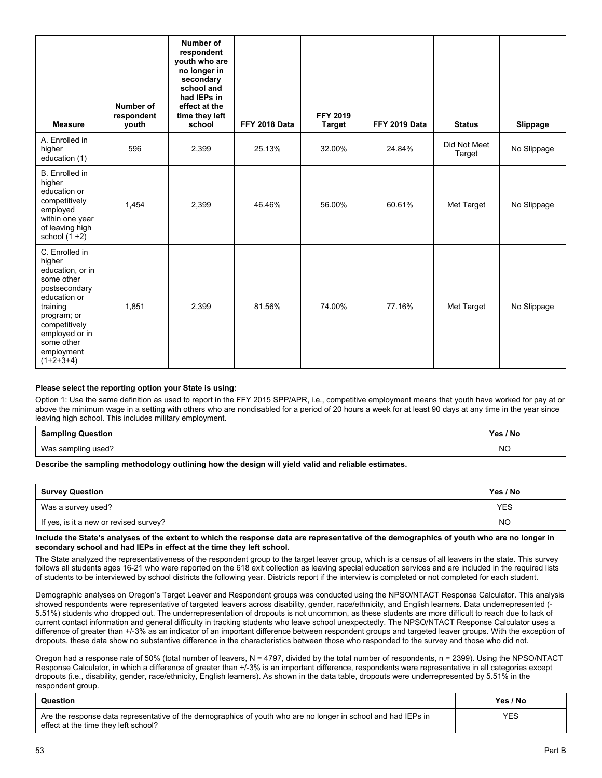| <b>Measure</b>                                                                                                                                                                                       | Number of<br>respondent<br>youth | Number of<br>respondent<br>youth who are<br>no longer in<br>secondary<br>school and<br>had IEPs in<br>effect at the<br>time they left<br>school | FFY 2018 Data | <b>FFY 2019</b><br><b>Target</b> | FFY 2019 Data | <b>Status</b>          | Slippage    |
|------------------------------------------------------------------------------------------------------------------------------------------------------------------------------------------------------|----------------------------------|-------------------------------------------------------------------------------------------------------------------------------------------------|---------------|----------------------------------|---------------|------------------------|-------------|
| A. Enrolled in<br>higher<br>education (1)                                                                                                                                                            | 596                              | 2,399                                                                                                                                           | 25.13%        | 32.00%                           | 24.84%        | Did Not Meet<br>Target | No Slippage |
| <b>B.</b> Enrolled in<br>higher<br>education or<br>competitively<br>employed<br>within one year<br>of leaving high<br>school $(1 + 2)$                                                               | 1,454                            | 2,399                                                                                                                                           | 46.46%        | 56.00%                           | 60.61%        | Met Target             | No Slippage |
| C. Enrolled in<br>higher<br>education, or in<br>some other<br>postsecondary<br>education or<br>training<br>program; or<br>competitively<br>employed or in<br>some other<br>employment<br>$(1+2+3+4)$ | 1.851                            | 2,399                                                                                                                                           | 81.56%        | 74.00%                           | 77.16%        | Met Target             | No Slippage |

#### **Please select the reporting option your State is using:**

Option 1: Use the same definition as used to report in the FFY 2015 SPP/APR, i.e., competitive employment means that youth have worked for pay at or above the minimum wage in a setting with others who are nondisabled for a period of 20 hours a week for at least 90 days at any time in the year since leaving high school. This includes military employment.

| .<br><b>Sampling Question</b> | Yes / No  |
|-------------------------------|-----------|
| Was sampling used?            | <b>NO</b> |

#### **Describe the sampling methodology outlining how the design will yield valid and reliable estimates.**

| <b>Survey Question</b>                 | Yes / No |
|----------------------------------------|----------|
| Was a survey used?                     | YES      |
| If yes, is it a new or revised survey? | NO       |

#### **Include the State's analyses of the extent to which the response data are representative of the demographics of youth who are no longer in secondary school and had IEPs in effect at the time they left school.**

The State analyzed the representativeness of the respondent group to the target leaver group, which is a census of all leavers in the state. This survey follows all students ages 16-21 who were reported on the 618 exit collection as leaving special education services and are included in the required lists of students to be interviewed by school districts the following year. Districts report if the interview is completed or not completed for each student.

Demographic analyses on Oregon's Target Leaver and Respondent groups was conducted using the NPSO/NTACT Response Calculator. This analysis showed respondents were representative of targeted leavers across disability, gender, race/ethnicity, and English learners. Data underrepresented (- 5.51%) students who dropped out. The underrepresentation of dropouts is not uncommon, as these students are more difficult to reach due to lack of current contact information and general difficulty in tracking students who leave school unexpectedly. The NPSO/NTACT Response Calculator uses a difference of greater than +/-3% as an indicator of an important difference between respondent groups and targeted leaver groups. With the exception of dropouts, these data show no substantive difference in the characteristics between those who responded to the survey and those who did not.

Oregon had a response rate of 50% (total number of leavers, N = 4797, divided by the total number of respondents, n = 2399). Using the NPSO/NTACT Response Calculator, in which a difference of greater than +/-3% is an important difference, respondents were representative in all categories except dropouts (i.e., disability, gender, race/ethnicity, English learners). As shown in the data table, dropouts were underrepresented by 5.51% in the respondent group.

| Question                                                                                                                                              | Yes / No |
|-------------------------------------------------------------------------------------------------------------------------------------------------------|----------|
| Are the response data representative of the demographics of youth who are no longer in school and had IEPs in<br>effect at the time they left school? | YES      |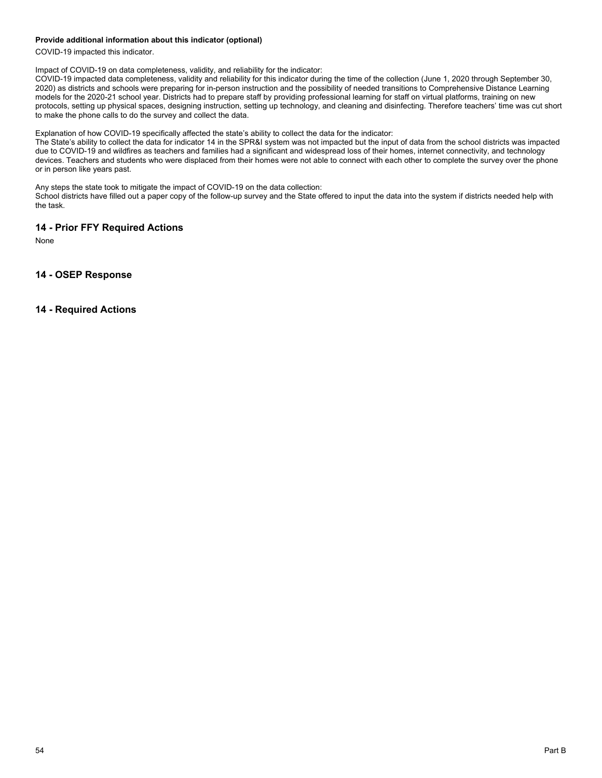#### **Provide additional information about this indicator (optional)**

COVID-19 impacted this indicator.

Impact of COVID-19 on data completeness, validity, and reliability for the indicator:

COVID-19 impacted data completeness, validity and reliability for this indicator during the time of the collection (June 1, 2020 through September 30, 2020) as districts and schools were preparing for in-person instruction and the possibility of needed transitions to Comprehensive Distance Learning models for the 2020-21 school year. Districts had to prepare staff by providing professional learning for staff on virtual platforms, training on new protocols, setting up physical spaces, designing instruction, setting up technology, and cleaning and disinfecting. Therefore teachers' time was cut short to make the phone calls to do the survey and collect the data.

Explanation of how COVID-19 specifically affected the state's ability to collect the data for the indicator:

The State's ability to collect the data for indicator 14 in the SPR&I system was not impacted but the input of data from the school districts was impacted due to COVID-19 and wildfires as teachers and families had a significant and widespread loss of their homes, internet connectivity, and technology devices. Teachers and students who were displaced from their homes were not able to connect with each other to complete the survey over the phone or in person like years past.

Any steps the state took to mitigate the impact of COVID-19 on the data collection:

School districts have filled out a paper copy of the follow-up survey and the State offered to input the data into the system if districts needed help with the task.

# **14 - Prior FFY Required Actions**

None

# **14 - OSEP Response**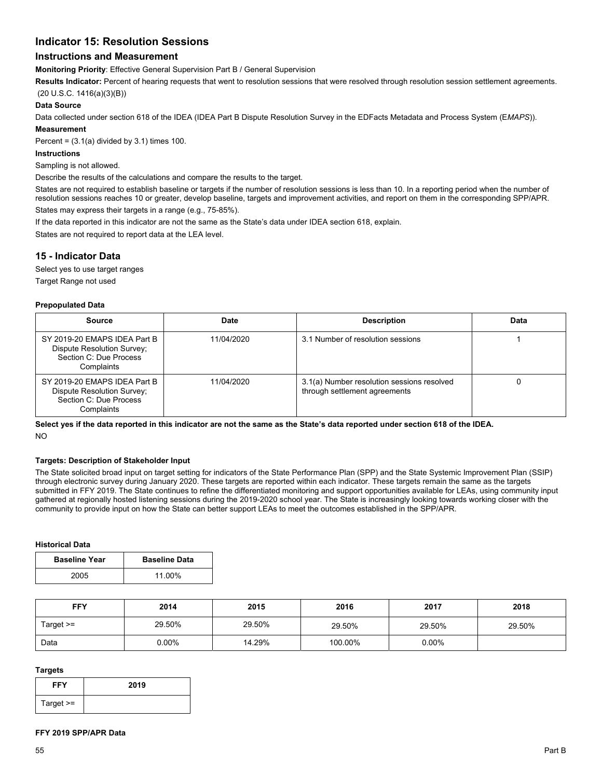# **Indicator 15: Resolution Sessions**

# **Instructions and Measurement**

**Monitoring Priority**: Effective General Supervision Part B / General Supervision

**Results Indicator:** Percent of hearing requests that went to resolution sessions that were resolved through resolution session settlement agreements.

(20 U.S.C. 1416(a)(3)(B))

#### **Data Source**

Data collected under section 618 of the IDEA (IDEA Part B Dispute Resolution Survey in the EDFacts Metadata and Process System (E*MAPS*)).

# **Measurement**

Percent =  $(3.1(a)$  divided by 3.1) times 100.

# **Instructions**

Sampling is not allowed.

Describe the results of the calculations and compare the results to the target.

States are not required to establish baseline or targets if the number of resolution sessions is less than 10. In a reporting period when the number of resolution sessions reaches 10 or greater, develop baseline, targets and improvement activities, and report on them in the corresponding SPP/APR. States may express their targets in a range (e.g., 75-85%).

If the data reported in this indicator are not the same as the State's data under IDEA section 618, explain.

States are not required to report data at the LEA level.

# **15 - Indicator Data**

Select yes to use target ranges

Target Range not used

#### **Prepopulated Data**

| Source                                                                                             | Date       | <b>Description</b>                                                          | Data |
|----------------------------------------------------------------------------------------------------|------------|-----------------------------------------------------------------------------|------|
| SY 2019-20 EMAPS IDEA Part B<br>Dispute Resolution Survey;<br>Section C: Due Process<br>Complaints | 11/04/2020 | 3.1 Number of resolution sessions                                           |      |
| SY 2019-20 EMAPS IDEA Part B<br>Dispute Resolution Survey;<br>Section C: Due Process<br>Complaints | 11/04/2020 | 3.1(a) Number resolution sessions resolved<br>through settlement agreements |      |

**Select yes if the data reported in this indicator are not the same as the State's data reported under section 618 of the IDEA.**  NO

#### **Targets: Description of Stakeholder Input**

The State solicited broad input on target setting for indicators of the State Performance Plan (SPP) and the State Systemic Improvement Plan (SSIP) through electronic survey during January 2020. These targets are reported within each indicator. These targets remain the same as the targets submitted in FFY 2019. The State continues to refine the differentiated monitoring and support opportunities available for LEAs, using community input gathered at regionally hosted listening sessions during the 2019-2020 school year. The State is increasingly looking towards working closer with the community to provide input on how the State can better support LEAs to meet the outcomes established in the SPP/APR.

#### **Historical Data**

| <b>Baseline Year</b> | <b>Baseline Data</b> |
|----------------------|----------------------|
| 2005                 | 11.00%               |

| <b>FFY</b>  | 2014   | 2015   | 2016    | 2017     | 2018   |
|-------------|--------|--------|---------|----------|--------|
| Target $>=$ | 29.50% | 29.50% | 29.50%  | 29.50%   | 29.50% |
| Data        | 0.00%  | 14.29% | 100.00% | $0.00\%$ |        |

#### **Targets**

| <b>FFY</b>  | 2019 |
|-------------|------|
| Target $>=$ |      |

#### **FFY 2019 SPP/APR Data**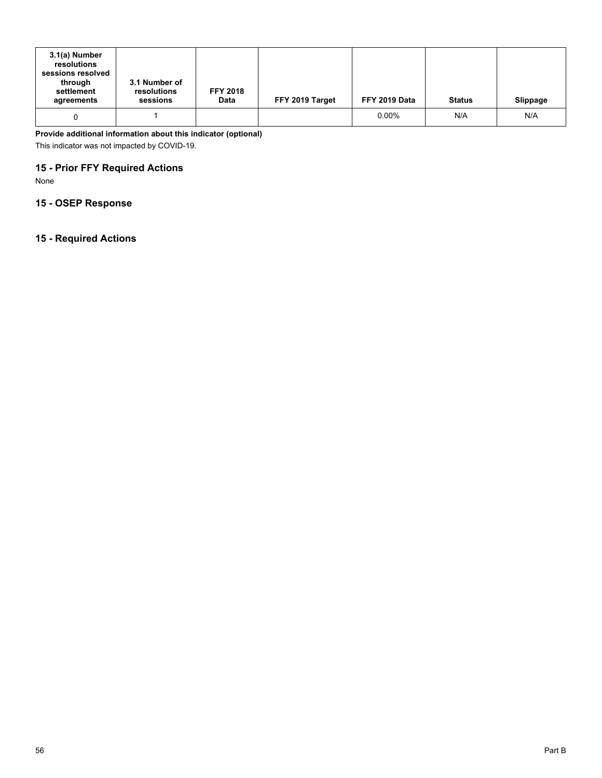| 3.1(a) Number<br>resolutions<br>sessions resolved<br>through<br>settlement<br>agreements | 3.1 Number of<br>resolutions<br>sessions | <b>FFY 2018</b><br><b>Data</b> | FFY 2019 Target | FFY 2019 Data | <b>Status</b> | Slippage |
|------------------------------------------------------------------------------------------|------------------------------------------|--------------------------------|-----------------|---------------|---------------|----------|
|                                                                                          |                                          |                                |                 | $0.00\%$      | N/A           | N/A      |

**Provide additional information about this indicator (optional)** 

This indicator was not impacted by COVID-19.

# **15 - Prior FFY Required Actions**

None

# **15 - OSEP Response**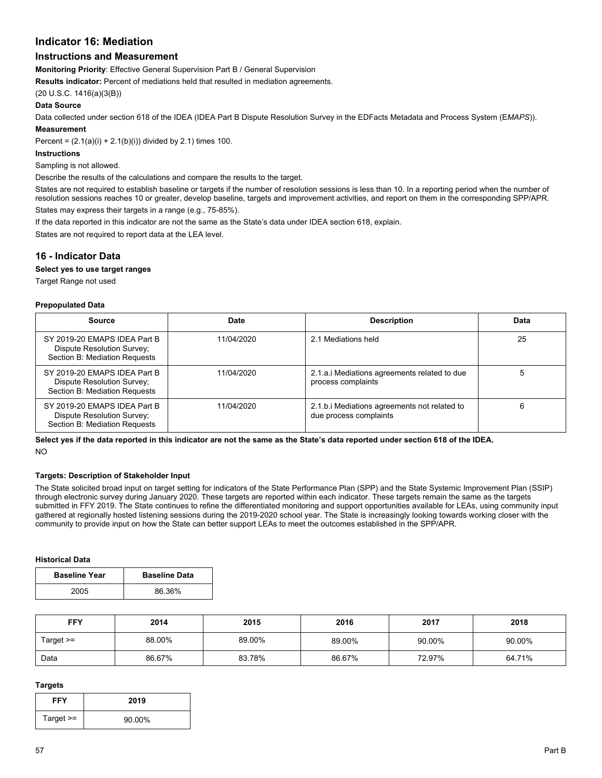# **Indicator 16: Mediation**

# **Instructions and Measurement**

**Monitoring Priority**: Effective General Supervision Part B / General Supervision

**Results indicator:** Percent of mediations held that resulted in mediation agreements.

(20 U.S.C. 1416(a)(3(B))

#### **Data Source**

Data collected under section 618 of the IDEA (IDEA Part B Dispute Resolution Survey in the EDFacts Metadata and Process System (E*MAPS*)). **Measurement** 

Percent =  $(2.1(a)(i) + 2.1(b)(i))$  divided by 2.1) times 100.

#### **Instructions**

Sampling is not allowed.

Describe the results of the calculations and compare the results to the target.

States are not required to establish baseline or targets if the number of resolution sessions is less than 10. In a reporting period when the number of resolution sessions reaches 10 or greater, develop baseline, targets and improvement activities, and report on them in the corresponding SPP/APR. States may express their targets in a range (e.g., 75-85%).

If the data reported in this indicator are not the same as the State's data under IDEA section 618, explain.

States are not required to report data at the LEA level.

# **16 - Indicator Data**

#### **Select yes to use target ranges**

Target Range not used

#### **Prepopulated Data**

| Source                                                                                      | Date       | <b>Description</b>                                                     | Data |
|---------------------------------------------------------------------------------------------|------------|------------------------------------------------------------------------|------|
| SY 2019-20 EMAPS IDEA Part B<br>Dispute Resolution Survey;<br>Section B: Mediation Requests | 11/04/2020 | 2.1 Mediations held                                                    | 25   |
| SY 2019-20 EMAPS IDEA Part B<br>Dispute Resolution Survey;<br>Section B: Mediation Requests | 11/04/2020 | 2.1.a.i Mediations agreements related to due<br>process complaints     |      |
| SY 2019-20 EMAPS IDEA Part B<br>Dispute Resolution Survey;<br>Section B: Mediation Requests | 11/04/2020 | 2.1.b. iMediations agreements not related to<br>due process complaints | 6    |

**Select yes if the data reported in this indicator are not the same as the State's data reported under section 618 of the IDEA.**  NO

#### **Targets: Description of Stakeholder Input**

The State solicited broad input on target setting for indicators of the State Performance Plan (SPP) and the State Systemic Improvement Plan (SSIP) through electronic survey during January 2020. These targets are reported within each indicator. These targets remain the same as the targets submitted in FFY 2019. The State continues to refine the differentiated monitoring and support opportunities available for LEAs, using community input gathered at regionally hosted listening sessions during the 2019-2020 school year. The State is increasingly looking towards working closer with the community to provide input on how the State can better support LEAs to meet the outcomes established in the SPP/APR.

#### **Historical Data**

| <b>Baseline Year</b> | <b>Baseline Data</b> |
|----------------------|----------------------|
| 2005                 | 86.36%               |

| FFY       | 2014   | 2015   | 2016   | 2017   | 2018   |
|-----------|--------|--------|--------|--------|--------|
| Target >= | 88.00% | 89.00% | 89.00% | 90.00% | 90.00% |
| Data      | 86.67% | 83.78% | 86.67% | 72.97% | 64.71% |

#### **Targets**

| FFY         | 2019   |
|-------------|--------|
| Target $>=$ | 90.00% |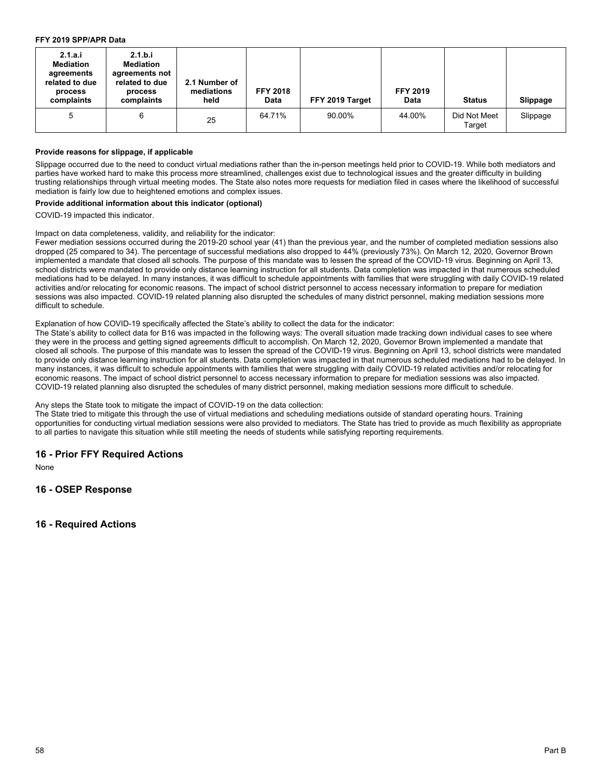#### **FFY 2019 SPP/APR Data**

| 2.1.a.i<br><b>Mediation</b><br>agreements<br>related to due<br>process<br>complaints | 2.1.b.i<br><b>Mediation</b><br>agreements not<br>related to due<br>process<br>complaints | 2.1 Number of<br>mediations<br>held | <b>FFY 2018</b><br>Data | FFY 2019 Target | <b>FFY 2019</b><br>Data | <b>Status</b>          | Slippage |
|--------------------------------------------------------------------------------------|------------------------------------------------------------------------------------------|-------------------------------------|-------------------------|-----------------|-------------------------|------------------------|----------|
| 5                                                                                    | 6                                                                                        | 25                                  | 64.71%                  | 90.00%          | 44.00%                  | Did Not Meet<br>Target | Slippage |

#### **Provide reasons for slippage, if applicable**

Slippage occurred due to the need to conduct virtual mediations rather than the in-person meetings held prior to COVID-19. While both mediators and parties have worked hard to make this process more streamlined, challenges exist due to technological issues and the greater difficulty in building trusting relationships through virtual meeting modes. The State also notes more requests for mediation filed in cases where the likelihood of successful mediation is fairly low due to heightened emotions and complex issues.

#### **Provide additional information about this indicator (optional)**

COVID-19 impacted this indicator.

#### Impact on data completeness, validity, and reliability for the indicator:

Fewer mediation sessions occurred during the 2019-20 school year (41) than the previous year, and the number of completed mediation sessions also dropped (25 compared to 34). The percentage of successful mediations also dropped to 44% (previously 73%). On March 12, 2020, Governor Brown implemented a mandate that closed all schools. The purpose of this mandate was to lessen the spread of the COVID-19 virus. Beginning on April 13, school districts were mandated to provide only distance learning instruction for all students. Data completion was impacted in that numerous scheduled mediations had to be delayed. In many instances, it was difficult to schedule appointments with families that were struggling with daily COVID-19 related activities and/or relocating for economic reasons. The impact of school district personnel to access necessary information to prepare for mediation sessions was also impacted. COVID-19 related planning also disrupted the schedules of many district personnel, making mediation sessions more difficult to schedule.

#### Explanation of how COVID-19 specifically affected the State's ability to collect the data for the indicator:

The State's ability to collect data for B16 was impacted in the following ways: The overall situation made tracking down individual cases to see where they were in the process and getting signed agreements difficult to accomplish. On March 12, 2020, Governor Brown implemented a mandate that closed all schools. The purpose of this mandate was to lessen the spread of the COVID-19 virus. Beginning on April 13, school districts were mandated to provide only distance learning instruction for all students. Data completion was impacted in that numerous scheduled mediations had to be delayed. In many instances, it was difficult to schedule appointments with families that were struggling with daily COVID-19 related activities and/or relocating for economic reasons. The impact of school district personnel to access necessary information to prepare for mediation sessions was also impacted. COVID-19 related planning also disrupted the schedules of many district personnel, making mediation sessions more difficult to schedule.

#### Any steps the State took to mitigate the impact of COVID-19 on the data collection:

The State tried to mitigate this through the use of virtual mediations and scheduling mediations outside of standard operating hours. Training opportunities for conducting virtual mediation sessions were also provided to mediators. The State has tried to provide as much flexibility as appropriate to all parties to navigate this situation while still meeting the needs of students while satisfying reporting requirements.

# **16 - Prior FFY Required Actions**

None

# **16 - OSEP Response**